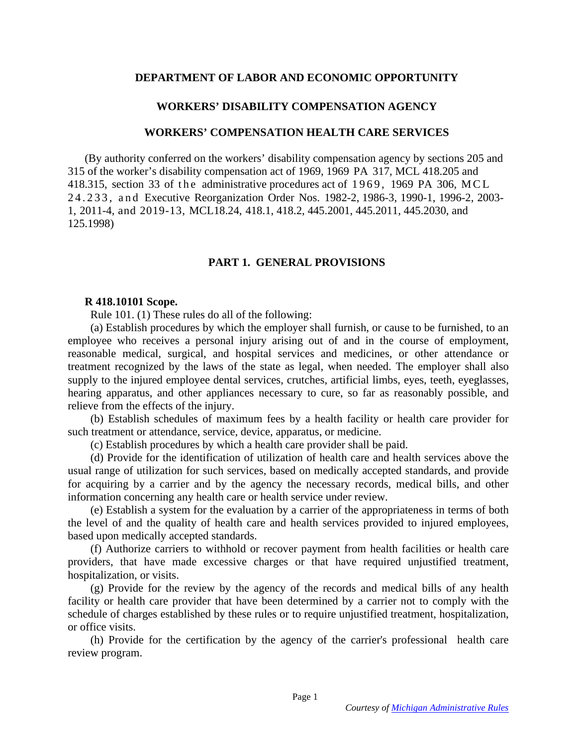### **DEPARTMENT OF LABOR AND ECONOMIC OPPORTUNITY**

### **WORKERS' DISABILITY COMPENSATION AGENCY**

#### **WORKERS' COMPENSATION HEALTH CARE SERVICES**

(By authority conferred on the workers' disability compensation agency by sections 205 and 315 of the worker's disability compensation act of 1969, 1969 PA 317, MCL 418.205 and 418.315, section 33 of the administrative procedures act of 1969, 1969 PA 306, MCL 2 4 . 2 3 3 , a n d Executive Reorganization Order Nos. 1982-2, 1986-3, 1990-1, 1996-2, 2003- 1, 2011-4, and 2019-13, MCL18.24, 418.1, 418.2, 445.2001, 445.2011, 445.2030, and 125.1998)

### **PART 1. GENERAL PROVISIONS**

#### **R 418.10101 Scope.**

Rule 101. (1) These rules do all of the following:

 (a) Establish procedures by which the employer shall furnish, or cause to be furnished, to an employee who receives a personal injury arising out of and in the course of employment, reasonable medical, surgical, and hospital services and medicines, or other attendance or treatment recognized by the laws of the state as legal, when needed. The employer shall also supply to the injured employee dental services, crutches, artificial limbs, eyes, teeth, eyeglasses, hearing apparatus, and other appliances necessary to cure, so far as reasonably possible, and relieve from the effects of the injury.

 (b) Establish schedules of maximum fees by a health facility or health care provider for such treatment or attendance, service, device, apparatus, or medicine.

(c) Establish procedures by which a health care provider shall be paid.

 (d) Provide for the identification of utilization of health care and health services above the usual range of utilization for such services, based on medically accepted standards, and provide for acquiring by a carrier and by the agency the necessary records, medical bills, and other information concerning any health care or health service under review.

 (e) Establish a system for the evaluation by a carrier of the appropriateness in terms of both the level of and the quality of health care and health services provided to injured employees, based upon medically accepted standards.

 (f) Authorize carriers to withhold or recover payment from health facilities or health care providers, that have made excessive charges or that have required unjustified treatment, hospitalization, or visits.

 (g) Provide for the review by the agency of the records and medical bills of any health facility or health care provider that have been determined by a carrier not to comply with the schedule of charges established by these rules or to require unjustified treatment, hospitalization, or office visits.

 (h) Provide for the certification by the agency of the carrier's professional health care review program.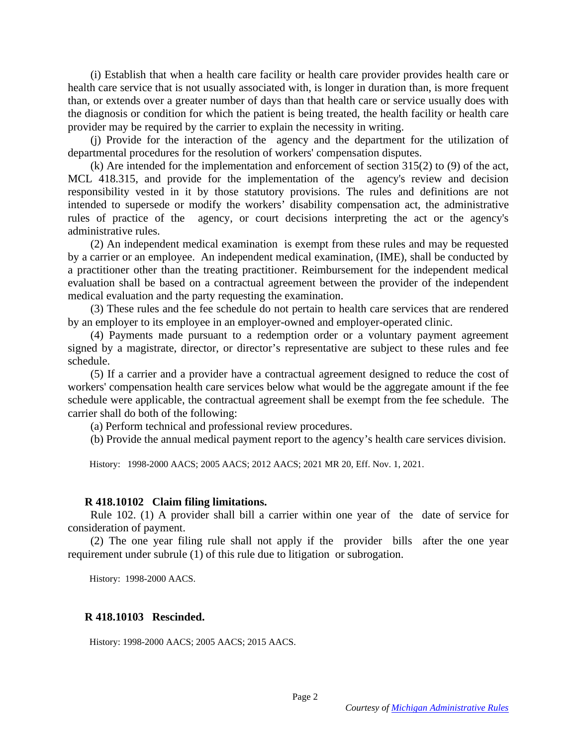(i) Establish that when a health care facility or health care provider provides health care or health care service that is not usually associated with, is longer in duration than, is more frequent than, or extends over a greater number of days than that health care or service usually does with the diagnosis or condition for which the patient is being treated, the health facility or health care provider may be required by the carrier to explain the necessity in writing.

 (j) Provide for the interaction of the agency and the department for the utilization of departmental procedures for the resolution of workers' compensation disputes.

 (k) Are intended for the implementation and enforcement of section 315(2) to (9) of the act, MCL 418.315, and provide for the implementation of the agency's review and decision responsibility vested in it by those statutory provisions. The rules and definitions are not intended to supersede or modify the workers' disability compensation act, the administrative rules of practice of the agency, or court decisions interpreting the act or the agency's administrative rules.

 (2) An independent medical examination is exempt from these rules and may be requested by a carrier or an employee. An independent medical examination, (IME), shall be conducted by a practitioner other than the treating practitioner. Reimbursement for the independent medical evaluation shall be based on a contractual agreement between the provider of the independent medical evaluation and the party requesting the examination.

 (3) These rules and the fee schedule do not pertain to health care services that are rendered by an employer to its employee in an employer-owned and employer-operated clinic.

 (4) Payments made pursuant to a redemption order or a voluntary payment agreement signed by a magistrate, director, or director's representative are subject to these rules and fee schedule.

 (5) If a carrier and a provider have a contractual agreement designed to reduce the cost of workers' compensation health care services below what would be the aggregate amount if the fee schedule were applicable, the contractual agreement shall be exempt from the fee schedule. The carrier shall do both of the following:

(a) Perform technical and professional review procedures.

(b) Provide the annual medical payment report to the agency's health care services division.

History: 1998-2000 AACS; 2005 AACS; 2012 AACS; 2021 MR 20, Eff. Nov. 1, 2021.

#### **R 418.10102 Claim filing limitations.**

 Rule 102. (1) A provider shall bill a carrier within one year of the date of service for consideration of payment.

 (2) The one year filing rule shall not apply if the provider bills after the one year requirement under subrule (1) of this rule due to litigation or subrogation.

History: 1998-2000 AACS.

#### **R 418.10103 Rescinded.**

History: 1998-2000 AACS; 2005 AACS; 2015 AACS.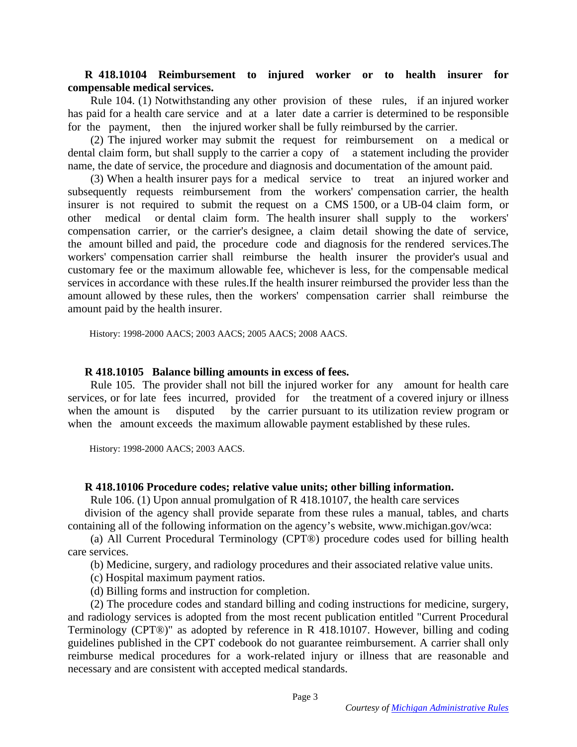## **R 418.10104 Reimbursement to injured worker or to health insurer for compensable medical services.**

 Rule 104. (1) Notwithstanding any other provision of these rules, if an injured worker has paid for a health care service and at a later date a carrier is determined to be responsible for the payment, then the injured worker shall be fully reimbursed by the carrier.

 (2) The injured worker may submit the request for reimbursement on a medical or dental claim form, but shall supply to the carrier a copy of a statement including the provider name, the date of service, the procedure and diagnosis and documentation of the amount paid.

 (3) When a health insurer pays for a medical service to treat an injured worker and subsequently requests reimbursement from the workers' compensation carrier, the health insurer is not required to submit the request on a CMS 1500, or a UB-04 claim form, or other medical or dental claim form. The health insurer shall supply to the workers' compensation carrier, or the carrier's designee, a claim detail showing the date of service, the amount billed and paid, the procedure code and diagnosis for the rendered services.The workers' compensation carrier shall reimburse the health insurer the provider's usual and customary fee or the maximum allowable fee, whichever is less, for the compensable medical services in accordance with these rules.If the health insurer reimbursed the provider less than the amount allowed by these rules, then the workers' compensation carrier shall reimburse the amount paid by the health insurer.

History: 1998-2000 AACS; 2003 AACS; 2005 AACS; 2008 AACS.

#### **R 418.10105 Balance billing amounts in excess of fees.**

 Rule 105. The provider shall not bill the injured worker for any amount for health care services, or for late fees incurred, provided for the treatment of a covered injury or illness when the amount is disputed by the carrier pursuant to its utilization review program or when the amount exceeds the maximum allowable payment established by these rules.

History: 1998-2000 AACS; 2003 AACS.

#### **R 418.10106 Procedure codes; relative value units; other billing information.**

Rule 106. (1) Upon annual promulgation of R 418.10107, the health care services

division of the agency shall provide separate from these rules a manual, tables, and charts containing all of the following information on the agency's website, www.michigan.gov/wca:

 (a) All Current Procedural Terminology (CPT®) procedure codes used for billing health care services.

(b) Medicine, surgery, and radiology procedures and their associated relative value units.

(c) Hospital maximum payment ratios.

(d) Billing forms and instruction for completion.

 (2) The procedure codes and standard billing and coding instructions for medicine, surgery, and radiology services is adopted from the most recent publication entitled "Current Procedural Terminology (CPT®)" as adopted by reference in R 418.10107. However, billing and coding guidelines published in the CPT codebook do not guarantee reimbursement. A carrier shall only reimburse medical procedures for a work-related injury or illness that are reasonable and necessary and are consistent with accepted medical standards.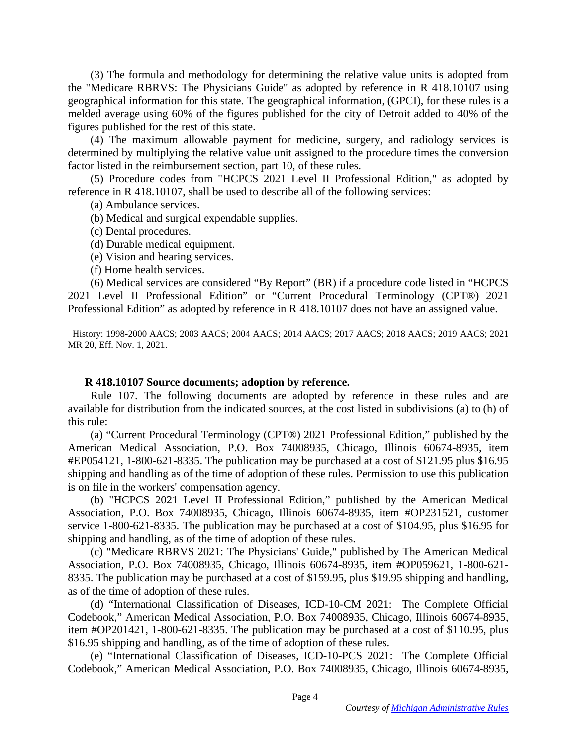(3) The formula and methodology for determining the relative value units is adopted from the "Medicare RBRVS: The Physicians Guide" as adopted by reference in R 418.10107 using geographical information for this state. The geographical information, (GPCI), for these rules is a melded average using 60% of the figures published for the city of Detroit added to 40% of the figures published for the rest of this state.

 (4) The maximum allowable payment for medicine, surgery, and radiology services is determined by multiplying the relative value unit assigned to the procedure times the conversion factor listed in the reimbursement section, part 10, of these rules.

 (5) Procedure codes from "HCPCS 2021 Level II Professional Edition," as adopted by reference in R 418.10107, shall be used to describe all of the following services:

(a) Ambulance services.

- (b) Medical and surgical expendable supplies.
- (c) Dental procedures.
- (d) Durable medical equipment.
- (e) Vision and hearing services.
- (f) Home health services.

 (6) Medical services are considered "By Report" (BR) if a procedure code listed in "HCPCS 2021 Level II Professional Edition" or "Current Procedural Terminology (CPT®) 2021 Professional Edition" as adopted by reference in R 418.10107 does not have an assigned value.

 History: 1998-2000 AACS; 2003 AACS; 2004 AACS; 2014 AACS; 2017 AACS; 2018 AACS; 2019 AACS; 2021 MR 20, Eff. Nov. 1, 2021.

### **R 418.10107 Source documents; adoption by reference.**

 Rule 107. The following documents are adopted by reference in these rules and are available for distribution from the indicated sources, at the cost listed in subdivisions (a) to (h) of this rule:

 (a) "Current Procedural Terminology (CPT®) 2021 Professional Edition," published by the American Medical Association, P.O. Box 74008935, Chicago, Illinois 60674-8935, item #EP054121, 1-800-621-8335. The publication may be purchased at a cost of \$121.95 plus \$16.95 shipping and handling as of the time of adoption of these rules. Permission to use this publication is on file in the workers' compensation agency.

 (b) "HCPCS 2021 Level II Professional Edition," published by the American Medical Association, P.O. Box 74008935, Chicago, Illinois 60674-8935, item #OP231521, customer service 1-800-621-8335. The publication may be purchased at a cost of \$104.95, plus \$16.95 for shipping and handling, as of the time of adoption of these rules.

 (c) "Medicare RBRVS 2021: The Physicians' Guide," published by The American Medical Association, P.O. Box 74008935, Chicago, Illinois 60674-8935, item #OP059621, 1-800-621- 8335. The publication may be purchased at a cost of \$159.95, plus \$19.95 shipping and handling, as of the time of adoption of these rules.

 (d) "International Classification of Diseases, ICD-10-CM 2021: The Complete Official Codebook," American Medical Association, P.O. Box 74008935, Chicago, Illinois 60674-8935, item #OP201421, 1-800-621-8335. The publication may be purchased at a cost of \$110.95, plus \$16.95 shipping and handling, as of the time of adoption of these rules.

 (e) "International Classification of Diseases, ICD-10-PCS 2021: The Complete Official Codebook," American Medical Association, P.O. Box 74008935, Chicago, Illinois 60674-8935,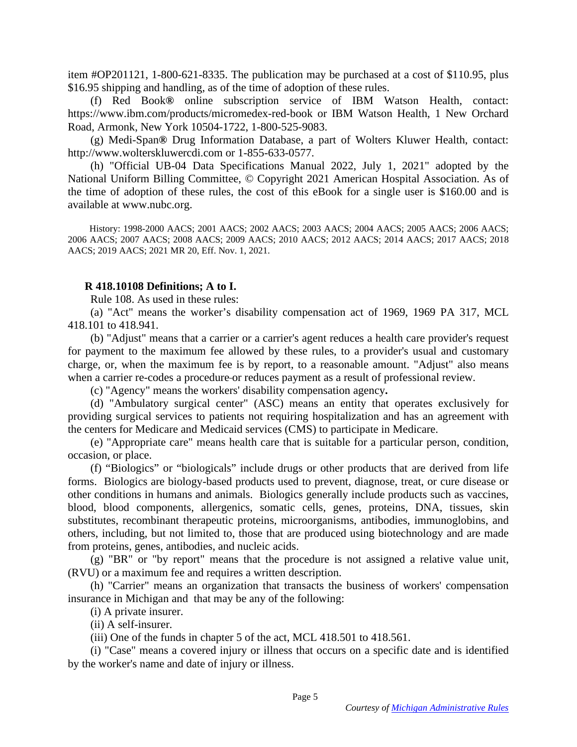item #OP201121, 1-800-621-8335. The publication may be purchased at a cost of \$110.95, plus \$16.95 shipping and handling, as of the time of adoption of these rules.

 (f) Red Book**®** online subscription service of IBM Watson Health, contact: https://www.ibm.com/products/micromedex-red-book or IBM Watson Health, 1 New Orchard Road, Armonk, New York 10504-1722, 1-800-525-9083.

 (g) Medi-Span**®** Drug Information Database, a part of Wolters Kluwer Health, contact: http://www.wolterskluwercdi.com or 1-855-633-0577.

 (h) "Official UB-04 Data Specifications Manual 2022, July 1, 2021" adopted by the National Uniform Billing Committee, © Copyright 2021 American Hospital Association. As of the time of adoption of these rules, the cost of this eBook for a single user is \$160.00 and is available at www.nubc.org.

 History: 1998-2000 AACS; 2001 AACS; 2002 AACS; 2003 AACS; 2004 AACS; 2005 AACS; 2006 AACS; 2006 AACS; 2007 AACS; 2008 AACS; 2009 AACS; 2010 AACS; 2012 AACS; 2014 AACS; 2017 AACS; 2018 AACS; 2019 AACS; 2021 MR 20, Eff. Nov. 1, 2021.

### **R 418.10108 Definitions; A to I.**

Rule 108. As used in these rules:

 (a) "Act" means the worker's disability compensation act of 1969, 1969 PA 317, MCL 418.101 to 418.941.

 (b) "Adjust" means that a carrier or a carrier's agent reduces a health care provider's request for payment to the maximum fee allowed by these rules, to a provider's usual and customary charge, or, when the maximum fee is by report, to a reasonable amount. "Adjust" also means when a carrier re-codes a procedure or reduces payment as a result of professional review.

(c) "Agency" means the workers' disability compensation agency**.**

 (d) "Ambulatory surgical center" (ASC) means an entity that operates exclusively for providing surgical services to patients not requiring hospitalization and has an agreement with the centers for Medicare and Medicaid services (CMS) to participate in Medicare.

 (e) "Appropriate care" means health care that is suitable for a particular person, condition, occasion, or place.

 (f) "Biologics" or "biologicals" include drugs or other products that are derived from life forms. Biologics are biology-based products used to prevent, diagnose, treat, or cure disease or other conditions in humans and animals. Biologics generally include products such as vaccines, blood, blood components, allergenics, somatic cells, genes, proteins, DNA, tissues, skin substitutes, recombinant therapeutic proteins, microorganisms, antibodies, immunoglobins, and others, including, but not limited to, those that are produced using biotechnology and are made from proteins, genes, antibodies, and nucleic acids.

 (g) "BR" or "by report" means that the procedure is not assigned a relative value unit, (RVU) or a maximum fee and requires a written description.

 (h) "Carrier" means an organization that transacts the business of workers' compensation insurance in Michigan and that may be any of the following:

(i) A private insurer.

(ii) A self-insurer.

(iii) One of the funds in chapter 5 of the act, MCL 418.501 to 418.561.

 (i) "Case" means a covered injury or illness that occurs on a specific date and is identified by the worker's name and date of injury or illness.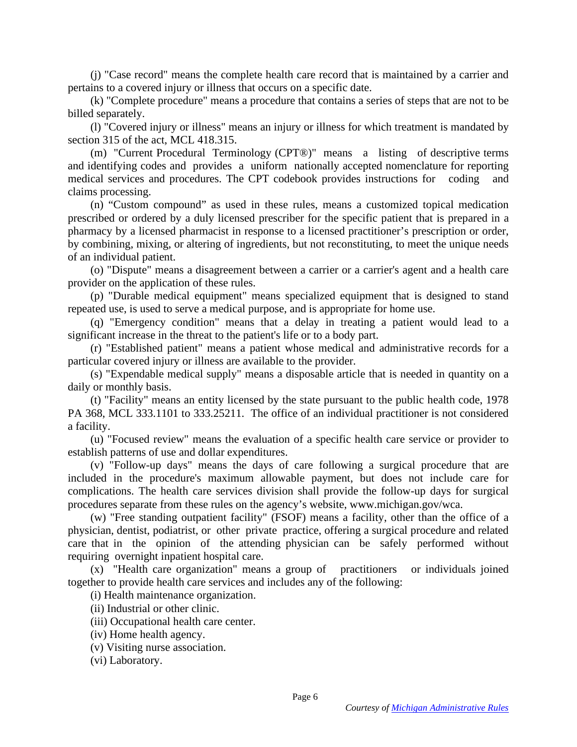(j) "Case record" means the complete health care record that is maintained by a carrier and pertains to a covered injury or illness that occurs on a specific date.

 (k) "Complete procedure" means a procedure that contains a series of steps that are not to be billed separately.

 (l) "Covered injury or illness" means an injury or illness for which treatment is mandated by section 315 of the act, MCL 418.315.

 (m) "Current Procedural Terminology (CPT®)" means a listing of descriptive terms and identifying codes and provides a uniform nationally accepted nomenclature for reporting medical services and procedures. The CPT codebook provides instructions for coding and claims processing.

 (n) "Custom compound" as used in these rules, means a customized topical medication prescribed or ordered by a duly licensed prescriber for the specific patient that is prepared in a pharmacy by a licensed pharmacist in response to a licensed practitioner's prescription or order, by combining, mixing, or altering of ingredients, but not reconstituting, to meet the unique needs of an individual patient.

 (o) "Dispute" means a disagreement between a carrier or a carrier's agent and a health care provider on the application of these rules.

 (p) "Durable medical equipment" means specialized equipment that is designed to stand repeated use, is used to serve a medical purpose, and is appropriate for home use.

 (q) "Emergency condition" means that a delay in treating a patient would lead to a significant increase in the threat to the patient's life or to a body part.

 (r) "Established patient" means a patient whose medical and administrative records for a particular covered injury or illness are available to the provider.

 (s) "Expendable medical supply" means a disposable article that is needed in quantity on a daily or monthly basis.

 (t) "Facility" means an entity licensed by the state pursuant to the public health code, 1978 PA 368, MCL 333.1101 to 333.25211. The office of an individual practitioner is not considered a facility.

 (u) "Focused review" means the evaluation of a specific health care service or provider to establish patterns of use and dollar expenditures.

 (v) "Follow-up days" means the days of care following a surgical procedure that are included in the procedure's maximum allowable payment, but does not include care for complications. The health care services division shall provide the follow-up days for surgical procedures separate from these rules on the agency's website, www.michigan.gov/wca.

 (w) "Free standing outpatient facility" (FSOF) means a facility, other than the office of a physician, dentist, podiatrist, or other private practice, offering a surgical procedure and related care that in the opinion of the attending physician can be safely performed without requiring overnight inpatient hospital care.

 (x) "Health care organization" means a group of practitioners or individuals joined together to provide health care services and includes any of the following:

(i) Health maintenance organization.

(ii) Industrial or other clinic.

- (iii) Occupational health care center.
- (iv) Home health agency.
- (v) Visiting nurse association.

(vi) Laboratory.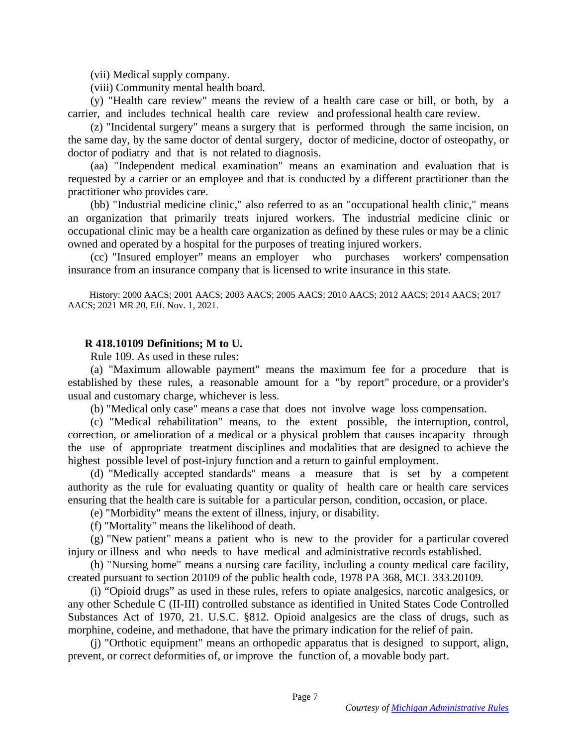(vii) Medical supply company.

(viii) Community mental health board.

 (y) "Health care review" means the review of a health care case or bill, or both, by a carrier, and includes technical health care review and professional health care review.

 (z) "Incidental surgery" means a surgery that is performed through the same incision, on the same day, by the same doctor of dental surgery, doctor of medicine, doctor of osteopathy, or doctor of podiatry and that is not related to diagnosis.

 (aa) "Independent medical examination" means an examination and evaluation that is requested by a carrier or an employee and that is conducted by a different practitioner than the practitioner who provides care.

 (bb) "Industrial medicine clinic," also referred to as an "occupational health clinic," means an organization that primarily treats injured workers. The industrial medicine clinic or occupational clinic may be a health care organization as defined by these rules or may be a clinic owned and operated by a hospital for the purposes of treating injured workers.

 (cc) "Insured employer" means an employer who purchases workers' compensation insurance from an insurance company that is licensed to write insurance in this state.

 History: 2000 AACS; 2001 AACS; 2003 AACS; 2005 AACS; 2010 AACS; 2012 AACS; 2014 AACS; 2017 AACS; 2021 MR 20, Eff. Nov. 1, 2021.

### **R 418.10109 Definitions; M to U.**

Rule 109. As used in these rules:

 (a) "Maximum allowable payment" means the maximum fee for a procedure that is established by these rules, a reasonable amount for a "by report" procedure, or a provider's usual and customary charge, whichever is less.

(b) "Medical only case" means a case that does not involve wage loss compensation.

 (c) "Medical rehabilitation" means, to the extent possible, the interruption, control, correction, or amelioration of a medical or a physical problem that causes incapacity through the use of appropriate treatment disciplines and modalities that are designed to achieve the highest possible level of post-injury function and a return to gainful employment.

 (d) "Medically accepted standards" means a measure that is set by a competent authority as the rule for evaluating quantity or quality of health care or health care services ensuring that the health care is suitable for a particular person, condition, occasion, or place.

(e) "Morbidity" means the extent of illness, injury, or disability.

(f) "Mortality" means the likelihood of death.

 (g) "New patient" means a patient who is new to the provider for a particular covered injury or illness and who needs to have medical and administrative records established.

 (h) "Nursing home" means a nursing care facility, including a county medical care facility, created pursuant to section 20109 of the public health code, 1978 PA 368, MCL 333.20109.

 (i) "Opioid drugs" as used in these rules, refers to opiate analgesics, narcotic analgesics, or any other Schedule C (II-III) controlled substance as identified in United States Code Controlled Substances Act of 1970, 21. U.S.C. §812. Opioid analgesics are the class of drugs, such as morphine, codeine, and methadone, that have the primary indication for the relief of pain.

 (j) "Orthotic equipment" means an orthopedic apparatus that is designed to support, align, prevent, or correct deformities of, or improve the function of, a movable body part.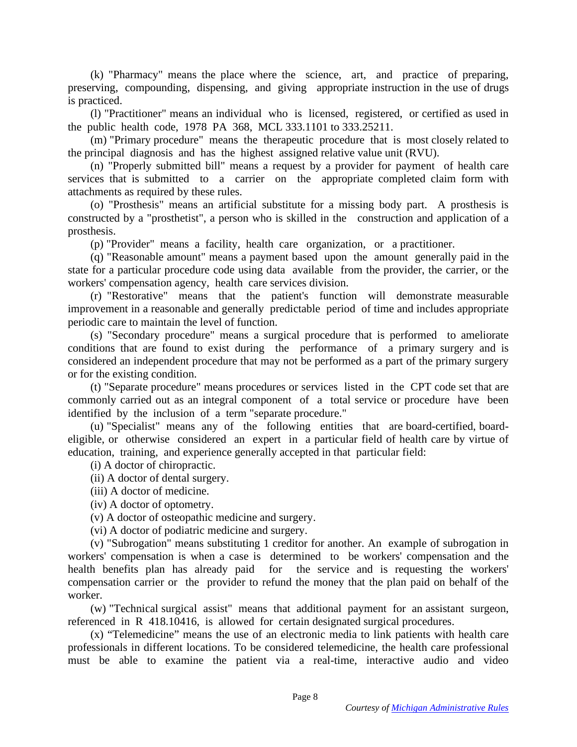(k) "Pharmacy" means the place where the science, art, and practice of preparing, preserving, compounding, dispensing, and giving appropriate instruction in the use of drugs is practiced.

 (l) "Practitioner" means an individual who is licensed, registered, or certified as used in the public health code, 1978 PA 368, MCL 333.1101 to 333.25211.

 (m) "Primary procedure" means the therapeutic procedure that is most closely related to the principal diagnosis and has the highest assigned relative value unit (RVU).

 (n) "Properly submitted bill" means a request by a provider for payment of health care services that is submitted to a carrier on the appropriate completed claim form with attachments as required by these rules.

 (o) "Prosthesis" means an artificial substitute for a missing body part. A prosthesis is constructed by a "prosthetist", a person who is skilled in the construction and application of a prosthesis.

(p) "Provider" means a facility, health care organization, or a practitioner.

 (q) "Reasonable amount" means a payment based upon the amount generally paid in the state for a particular procedure code using data available from the provider, the carrier, or the workers' compensation agency, health care services division.

 (r) "Restorative" means that the patient's function will demonstrate measurable improvement in a reasonable and generally predictable period of time and includes appropriate periodic care to maintain the level of function.

 (s) "Secondary procedure" means a surgical procedure that is performed to ameliorate conditions that are found to exist during the performance of a primary surgery and is considered an independent procedure that may not be performed as a part of the primary surgery or for the existing condition.

 (t) "Separate procedure" means procedures or services listed in the CPT code set that are commonly carried out as an integral component of a total service or procedure have been identified by the inclusion of a term "separate procedure."

 (u) "Specialist" means any of the following entities that are board-certified, boardeligible, or otherwise considered an expert in a particular field of health care by virtue of education, training, and experience generally accepted in that particular field:

(i) A doctor of chiropractic.

(ii) A doctor of dental surgery.

(iii) A doctor of medicine.

(iv) A doctor of optometry.

(v) A doctor of osteopathic medicine and surgery.

(vi) A doctor of podiatric medicine and surgery.

 (v) "Subrogation" means substituting 1 creditor for another. An example of subrogation in workers' compensation is when a case is determined to be workers' compensation and the health benefits plan has already paid for the service and is requesting the workers' compensation carrier or the provider to refund the money that the plan paid on behalf of the worker.

 (w) "Technical surgical assist" means that additional payment for an assistant surgeon, referenced in R 418.10416, is allowed for certain designated surgical procedures.

 (x) "Telemedicine" means the use of an electronic media to link patients with health care professionals in different locations. To be considered telemedicine, the health care professional must be able to examine the patient via a real-time, interactive audio and video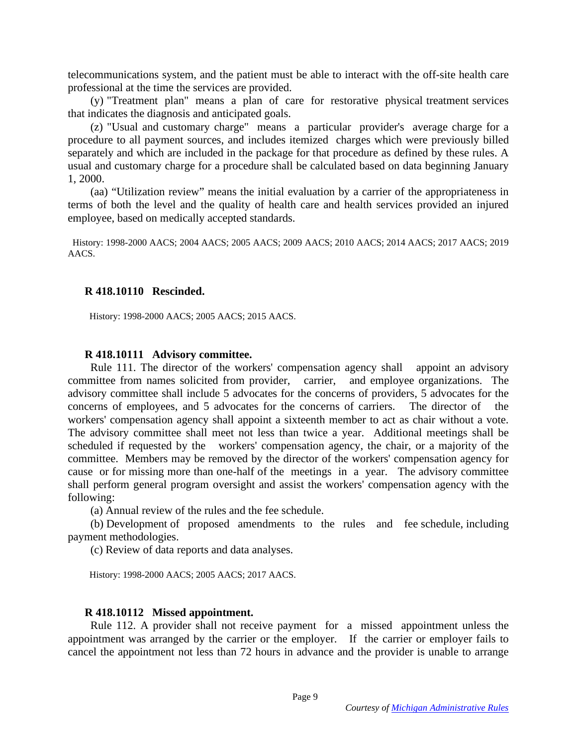telecommunications system, and the patient must be able to interact with the off-site health care professional at the time the services are provided.

 (y) "Treatment plan" means a plan of care for restorative physical treatment services that indicates the diagnosis and anticipated goals.

 (z) "Usual and customary charge" means a particular provider's average charge for a procedure to all payment sources, and includes itemized charges which were previously billed separately and which are included in the package for that procedure as defined by these rules. A usual and customary charge for a procedure shall be calculated based on data beginning January 1, 2000.

 (aa) "Utilization review" means the initial evaluation by a carrier of the appropriateness in terms of both the level and the quality of health care and health services provided an injured employee, based on medically accepted standards.

 History: 1998-2000 AACS; 2004 AACS; 2005 AACS; 2009 AACS; 2010 AACS; 2014 AACS; 2017 AACS; 2019 AACS.

#### **R 418.10110 Rescinded.**

History: 1998-2000 AACS; 2005 AACS; 2015 AACS.

#### **R 418.10111 Advisory committee.**

 Rule 111. The director of the workers' compensation agency shall appoint an advisory committee from names solicited from provider, carrier, and employee organizations. The advisory committee shall include 5 advocates for the concerns of providers, 5 advocates for the concerns of employees, and 5 advocates for the concerns of carriers. The director of the workers' compensation agency shall appoint a sixteenth member to act as chair without a vote. The advisory committee shall meet not less than twice a year. Additional meetings shall be scheduled if requested by the workers' compensation agency, the chair, or a majority of the committee. Members may be removed by the director of the workers' compensation agency for cause or for missing more than one-half of the meetings in a year. The advisory committee shall perform general program oversight and assist the workers' compensation agency with the following:

(a) Annual review of the rules and the fee schedule.

 (b) Development of proposed amendments to the rules and fee schedule, including payment methodologies.

(c) Review of data reports and data analyses.

History: 1998-2000 AACS; 2005 AACS; 2017 AACS.

### **R 418.10112 Missed appointment.**

 Rule 112. A provider shall not receive payment for a missed appointment unless the appointment was arranged by the carrier or the employer. If the carrier or employer fails to cancel the appointment not less than 72 hours in advance and the provider is unable to arrange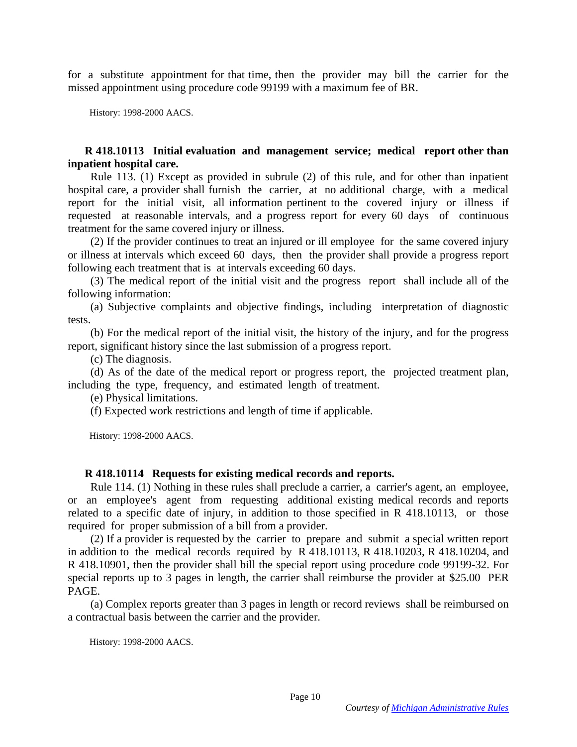for a substitute appointment for that time, then the provider may bill the carrier for the missed appointment using procedure code 99199 with a maximum fee of BR.

History: 1998-2000 AACS.

## **R 418.10113 Initial evaluation and management service; medical report other than inpatient hospital care.**

 Rule 113. (1) Except as provided in subrule (2) of this rule, and for other than inpatient hospital care, a provider shall furnish the carrier, at no additional charge, with a medical report for the initial visit, all information pertinent to the covered injury or illness if requested at reasonable intervals, and a progress report for every 60 days of continuous treatment for the same covered injury or illness.

 (2) If the provider continues to treat an injured or ill employee for the same covered injury or illness at intervals which exceed 60 days, then the provider shall provide a progress report following each treatment that is at intervals exceeding 60 days.

 (3) The medical report of the initial visit and the progress report shall include all of the following information:

 (a) Subjective complaints and objective findings, including interpretation of diagnostic tests.

 (b) For the medical report of the initial visit, the history of the injury, and for the progress report, significant history since the last submission of a progress report.

(c) The diagnosis.

 (d) As of the date of the medical report or progress report, the projected treatment plan, including the type, frequency, and estimated length of treatment.

(e) Physical limitations.

(f) Expected work restrictions and length of time if applicable.

History: 1998-2000 AACS.

## **R 418.10114 Requests for existing medical records and reports.**

 Rule 114. (1) Nothing in these rules shall preclude a carrier, a carrier's agent, an employee, or an employee's agent from requesting additional existing medical records and reports related to a specific date of injury, in addition to those specified in R 418.10113, or those required for proper submission of a bill from a provider.

 (2) If a provider is requested by the carrier to prepare and submit a special written report in addition to the medical records required by R 418.10113, R 418.10203, R 418.10204, and R 418.10901, then the provider shall bill the special report using procedure code 99199-32. For special reports up to 3 pages in length, the carrier shall reimburse the provider at \$25.00 PER PAGE.

 (a) Complex reports greater than 3 pages in length or record reviews shall be reimbursed on a contractual basis between the carrier and the provider.

History: 1998-2000 AACS.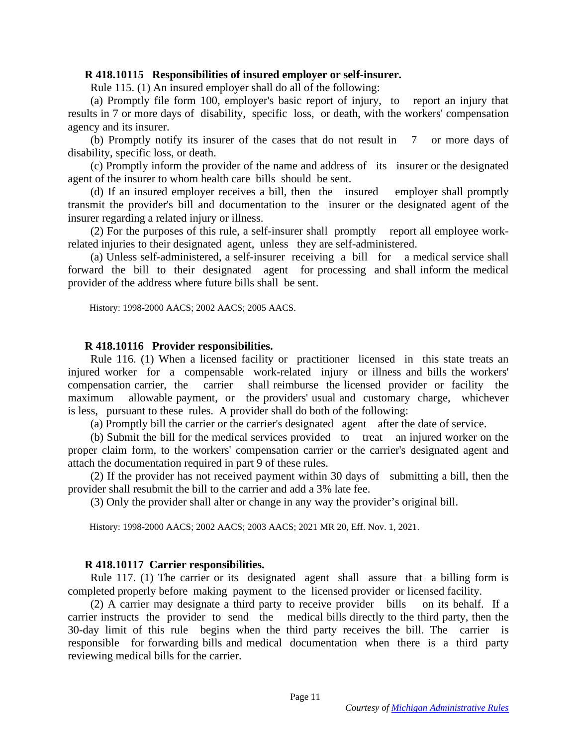#### **R 418.10115 Responsibilities of insured employer or self-insurer.**

Rule 115. (1) An insured employer shall do all of the following:

 (a) Promptly file form 100, employer's basic report of injury, to report an injury that results in 7 or more days of disability, specific loss, or death, with the workers' compensation agency and its insurer.

 (b) Promptly notify its insurer of the cases that do not result in 7 or more days of disability, specific loss, or death.

 (c) Promptly inform the provider of the name and address of its insurer or the designated agent of the insurer to whom health care bills should be sent.

 (d) If an insured employer receives a bill, then the insured employer shall promptly transmit the provider's bill and documentation to the insurer or the designated agent of the insurer regarding a related injury or illness.

 (2) For the purposes of this rule, a self-insurer shall promptly report all employee workrelated injuries to their designated agent, unless they are self-administered.

 (a) Unless self-administered, a self-insurer receiving a bill for a medical service shall forward the bill to their designated agent for processing and shall inform the medical provider of the address where future bills shall be sent.

History: 1998-2000 AACS; 2002 AACS; 2005 AACS.

#### **R 418.10116 Provider responsibilities.**

 Rule 116. (1) When a licensed facility or practitioner licensed in this state treats an injured worker for a compensable work-related injury or illness and bills the workers' compensation carrier, the carrier shall reimburse the licensed provider or facility the maximum allowable payment, or the providers' usual and customary charge, whichever is less, pursuant to these rules. A provider shall do both of the following:

(a) Promptly bill the carrier or the carrier's designated agent after the date of service.

 (b) Submit the bill for the medical services provided to treat an injured worker on the proper claim form, to the workers' compensation carrier or the carrier's designated agent and attach the documentation required in part 9 of these rules.

 (2) If the provider has not received payment within 30 days of submitting a bill, then the provider shall resubmit the bill to the carrier and add a 3% late fee.

(3) Only the provider shall alter or change in any way the provider's original bill.

History: 1998-2000 AACS; 2002 AACS; 2003 AACS; 2021 MR 20, Eff. Nov. 1, 2021.

#### **R 418.10117 Carrier responsibilities.**

 Rule 117. (1) The carrier or its designated agent shall assure that a billing form is completed properly before making payment to the licensed provider or licensed facility.

 (2) A carrier may designate a third party to receive provider bills on its behalf. If a carrier instructs the provider to send the medical bills directly to the third party, then the 30-day limit of this rule begins when the third party receives the bill. The carrier is responsible for forwarding bills and medical documentation when there is a third party reviewing medical bills for the carrier.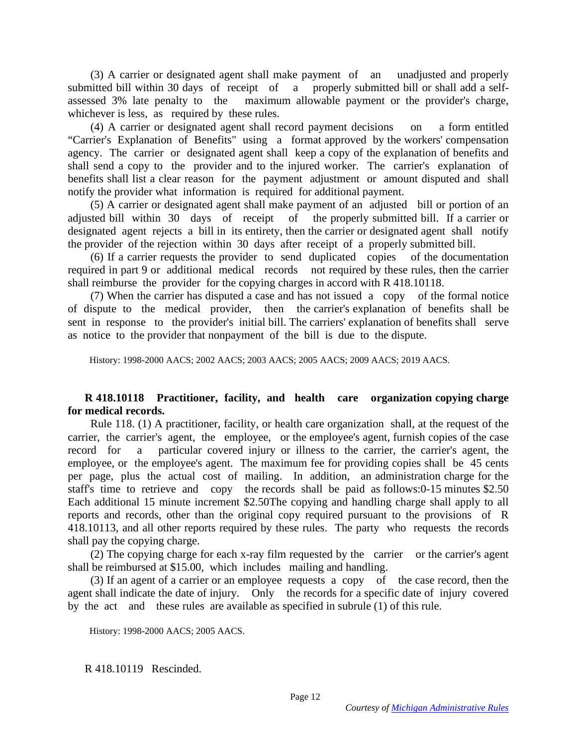(3) A carrier or designated agent shall make payment of an unadjusted and properly submitted bill within 30 days of receipt of a properly submitted bill or shall add a selfassessed 3% late penalty to the maximum allowable payment or the provider's charge, whichever is less, as required by these rules.

 (4) A carrier or designated agent shall record payment decisions on a form entitled "Carrier's Explanation of Benefits" using a format approved by the workers' compensation agency. The carrier or designated agent shall keep a copy of the explanation of benefits and shall send a copy to the provider and to the injured worker. The carrier's explanation of benefits shall list a clear reason for the payment adjustment or amount disputed and shall notify the provider what information is required for additional payment.

 (5) A carrier or designated agent shall make payment of an adjusted bill or portion of an adjusted bill within 30 days of receipt of the properly submitted bill. If a carrier or designated agent rejects a bill in its entirety, then the carrier or designated agent shall notify the provider of the rejection within 30 days after receipt of a properly submitted bill.

 (6) If a carrier requests the provider to send duplicated copies of the documentation required in part 9 or additional medical records not required by these rules, then the carrier shall reimburse the provider for the copying charges in accord with R 418.10118.

 (7) When the carrier has disputed a case and has not issued a copy of the formal notice of dispute to the medical provider, then the carrier's explanation of benefits shall be sent in response to the provider's initial bill. The carriers' explanation of benefits shall serve as notice to the provider that nonpayment of the bill is due to the dispute.

History: 1998-2000 AACS; 2002 AACS; 2003 AACS; 2005 AACS; 2009 AACS; 2019 AACS.

## **R 418.10118 Practitioner, facility, and health care organization copying charge for medical records.**

 Rule 118. (1) A practitioner, facility, or health care organization shall, at the request of the carrier, the carrier's agent, the employee, or the employee's agent, furnish copies of the case record for a particular covered injury or illness to the carrier, the carrier's agent, the employee, or the employee's agent. The maximum fee for providing copies shall be 45 cents per page, plus the actual cost of mailing. In addition, an administration charge for the staff's time to retrieve and copy the records shall be paid as follows:0-15 minutes \$2.50 Each additional 15 minute increment \$2.50The copying and handling charge shall apply to all reports and records, other than the original copy required pursuant to the provisions of R 418.10113, and all other reports required by these rules. The party who requests the records shall pay the copying charge.

 (2) The copying charge for each x-ray film requested by the carrier or the carrier's agent shall be reimbursed at \$15.00, which includes mailing and handling.

 (3) If an agent of a carrier or an employee requests a copy of the case record, then the agent shall indicate the date of injury. Only the records for a specific date of injury covered by the act and these rules are available as specified in subrule (1) of this rule.

History: 1998-2000 AACS; 2005 AACS.

R 418.10119 Rescinded.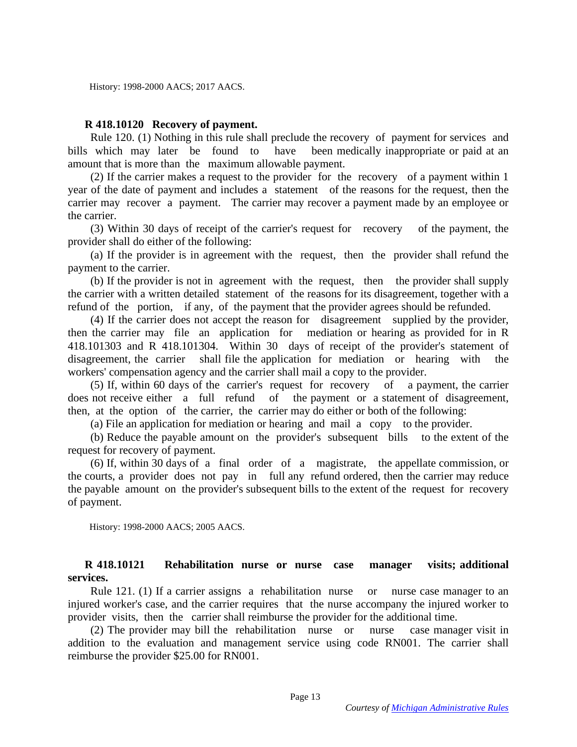## **R 418.10120 Recovery of payment.**

 Rule 120. (1) Nothing in this rule shall preclude the recovery of payment for services and bills which may later be found to have been medically inappropriate or paid at an amount that is more than the maximum allowable payment.

 (2) If the carrier makes a request to the provider for the recovery of a payment within 1 year of the date of payment and includes a statement of the reasons for the request, then the carrier may recover a payment. The carrier may recover a payment made by an employee or the carrier.

 (3) Within 30 days of receipt of the carrier's request for recovery of the payment, the provider shall do either of the following:

 (a) If the provider is in agreement with the request, then the provider shall refund the payment to the carrier.

 (b) If the provider is not in agreement with the request, then the provider shall supply the carrier with a written detailed statement of the reasons for its disagreement, together with a refund of the portion, if any, of the payment that the provider agrees should be refunded.

 (4) If the carrier does not accept the reason for disagreement supplied by the provider, then the carrier may file an application for mediation or hearing as provided for in R 418.101303 and R 418.101304. Within 30 days of receipt of the provider's statement of disagreement, the carrier shall file the application for mediation or hearing with the workers' compensation agency and the carrier shall mail a copy to the provider.

 (5) If, within 60 days of the carrier's request for recovery of a payment, the carrier does not receive either a full refund of the payment or a statement of disagreement, then, at the option of the carrier, the carrier may do either or both of the following:

(a) File an application for mediation or hearing and mail a copy to the provider.

 (b) Reduce the payable amount on the provider's subsequent bills to the extent of the request for recovery of payment.

 (6) If, within 30 days of a final order of a magistrate, the appellate commission, or the courts, a provider does not pay in full any refund ordered, then the carrier may reduce the payable amount on the provider's subsequent bills to the extent of the request for recovery of payment.

History: 1998-2000 AACS; 2005 AACS.

## **R 418.10121 Rehabilitation nurse or nurse case manager visits; additional services.**

 Rule 121. (1) If a carrier assigns a rehabilitation nurse or nurse case manager to an injured worker's case, and the carrier requires that the nurse accompany the injured worker to provider visits, then the carrier shall reimburse the provider for the additional time.

 (2) The provider may bill the rehabilitation nurse or nurse case manager visit in addition to the evaluation and management service using code RN001. The carrier shall reimburse the provider \$25.00 for RN001.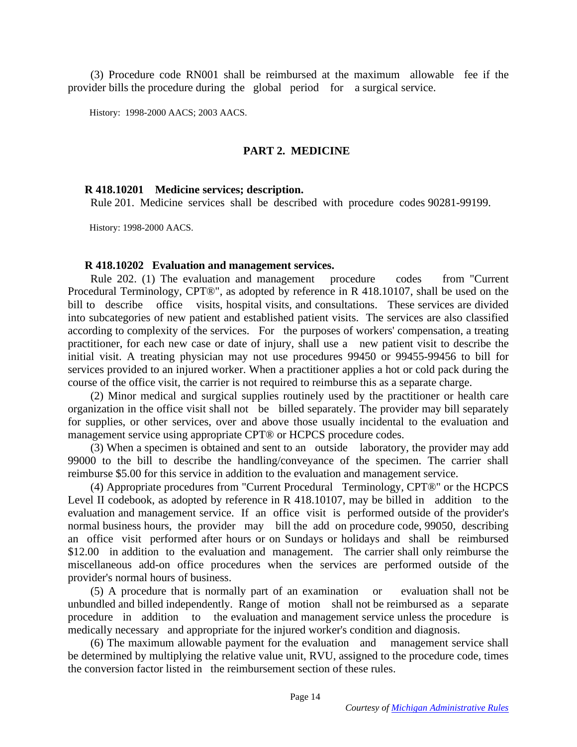(3) Procedure code RN001 shall be reimbursed at the maximum allowable fee if the provider bills the procedure during the global period for a surgical service.

History: 1998-2000 AACS; 2003 AACS.

## **PART 2. MEDICINE**

### **R 418.10201 Medicine services; description.**

Rule 201. Medicine services shall be described with procedure codes 90281-99199.

History: 1998-2000 AACS.

#### **R 418.10202 Evaluation and management services.**

 Rule 202. (1) The evaluation and management procedure codes from "Current Procedural Terminology, CPT®", as adopted by reference in R 418.10107, shall be used on the bill to describe office visits, hospital visits, and consultations. These services are divided into subcategories of new patient and established patient visits. The services are also classified according to complexity of the services. For the purposes of workers' compensation, a treating practitioner, for each new case or date of injury, shall use a new patient visit to describe the initial visit. A treating physician may not use procedures 99450 or 99455-99456 to bill for services provided to an injured worker. When a practitioner applies a hot or cold pack during the course of the office visit, the carrier is not required to reimburse this as a separate charge.

 (2) Minor medical and surgical supplies routinely used by the practitioner or health care organization in the office visit shall not be billed separately. The provider may bill separately for supplies, or other services, over and above those usually incidental to the evaluation and management service using appropriate CPT® or HCPCS procedure codes.

 (3) When a specimen is obtained and sent to an outside laboratory, the provider may add 99000 to the bill to describe the handling/conveyance of the specimen. The carrier shall reimburse \$5.00 for this service in addition to the evaluation and management service.

 (4) Appropriate procedures from "Current Procedural Terminology, CPT®" or the HCPCS Level II codebook, as adopted by reference in R 418.10107, may be billed in addition to the evaluation and management service. If an office visit is performed outside of the provider's normal business hours, the provider may bill the add on procedure code, 99050, describing an office visit performed after hours or on Sundays or holidays and shall be reimbursed \$12.00 in addition to the evaluation and management. The carrier shall only reimburse the miscellaneous add-on office procedures when the services are performed outside of the provider's normal hours of business.

 (5) A procedure that is normally part of an examination or evaluation shall not be unbundled and billed independently. Range of motion shall not be reimbursed as a separate procedure in addition to the evaluation and management service unless the procedure is medically necessary and appropriate for the injured worker's condition and diagnosis.

 (6) The maximum allowable payment for the evaluation and management service shall be determined by multiplying the relative value unit, RVU, assigned to the procedure code, times the conversion factor listed in the reimbursement section of these rules.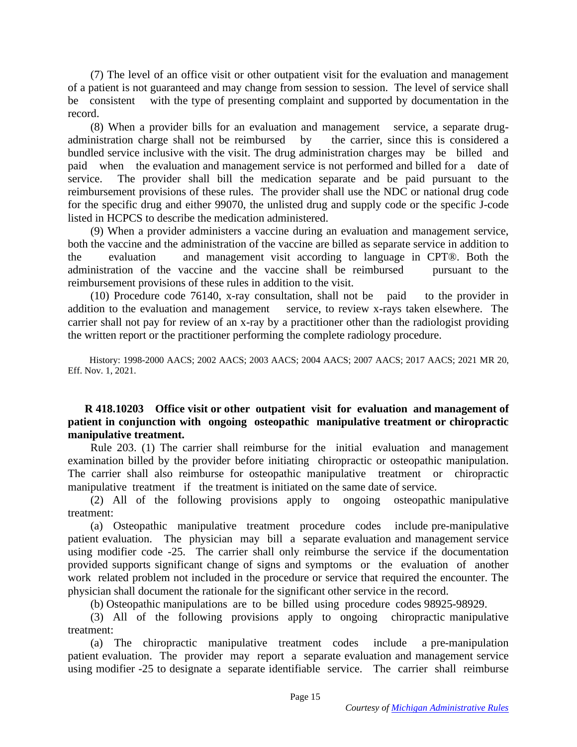(7) The level of an office visit or other outpatient visit for the evaluation and management of a patient is not guaranteed and may change from session to session. The level of service shall be consistent with the type of presenting complaint and supported by documentation in the record.

 (8) When a provider bills for an evaluation and management service, a separate drugadministration charge shall not be reimbursed by the carrier, since this is considered a bundled service inclusive with the visit. The drug administration charges may be billed and paid when the evaluation and management service is not performed and billed for a date of service. The provider shall bill the medication separate and be paid pursuant to the reimbursement provisions of these rules. The provider shall use the NDC or national drug code for the specific drug and either 99070, the unlisted drug and supply code or the specific J-code listed in HCPCS to describe the medication administered.

 (9) When a provider administers a vaccine during an evaluation and management service, both the vaccine and the administration of the vaccine are billed as separate service in addition to the evaluation and management visit according to language in CPT®. Both the administration of the vaccine and the vaccine shall be reimbursed pursuant to the reimbursement provisions of these rules in addition to the visit.

 (10) Procedure code 76140, x-ray consultation, shall not be paid to the provider in addition to the evaluation and management service, to review x-rays taken elsewhere. The carrier shall not pay for review of an x-ray by a practitioner other than the radiologist providing the written report or the practitioner performing the complete radiology procedure.

 History: 1998-2000 AACS; 2002 AACS; 2003 AACS; 2004 AACS; 2007 AACS; 2017 AACS; 2021 MR 20, Eff. Nov. 1, 2021.

## **R 418.10203 Office visit or other outpatient visit for evaluation and management of patient in conjunction with ongoing osteopathic manipulative treatment or chiropractic manipulative treatment.**

 Rule 203. (1) The carrier shall reimburse for the initial evaluation and management examination billed by the provider before initiating chiropractic or osteopathic manipulation. The carrier shall also reimburse for osteopathic manipulative treatment or chiropractic manipulative treatment if the treatment is initiated on the same date of service.

 (2) All of the following provisions apply to ongoing osteopathic manipulative treatment:

 (a) Osteopathic manipulative treatment procedure codes include pre-manipulative patient evaluation. The physician may bill a separate evaluation and management service using modifier code -25. The carrier shall only reimburse the service if the documentation provided supports significant change of signs and symptoms or the evaluation of another work related problem not included in the procedure or service that required the encounter. The physician shall document the rationale for the significant other service in the record.

(b) Osteopathic manipulations are to be billed using procedure codes 98925-98929.

 (3) All of the following provisions apply to ongoing chiropractic manipulative treatment:

 (a) The chiropractic manipulative treatment codes include a pre-manipulation patient evaluation. The provider may report a separate evaluation and management service using modifier -25 to designate a separate identifiable service. The carrier shall reimburse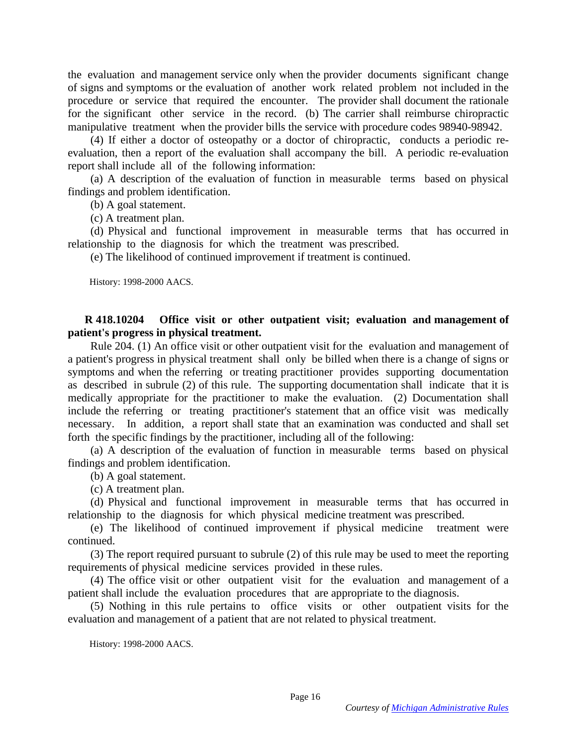the evaluation and management service only when the provider documents significant change of signs and symptoms or the evaluation of another work related problem not included in the procedure or service that required the encounter. The provider shall document the rationale for the significant other service in the record. (b) The carrier shall reimburse chiropractic manipulative treatment when the provider bills the service with procedure codes 98940-98942.

 (4) If either a doctor of osteopathy or a doctor of chiropractic, conducts a periodic reevaluation, then a report of the evaluation shall accompany the bill. A periodic re-evaluation report shall include all of the following information:

 (a) A description of the evaluation of function in measurable terms based on physical findings and problem identification.

(b) A goal statement.

(c) A treatment plan.

 (d) Physical and functional improvement in measurable terms that has occurred in relationship to the diagnosis for which the treatment was prescribed.

(e) The likelihood of continued improvement if treatment is continued.

History: 1998-2000 AACS.

## **R 418.10204 Office visit or other outpatient visit; evaluation and management of patient's progress in physical treatment.**

 Rule 204. (1) An office visit or other outpatient visit for the evaluation and management of a patient's progress in physical treatment shall only be billed when there is a change of signs or symptoms and when the referring or treating practitioner provides supporting documentation as described in subrule (2) of this rule. The supporting documentation shall indicate that it is medically appropriate for the practitioner to make the evaluation. (2) Documentation shall include the referring or treating practitioner's statement that an office visit was medically necessary. In addition, a report shall state that an examination was conducted and shall set forth the specific findings by the practitioner, including all of the following:

 (a) A description of the evaluation of function in measurable terms based on physical findings and problem identification.

(b) A goal statement.

(c) A treatment plan.

 (d) Physical and functional improvement in measurable terms that has occurred in relationship to the diagnosis for which physical medicine treatment was prescribed.

 (e) The likelihood of continued improvement if physical medicine treatment were continued.

 (3) The report required pursuant to subrule (2) of this rule may be used to meet the reporting requirements of physical medicine services provided in these rules.

 (4) The office visit or other outpatient visit for the evaluation and management of a patient shall include the evaluation procedures that are appropriate to the diagnosis.

 (5) Nothing in this rule pertains to office visits or other outpatient visits for the evaluation and management of a patient that are not related to physical treatment.

History: 1998-2000 AACS.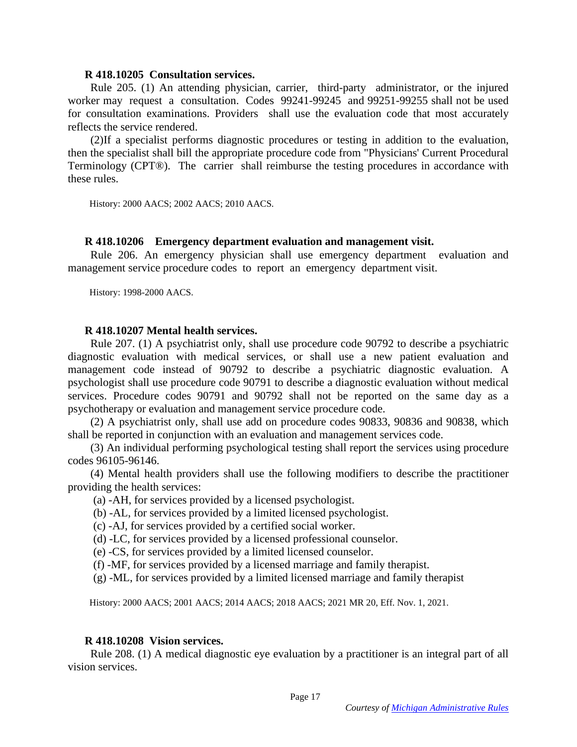### **R 418.10205 Consultation services.**

 Rule 205. (1) An attending physician, carrier, third-party administrator, or the injured worker may request a consultation. Codes 99241-99245 and 99251-99255 shall not be used for consultation examinations. Providers shall use the evaluation code that most accurately reflects the service rendered.

 (2)If a specialist performs diagnostic procedures or testing in addition to the evaluation, then the specialist shall bill the appropriate procedure code from "Physicians' Current Procedural Terminology (CPT®). The carrier shall reimburse the testing procedures in accordance with these rules.

History: 2000 AACS; 2002 AACS; 2010 AACS.

#### **R 418.10206 Emergency department evaluation and management visit.**

 Rule 206. An emergency physician shall use emergency department evaluation and management service procedure codes to report an emergency department visit.

History: 1998-2000 AACS.

#### **R 418.10207 Mental health services.**

 Rule 207. (1) A psychiatrist only, shall use procedure code 90792 to describe a psychiatric diagnostic evaluation with medical services, or shall use a new patient evaluation and management code instead of 90792 to describe a psychiatric diagnostic evaluation. A psychologist shall use procedure code 90791 to describe a diagnostic evaluation without medical services. Procedure codes 90791 and 90792 shall not be reported on the same day as a psychotherapy or evaluation and management service procedure code.

 (2) A psychiatrist only, shall use add on procedure codes 90833, 90836 and 90838, which shall be reported in conjunction with an evaluation and management services code.

 (3) An individual performing psychological testing shall report the services using procedure codes 96105-96146.

 (4) Mental health providers shall use the following modifiers to describe the practitioner providing the health services:

(a) -AH, for services provided by a licensed psychologist.

(b) -AL, for services provided by a limited licensed psychologist.

(c) -AJ, for services provided by a certified social worker.

(d) -LC, for services provided by a licensed professional counselor.

(e) -CS, for services provided by a limited licensed counselor.

(f) -MF, for services provided by a licensed marriage and family therapist.

(g) -ML, for services provided by a limited licensed marriage and family therapist

History: 2000 AACS; 2001 AACS; 2014 AACS; 2018 AACS; 2021 MR 20, Eff. Nov. 1, 2021.

#### **R 418.10208 Vision services.**

 Rule 208. (1) A medical diagnostic eye evaluation by a practitioner is an integral part of all vision services.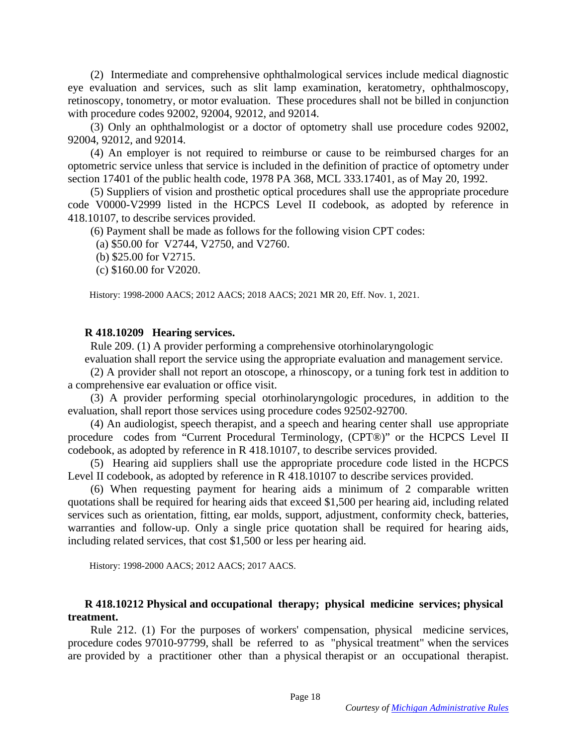(2) Intermediate and comprehensive ophthalmological services include medical diagnostic eye evaluation and services, such as slit lamp examination, keratometry, ophthalmoscopy, retinoscopy, tonometry, or motor evaluation. These procedures shall not be billed in conjunction with procedure codes 92002, 92004, 92012, and 92014.

 (3) Only an ophthalmologist or a doctor of optometry shall use procedure codes 92002, 92004, 92012, and 92014.

 (4) An employer is not required to reimburse or cause to be reimbursed charges for an optometric service unless that service is included in the definition of practice of optometry under section 17401 of the public health code, 1978 PA 368, MCL 333.17401, as of May 20, 1992.

 (5) Suppliers of vision and prosthetic optical procedures shall use the appropriate procedure code V0000-V2999 listed in the HCPCS Level II codebook, as adopted by reference in 418.10107, to describe services provided.

(6) Payment shall be made as follows for the following vision CPT codes:

(a) \$50.00 for V2744, V2750, and V2760.

(b) \$25.00 for V2715.

(c) \$160.00 for V2020.

History: 1998-2000 AACS; 2012 AACS; 2018 AACS; 2021 MR 20, Eff. Nov. 1, 2021.

#### **R 418.10209 Hearing services.**

Rule 209. (1) A provider performing a comprehensive otorhinolaryngologic

evaluation shall report the service using the appropriate evaluation and management service.

 (2) A provider shall not report an otoscope, a rhinoscopy, or a tuning fork test in addition to a comprehensive ear evaluation or office visit.

 (3) A provider performing special otorhinolaryngologic procedures, in addition to the evaluation, shall report those services using procedure codes 92502-92700.

 (4) An audiologist, speech therapist, and a speech and hearing center shall use appropriate procedure codes from "Current Procedural Terminology, (CPT®)" or the HCPCS Level II codebook, as adopted by reference in R 418.10107, to describe services provided.

 (5) Hearing aid suppliers shall use the appropriate procedure code listed in the HCPCS Level II codebook, as adopted by reference in R 418.10107 to describe services provided.

 (6) When requesting payment for hearing aids a minimum of 2 comparable written quotations shall be required for hearing aids that exceed \$1,500 per hearing aid, including related services such as orientation, fitting, ear molds, support, adjustment, conformity check, batteries, warranties and follow-up. Only a single price quotation shall be required for hearing aids, including related services, that cost \$1,500 or less per hearing aid.

History: 1998-2000 AACS; 2012 AACS; 2017 AACS.

## **R 418.10212 Physical and occupational therapy; physical medicine services; physical treatment.**

 Rule 212. (1) For the purposes of workers' compensation, physical medicine services, procedure codes 97010-97799, shall be referred to as "physical treatment" when the services are provided by a practitioner other than a physical therapist or an occupational therapist.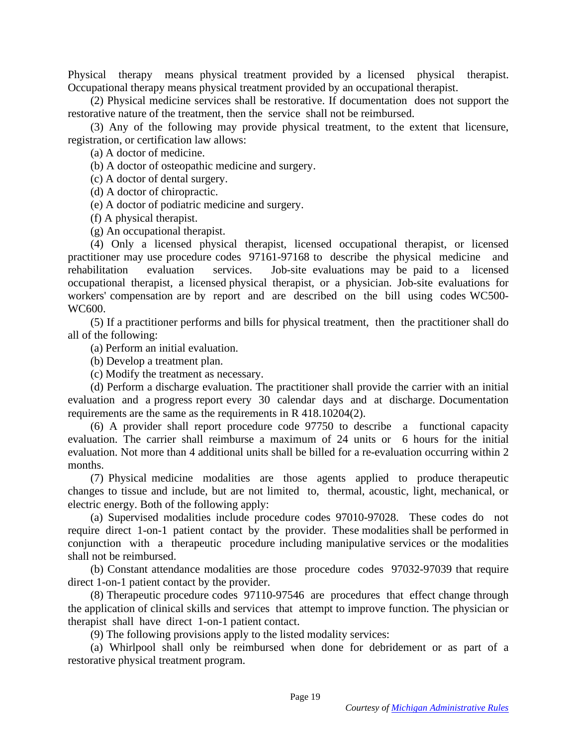Physical therapy means physical treatment provided by a licensed physical therapist. Occupational therapy means physical treatment provided by an occupational therapist.

 (2) Physical medicine services shall be restorative. If documentation does not support the restorative nature of the treatment, then the service shall not be reimbursed.

 (3) Any of the following may provide physical treatment, to the extent that licensure, registration, or certification law allows:

(a) A doctor of medicine.

(b) A doctor of osteopathic medicine and surgery.

(c) A doctor of dental surgery.

(d) A doctor of chiropractic.

(e) A doctor of podiatric medicine and surgery.

(f) A physical therapist.

(g) An occupational therapist.

 (4) Only a licensed physical therapist, licensed occupational therapist, or licensed practitioner may use procedure codes 97161-97168 to describe the physical medicine and rehabilitation evaluation services. Job-site evaluations may be paid to a licensed occupational therapist, a licensed physical therapist, or a physician. Job-site evaluations for workers' compensation are by report and are described on the bill using codes WC500- WC600.

 (5) If a practitioner performs and bills for physical treatment, then the practitioner shall do all of the following:

(a) Perform an initial evaluation.

(b) Develop a treatment plan.

(c) Modify the treatment as necessary.

 (d) Perform a discharge evaluation. The practitioner shall provide the carrier with an initial evaluation and a progress report every 30 calendar days and at discharge. Documentation requirements are the same as the requirements in R 418.10204(2).

 (6) A provider shall report procedure code 97750 to describe a functional capacity evaluation. The carrier shall reimburse a maximum of 24 units or 6 hours for the initial evaluation. Not more than 4 additional units shall be billed for a re-evaluation occurring within 2 months.

 (7) Physical medicine modalities are those agents applied to produce therapeutic changes to tissue and include, but are not limited to, thermal, acoustic, light, mechanical, or electric energy. Both of the following apply:

 (a) Supervised modalities include procedure codes 97010-97028. These codes do not require direct 1-on-1 patient contact by the provider. These modalities shall be performed in conjunction with a therapeutic procedure including manipulative services or the modalities shall not be reimbursed.

 (b) Constant attendance modalities are those procedure codes 97032-97039 that require direct 1-on-1 patient contact by the provider.

 (8) Therapeutic procedure codes 97110-97546 are procedures that effect change through the application of clinical skills and services that attempt to improve function. The physician or therapist shall have direct 1-on-1 patient contact.

(9) The following provisions apply to the listed modality services:

 (a) Whirlpool shall only be reimbursed when done for debridement or as part of a restorative physical treatment program.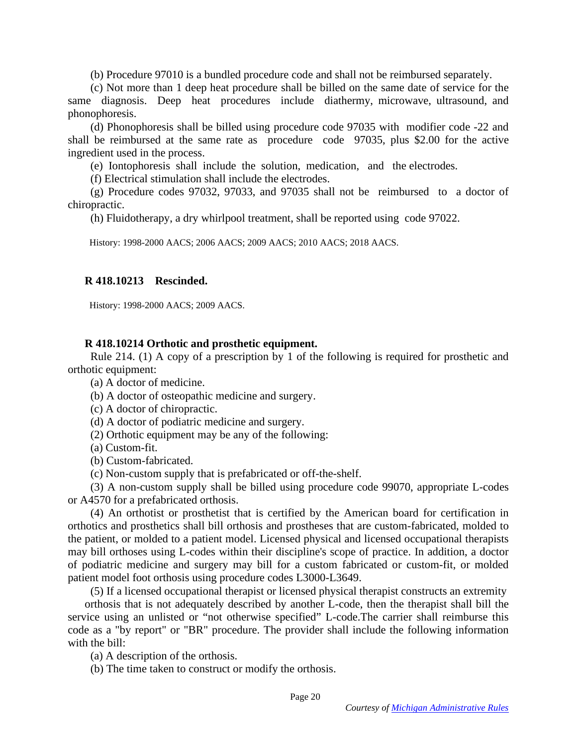(b) Procedure 97010 is a bundled procedure code and shall not be reimbursed separately.

 (c) Not more than 1 deep heat procedure shall be billed on the same date of service for the same diagnosis. Deep heat procedures include diathermy, microwave, ultrasound, and phonophoresis.

 (d) Phonophoresis shall be billed using procedure code 97035 with modifier code -22 and shall be reimbursed at the same rate as procedure code 97035, plus \$2.00 for the active ingredient used in the process.

(e) Iontophoresis shall include the solution, medication, and the electrodes.

(f) Electrical stimulation shall include the electrodes.

 (g) Procedure codes 97032, 97033, and 97035 shall not be reimbursed to a doctor of chiropractic.

(h) Fluidotherapy, a dry whirlpool treatment, shall be reported using code 97022.

History: 1998-2000 AACS; 2006 AACS; 2009 AACS; 2010 AACS; 2018 AACS.

## **R 418.10213 Rescinded.**

History: 1998-2000 AACS; 2009 AACS.

## **R 418.10214 Orthotic and prosthetic equipment.**

 Rule 214. (1) A copy of a prescription by 1 of the following is required for prosthetic and orthotic equipment:

(a) A doctor of medicine.

(b) A doctor of osteopathic medicine and surgery.

(c) A doctor of chiropractic.

(d) A doctor of podiatric medicine and surgery.

(2) Orthotic equipment may be any of the following:

(a) Custom-fit.

(b) Custom-fabricated.

(c) Non-custom supply that is prefabricated or off-the-shelf.

 (3) A non-custom supply shall be billed using procedure code 99070, appropriate L-codes or A4570 for a prefabricated orthosis.

 (4) An orthotist or prosthetist that is certified by the American board for certification in orthotics and prosthetics shall bill orthosis and prostheses that are custom-fabricated, molded to the patient, or molded to a patient model. Licensed physical and licensed occupational therapists may bill orthoses using L-codes within their discipline's scope of practice. In addition, a doctor of podiatric medicine and surgery may bill for a custom fabricated or custom-fit, or molded patient model foot orthosis using procedure codes L3000-L3649.

(5) If a licensed occupational therapist or licensed physical therapist constructs an extremity

orthosis that is not adequately described by another L-code, then the therapist shall bill the service using an unlisted or "not otherwise specified" L-code.The carrier shall reimburse this code as a "by report" or "BR" procedure. The provider shall include the following information with the bill:

(a) A description of the orthosis.

(b) The time taken to construct or modify the orthosis.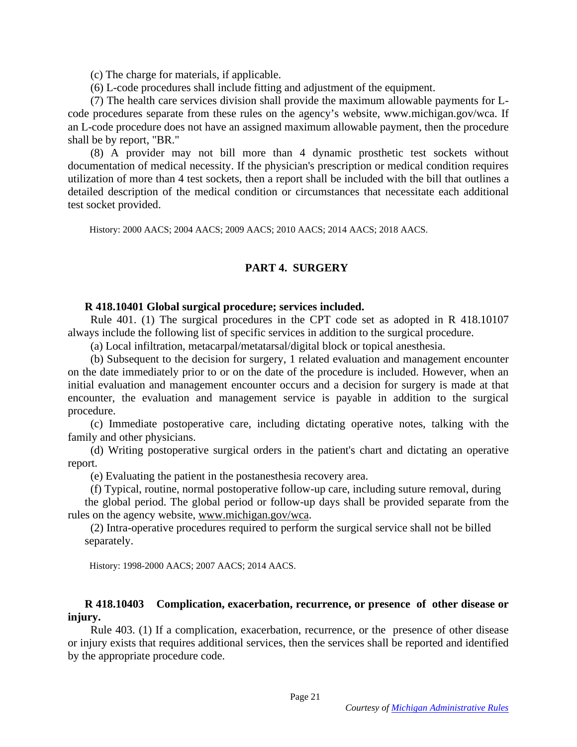(c) The charge for materials, if applicable.

(6) L-code procedures shall include fitting and adjustment of the equipment.

 (7) The health care services division shall provide the maximum allowable payments for Lcode procedures separate from these rules on the agency's website, www.michigan.gov/wca. If an L-code procedure does not have an assigned maximum allowable payment, then the procedure shall be by report, "BR."

 (8) A provider may not bill more than 4 dynamic prosthetic test sockets without documentation of medical necessity. If the physician's prescription or medical condition requires utilization of more than 4 test sockets, then a report shall be included with the bill that outlines a detailed description of the medical condition or circumstances that necessitate each additional test socket provided.

History: 2000 AACS; 2004 AACS; 2009 AACS; 2010 AACS; 2014 AACS; 2018 AACS.

### **PART 4. SURGERY**

### **R 418.10401 Global surgical procedure; services included.**

 Rule 401. (1) The surgical procedures in the CPT code set as adopted in R 418.10107 always include the following list of specific services in addition to the surgical procedure.

(a) Local infiltration, metacarpal/metatarsal/digital block or topical anesthesia.

 (b) Subsequent to the decision for surgery, 1 related evaluation and management encounter on the date immediately prior to or on the date of the procedure is included. However, when an initial evaluation and management encounter occurs and a decision for surgery is made at that encounter, the evaluation and management service is payable in addition to the surgical procedure.

 (c) Immediate postoperative care, including dictating operative notes, talking with the family and other physicians.

 (d) Writing postoperative surgical orders in the patient's chart and dictating an operative report.

(e) Evaluating the patient in the postanesthesia recovery area.

(f) Typical, routine, normal postoperative follow-up care, including suture removal, during

the global period. The global period or follow-up days shall be provided separate from the rules on the agency website, [www.michigan.gov/wca.](http://www.michigan.gov/wca)

 (2) Intra-operative procedures required to perform the surgical service shall not be billed separately.

History: 1998-2000 AACS; 2007 AACS; 2014 AACS.

## **R 418.10403 Complication, exacerbation, recurrence, or presence of other disease or injury.**

 Rule 403. (1) If a complication, exacerbation, recurrence, or the presence of other disease or injury exists that requires additional services, then the services shall be reported and identified by the appropriate procedure code.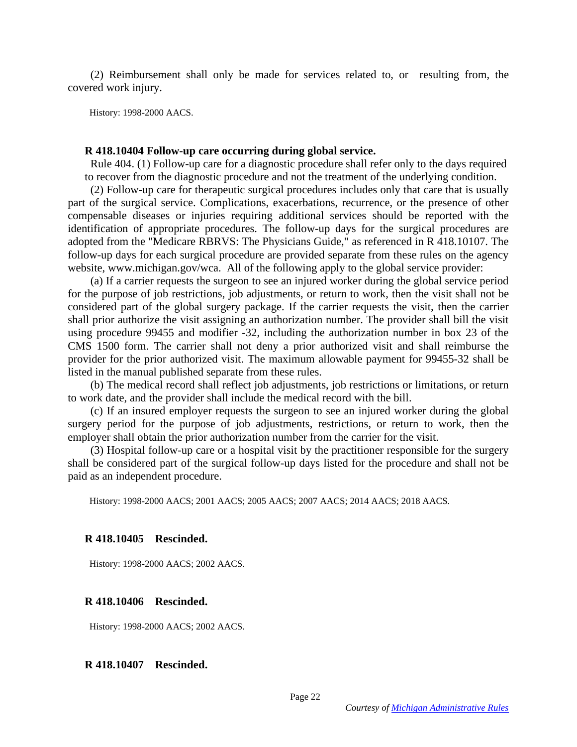(2) Reimbursement shall only be made for services related to, or resulting from, the covered work injury.

History: 1998-2000 AACS.

#### **R 418.10404 Follow-up care occurring during global service.**

 Rule 404. (1) Follow-up care for a diagnostic procedure shall refer only to the days required to recover from the diagnostic procedure and not the treatment of the underlying condition.

 (2) Follow-up care for therapeutic surgical procedures includes only that care that is usually part of the surgical service. Complications, exacerbations, recurrence, or the presence of other compensable diseases or injuries requiring additional services should be reported with the identification of appropriate procedures. The follow-up days for the surgical procedures are adopted from the "Medicare RBRVS: The Physicians Guide," as referenced in R 418.10107. The follow-up days for each surgical procedure are provided separate from these rules on the agency website, www.michigan.gov/wca. All of the following apply to the global service provider:

 (a) If a carrier requests the surgeon to see an injured worker during the global service period for the purpose of job restrictions, job adjustments, or return to work, then the visit shall not be considered part of the global surgery package. If the carrier requests the visit, then the carrier shall prior authorize the visit assigning an authorization number. The provider shall bill the visit using procedure 99455 and modifier -32, including the authorization number in box 23 of the CMS 1500 form. The carrier shall not deny a prior authorized visit and shall reimburse the provider for the prior authorized visit. The maximum allowable payment for 99455-32 shall be listed in the manual published separate from these rules.

 (b) The medical record shall reflect job adjustments, job restrictions or limitations, or return to work date, and the provider shall include the medical record with the bill.

 (c) If an insured employer requests the surgeon to see an injured worker during the global surgery period for the purpose of job adjustments, restrictions, or return to work, then the employer shall obtain the prior authorization number from the carrier for the visit.

 (3) Hospital follow-up care or a hospital visit by the practitioner responsible for the surgery shall be considered part of the surgical follow-up days listed for the procedure and shall not be paid as an independent procedure.

History: 1998-2000 AACS; 2001 AACS; 2005 AACS; 2007 AACS; 2014 AACS; 2018 AACS.

#### **R 418.10405 Rescinded.**

History: 1998-2000 AACS; 2002 AACS.

### **R 418.10406 Rescinded.**

History: 1998-2000 AACS; 2002 AACS.

#### **R 418.10407 Rescinded.**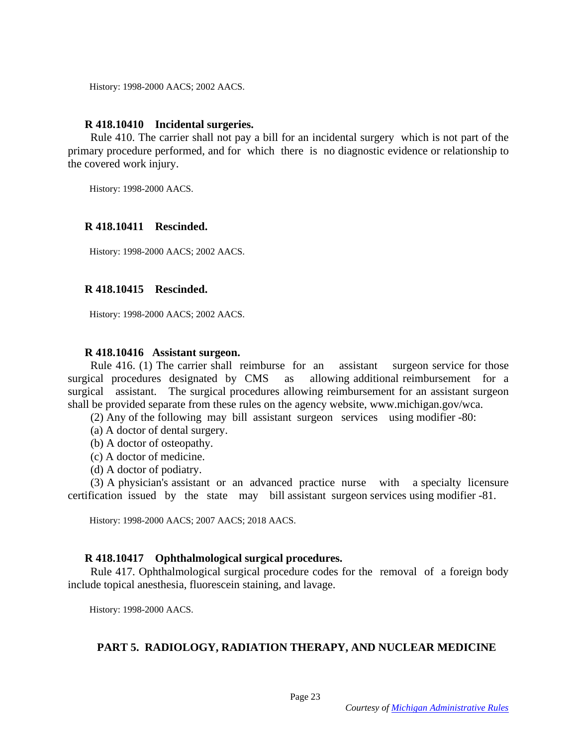History: 1998-2000 AACS; 2002 AACS.

### **R 418.10410 Incidental surgeries.**

 Rule 410. The carrier shall not pay a bill for an incidental surgery which is not part of the primary procedure performed, and for which there is no diagnostic evidence or relationship to the covered work injury.

History: 1998-2000 AACS.

### **R 418.10411 Rescinded.**

History: 1998-2000 AACS; 2002 AACS.

### **R 418.10415 Rescinded.**

History: 1998-2000 AACS; 2002 AACS.

#### **R 418.10416 Assistant surgeon.**

 Rule 416. (1) The carrier shall reimburse for an assistant surgeon service for those surgical procedures designated by CMS as allowing additional reimbursement for a surgical assistant. The surgical procedures allowing reimbursement for an assistant surgeon shall be provided separate from these rules on the agency website, www.michigan.gov/wca.

(2) Any of the following may bill assistant surgeon services using modifier -80:

- (a) A doctor of dental surgery.
- (b) A doctor of osteopathy.
- (c) A doctor of medicine.
- (d) A doctor of podiatry.

 (3) A physician's assistant or an advanced practice nurse with a specialty licensure certification issued by the state may bill assistant surgeon services using modifier -81.

History: 1998-2000 AACS; 2007 AACS; 2018 AACS.

### **R 418.10417 Ophthalmological surgical procedures.**

 Rule 417. Ophthalmological surgical procedure codes for the removal of a foreign body include topical anesthesia, fluorescein staining, and lavage.

History: 1998-2000 AACS.

### **PART 5. RADIOLOGY, RADIATION THERAPY, AND NUCLEAR MEDICINE**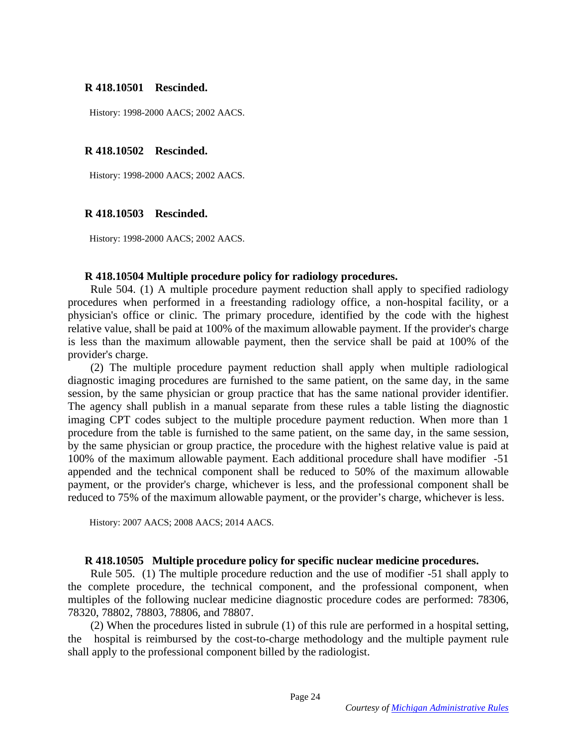### **R 418.10501 Rescinded.**

History: 1998-2000 AACS; 2002 AACS.

### **R 418.10502 Rescinded.**

History: 1998-2000 AACS; 2002 AACS.

## **R 418.10503 Rescinded.**

History: 1998-2000 AACS; 2002 AACS.

### **R 418.10504 Multiple procedure policy for radiology procedures.**

 Rule 504. (1) A multiple procedure payment reduction shall apply to specified radiology procedures when performed in a freestanding radiology office, a non-hospital facility, or a physician's office or clinic. The primary procedure, identified by the code with the highest relative value, shall be paid at 100% of the maximum allowable payment. If the provider's charge is less than the maximum allowable payment, then the service shall be paid at 100% of the provider's charge.

 (2) The multiple procedure payment reduction shall apply when multiple radiological diagnostic imaging procedures are furnished to the same patient, on the same day, in the same session, by the same physician or group practice that has the same national provider identifier. The agency shall publish in a manual separate from these rules a table listing the diagnostic imaging CPT codes subject to the multiple procedure payment reduction. When more than 1 procedure from the table is furnished to the same patient, on the same day, in the same session, by the same physician or group practice, the procedure with the highest relative value is paid at 100% of the maximum allowable payment. Each additional procedure shall have modifier -51 appended and the technical component shall be reduced to 50% of the maximum allowable payment, or the provider's charge, whichever is less, and the professional component shall be reduced to 75% of the maximum allowable payment, or the provider's charge, whichever is less.

History: 2007 AACS; 2008 AACS; 2014 AACS.

### **R 418.10505 Multiple procedure policy for specific nuclear medicine procedures.**

 Rule 505. (1) The multiple procedure reduction and the use of modifier -51 shall apply to the complete procedure, the technical component, and the professional component, when multiples of the following nuclear medicine diagnostic procedure codes are performed: 78306, 78320, 78802, 78803, 78806, and 78807.

 (2) When the procedures listed in subrule (1) of this rule are performed in a hospital setting, the hospital is reimbursed by the cost-to-charge methodology and the multiple payment rule shall apply to the professional component billed by the radiologist.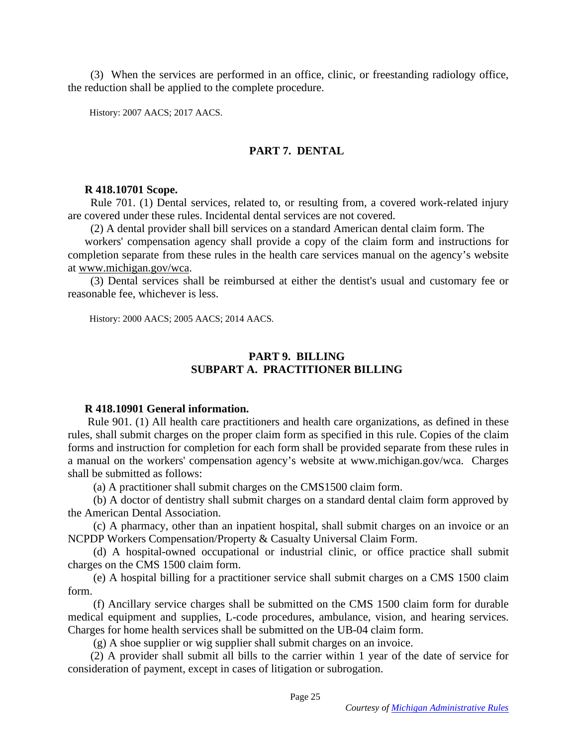(3) When the services are performed in an office, clinic, or freestanding radiology office, the reduction shall be applied to the complete procedure.

History: 2007 AACS; 2017 AACS.

# **PART 7. DENTAL**

### **R 418.10701 Scope.**

 Rule 701. (1) Dental services, related to, or resulting from, a covered work-related injury are covered under these rules. Incidental dental services are not covered.

(2) A dental provider shall bill services on a standard American dental claim form. The

workers' compensation agency shall provide a copy of the claim form and instructions for completion separate from these rules in the health care services manual on the agency's website at [www.michigan.gov/wca.](http://www.michigan.gov/wca)

 (3) Dental services shall be reimbursed at either the dentist's usual and customary fee or reasonable fee, whichever is less.

History: 2000 AACS; 2005 AACS; 2014 AACS.

## **PART 9. BILLING SUBPART A. PRACTITIONER BILLING**

### **R 418.10901 General information.**

 Rule 901. (1) All health care practitioners and health care organizations, as defined in these rules, shall submit charges on the proper claim form as specified in this rule. Copies of the claim forms and instruction for completion for each form shall be provided separate from these rules in a manual on the workers' compensation agency's website at www.michigan.gov/wca. Charges shall be submitted as follows:

(a) A practitioner shall submit charges on the CMS1500 claim form.

 (b) A doctor of dentistry shall submit charges on a standard dental claim form approved by the American Dental Association.

 (c) A pharmacy, other than an inpatient hospital, shall submit charges on an invoice or an NCPDP Workers Compensation/Property & Casualty Universal Claim Form.

 (d) A hospital-owned occupational or industrial clinic, or office practice shall submit charges on the CMS 1500 claim form.

 (e) A hospital billing for a practitioner service shall submit charges on a CMS 1500 claim form.

 (f) Ancillary service charges shall be submitted on the CMS 1500 claim form for durable medical equipment and supplies, L-code procedures, ambulance, vision, and hearing services. Charges for home health services shall be submitted on the UB-04 claim form.

(g) A shoe supplier or wig supplier shall submit charges on an invoice.

 (2) A provider shall submit all bills to the carrier within 1 year of the date of service for consideration of payment, except in cases of litigation or subrogation.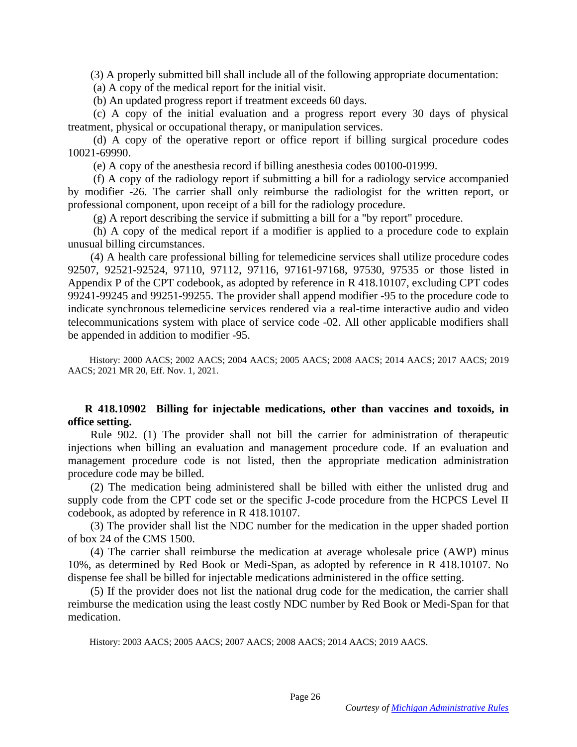(3) A properly submitted bill shall include all of the following appropriate documentation:

(a) A copy of the medical report for the initial visit.

(b) An updated progress report if treatment exceeds 60 days.

 (c) A copy of the initial evaluation and a progress report every 30 days of physical treatment, physical or occupational therapy, or manipulation services.

 (d) A copy of the operative report or office report if billing surgical procedure codes 10021-69990.

(e) A copy of the anesthesia record if billing anesthesia codes 00100-01999.

 (f) A copy of the radiology report if submitting a bill for a radiology service accompanied by modifier -26. The carrier shall only reimburse the radiologist for the written report, or professional component, upon receipt of a bill for the radiology procedure.

(g) A report describing the service if submitting a bill for a "by report" procedure.

 (h) A copy of the medical report if a modifier is applied to a procedure code to explain unusual billing circumstances.

 (4) A health care professional billing for telemedicine services shall utilize procedure codes 92507, 92521-92524, 97110, 97112, 97116, 97161-97168, 97530, 97535 or those listed in Appendix P of the CPT codebook, as adopted by reference in R 418.10107, excluding CPT codes 99241-99245 and 99251-99255. The provider shall append modifier -95 to the procedure code to indicate synchronous telemedicine services rendered via a real-time interactive audio and video telecommunications system with place of service code -02. All other applicable modifiers shall be appended in addition to modifier -95.

 History: 2000 AACS; 2002 AACS; 2004 AACS; 2005 AACS; 2008 AACS; 2014 AACS; 2017 AACS; 2019 AACS; 2021 MR 20, Eff. Nov. 1, 2021.

## **R 418.10902 Billing for injectable medications, other than vaccines and toxoids, in office setting.**

 Rule 902. (1) The provider shall not bill the carrier for administration of therapeutic injections when billing an evaluation and management procedure code. If an evaluation and management procedure code is not listed, then the appropriate medication administration procedure code may be billed.

 (2) The medication being administered shall be billed with either the unlisted drug and supply code from the CPT code set or the specific J-code procedure from the HCPCS Level II codebook, as adopted by reference in R 418.10107.

 (3) The provider shall list the NDC number for the medication in the upper shaded portion of box 24 of the CMS 1500.

 (4) The carrier shall reimburse the medication at average wholesale price (AWP) minus 10%, as determined by Red Book or Medi-Span, as adopted by reference in R 418.10107. No dispense fee shall be billed for injectable medications administered in the office setting.

 (5) If the provider does not list the national drug code for the medication, the carrier shall reimburse the medication using the least costly NDC number by Red Book or Medi-Span for that medication.

History: 2003 AACS; 2005 AACS; 2007 AACS; 2008 AACS; 2014 AACS; 2019 AACS.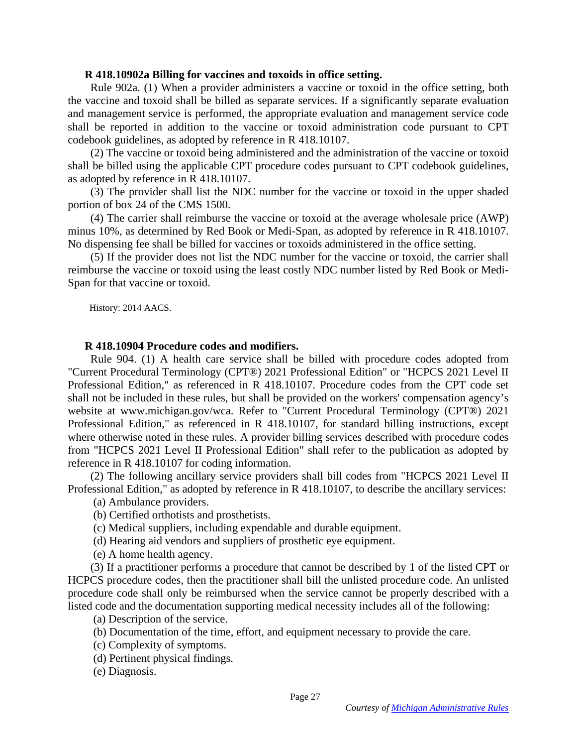#### **R 418.10902a Billing for vaccines and toxoids in office setting.**

 Rule 902a. (1) When a provider administers a vaccine or toxoid in the office setting, both the vaccine and toxoid shall be billed as separate services. If a significantly separate evaluation and management service is performed, the appropriate evaluation and management service code shall be reported in addition to the vaccine or toxoid administration code pursuant to CPT codebook guidelines, as adopted by reference in R 418.10107.

 (2) The vaccine or toxoid being administered and the administration of the vaccine or toxoid shall be billed using the applicable CPT procedure codes pursuant to CPT codebook guidelines, as adopted by reference in R 418.10107.

 (3) The provider shall list the NDC number for the vaccine or toxoid in the upper shaded portion of box 24 of the CMS 1500.

 (4) The carrier shall reimburse the vaccine or toxoid at the average wholesale price (AWP) minus 10%, as determined by Red Book or Medi-Span, as adopted by reference in R 418.10107. No dispensing fee shall be billed for vaccines or toxoids administered in the office setting.

 (5) If the provider does not list the NDC number for the vaccine or toxoid, the carrier shall reimburse the vaccine or toxoid using the least costly NDC number listed by Red Book or Medi-Span for that vaccine or toxoid.

History: 2014 AACS.

### **R 418.10904 Procedure codes and modifiers.**

 Rule 904. (1) A health care service shall be billed with procedure codes adopted from "Current Procedural Terminology (CPT®) 2021 Professional Edition" or "HCPCS 2021 Level II Professional Edition," as referenced in R 418.10107. Procedure codes from the CPT code set shall not be included in these rules, but shall be provided on the workers' compensation agency's website at www.michigan.gov/wca. Refer to "Current Procedural Terminology (CPT®) 2021 Professional Edition," as referenced in R 418.10107, for standard billing instructions, except where otherwise noted in these rules. A provider billing services described with procedure codes from "HCPCS 2021 Level II Professional Edition" shall refer to the publication as adopted by reference in R 418.10107 for coding information.

 (2) The following ancillary service providers shall bill codes from "HCPCS 2021 Level II Professional Edition," as adopted by reference in R 418.10107, to describe the ancillary services:

(a) Ambulance providers.

(b) Certified orthotists and prosthetists.

(c) Medical suppliers, including expendable and durable equipment.

(d) Hearing aid vendors and suppliers of prosthetic eye equipment.

(e) A home health agency.

 (3) If a practitioner performs a procedure that cannot be described by 1 of the listed CPT or HCPCS procedure codes, then the practitioner shall bill the unlisted procedure code. An unlisted procedure code shall only be reimbursed when the service cannot be properly described with a listed code and the documentation supporting medical necessity includes all of the following:

(a) Description of the service.

(b) Documentation of the time, effort, and equipment necessary to provide the care.

- (c) Complexity of symptoms.
- (d) Pertinent physical findings.
- (e) Diagnosis.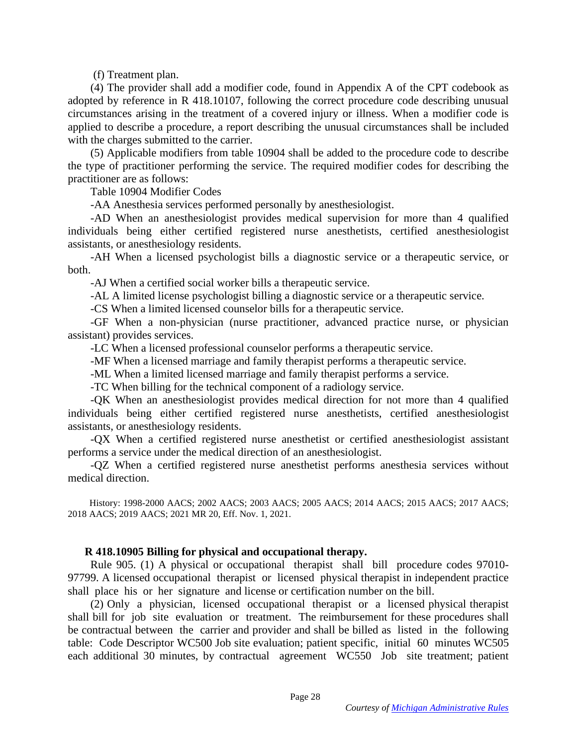(f) Treatment plan.

 (4) The provider shall add a modifier code, found in Appendix A of the CPT codebook as adopted by reference in R 418.10107, following the correct procedure code describing unusual circumstances arising in the treatment of a covered injury or illness. When a modifier code is applied to describe a procedure, a report describing the unusual circumstances shall be included with the charges submitted to the carrier.

 (5) Applicable modifiers from table 10904 shall be added to the procedure code to describe the type of practitioner performing the service. The required modifier codes for describing the practitioner are as follows:

Table 10904 Modifier Codes

-AA Anesthesia services performed personally by anesthesiologist.

 -AD When an anesthesiologist provides medical supervision for more than 4 qualified individuals being either certified registered nurse anesthetists, certified anesthesiologist assistants, or anesthesiology residents.

 -AH When a licensed psychologist bills a diagnostic service or a therapeutic service, or both.

-AJ When a certified social worker bills a therapeutic service.

-AL A limited license psychologist billing a diagnostic service or a therapeutic service.

-CS When a limited licensed counselor bills for a therapeutic service.

 -GF When a non-physician (nurse practitioner, advanced practice nurse, or physician assistant) provides services.

-LC When a licensed professional counselor performs a therapeutic service.

-MF When a licensed marriage and family therapist performs a therapeutic service.

-ML When a limited licensed marriage and family therapist performs a service.

-TC When billing for the technical component of a radiology service.

 -QK When an anesthesiologist provides medical direction for not more than 4 qualified individuals being either certified registered nurse anesthetists, certified anesthesiologist assistants, or anesthesiology residents.

 -QX When a certified registered nurse anesthetist or certified anesthesiologist assistant performs a service under the medical direction of an anesthesiologist.

 -QZ When a certified registered nurse anesthetist performs anesthesia services without medical direction.

 History: 1998-2000 AACS; 2002 AACS; 2003 AACS; 2005 AACS; 2014 AACS; 2015 AACS; 2017 AACS; 2018 AACS; 2019 AACS; 2021 MR 20, Eff. Nov. 1, 2021.

## **R 418.10905 Billing for physical and occupational therapy.**

 Rule 905. (1) A physical or occupational therapist shall bill procedure codes 97010- 97799. A licensed occupational therapist or licensed physical therapist in independent practice shall place his or her signature and license or certification number on the bill.

 (2) Only a physician, licensed occupational therapist or a licensed physical therapist shall bill for job site evaluation or treatment. The reimbursement for these procedures shall be contractual between the carrier and provider and shall be billed as listed in the following table: Code Descriptor WC500 Job site evaluation; patient specific, initial 60 minutes WC505 each additional 30 minutes, by contractual agreement WC550 Job site treatment; patient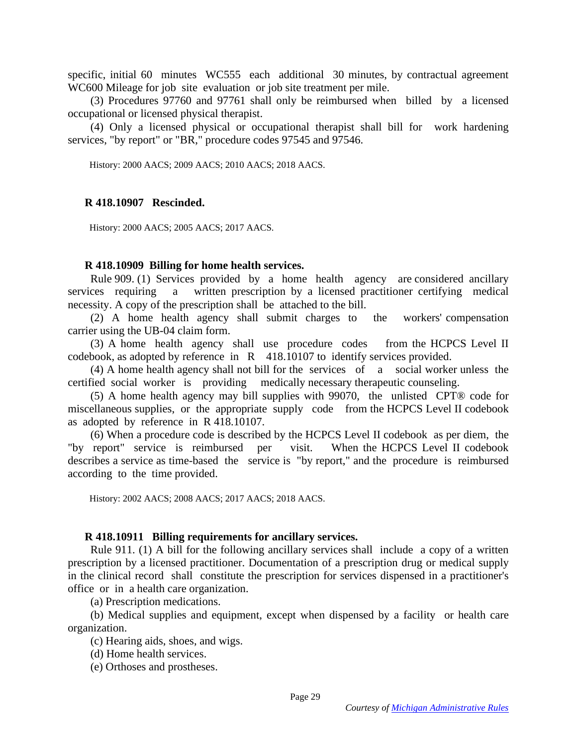specific, initial 60 minutes WC555 each additional 30 minutes, by contractual agreement WC600 Mileage for job site evaluation or job site treatment per mile.

 (3) Procedures 97760 and 97761 shall only be reimbursed when billed by a licensed occupational or licensed physical therapist.

 (4) Only a licensed physical or occupational therapist shall bill for work hardening services, "by report" or "BR," procedure codes 97545 and 97546.

History: 2000 AACS; 2009 AACS; 2010 AACS; 2018 AACS.

## **R 418.10907 Rescinded.**

History: 2000 AACS; 2005 AACS; 2017 AACS.

#### **R 418.10909 Billing for home health services.**

 Rule 909. (1) Services provided by a home health agency are considered ancillary services requiring a written prescription by a licensed practitioner certifying medical necessity. A copy of the prescription shall be attached to the bill.

 (2) A home health agency shall submit charges to the workers' compensation carrier using the UB-04 claim form.

 (3) A home health agency shall use procedure codes from the HCPCS Level II codebook, as adopted by reference in R 418.10107 to identify services provided.

 (4) A home health agency shall not bill for the services of a social worker unless the certified social worker is providing medically necessary therapeutic counseling.

 (5) A home health agency may bill supplies with 99070, the unlisted CPT® code for miscellaneous supplies, or the appropriate supply code from the HCPCS Level II codebook as adopted by reference in R 418.10107.

 (6) When a procedure code is described by the HCPCS Level II codebook as per diem, the "by report" service is reimbursed per visit. When the HCPCS Level II codebook describes a service as time-based the service is "by report," and the procedure is reimbursed according to the time provided.

History: 2002 AACS; 2008 AACS; 2017 AACS; 2018 AACS.

#### **R 418.10911 Billing requirements for ancillary services.**

 Rule 911. (1) A bill for the following ancillary services shall include a copy of a written prescription by a licensed practitioner. Documentation of a prescription drug or medical supply in the clinical record shall constitute the prescription for services dispensed in a practitioner's office or in a health care organization.

(a) Prescription medications.

 (b) Medical supplies and equipment, except when dispensed by a facility or health care organization.

(c) Hearing aids, shoes, and wigs.

(d) Home health services.

(e) Orthoses and prostheses.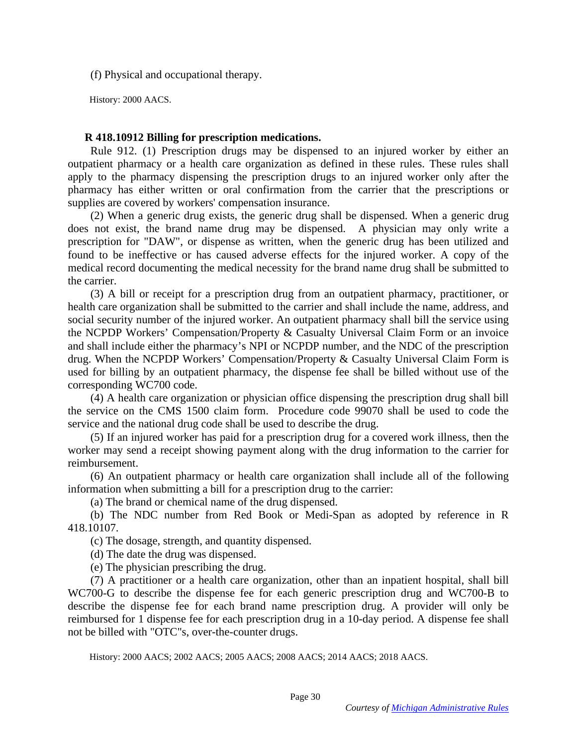(f) Physical and occupational therapy.

History: 2000 AACS.

## **R 418.10912 Billing for prescription medications.**

 Rule 912. (1) Prescription drugs may be dispensed to an injured worker by either an outpatient pharmacy or a health care organization as defined in these rules. These rules shall apply to the pharmacy dispensing the prescription drugs to an injured worker only after the pharmacy has either written or oral confirmation from the carrier that the prescriptions or supplies are covered by workers' compensation insurance.

 (2) When a generic drug exists, the generic drug shall be dispensed. When a generic drug does not exist, the brand name drug may be dispensed. A physician may only write a prescription for "DAW", or dispense as written, when the generic drug has been utilized and found to be ineffective or has caused adverse effects for the injured worker. A copy of the medical record documenting the medical necessity for the brand name drug shall be submitted to the carrier.

 (3) A bill or receipt for a prescription drug from an outpatient pharmacy, practitioner, or health care organization shall be submitted to the carrier and shall include the name, address, and social security number of the injured worker. An outpatient pharmacy shall bill the service using the NCPDP Workers' Compensation/Property & Casualty Universal Claim Form or an invoice and shall include either the pharmacy's NPI or NCPDP number, and the NDC of the prescription drug. When the NCPDP Workers' Compensation/Property & Casualty Universal Claim Form is used for billing by an outpatient pharmacy, the dispense fee shall be billed without use of the corresponding WC700 code.

 (4) A health care organization or physician office dispensing the prescription drug shall bill the service on the CMS 1500 claim form. Procedure code 99070 shall be used to code the service and the national drug code shall be used to describe the drug.

 (5) If an injured worker has paid for a prescription drug for a covered work illness, then the worker may send a receipt showing payment along with the drug information to the carrier for reimbursement.

 (6) An outpatient pharmacy or health care organization shall include all of the following information when submitting a bill for a prescription drug to the carrier:

(a) The brand or chemical name of the drug dispensed.

 (b) The NDC number from Red Book or Medi-Span as adopted by reference in R 418.10107.

(c) The dosage, strength, and quantity dispensed.

(d) The date the drug was dispensed.

(e) The physician prescribing the drug.

 (7) A practitioner or a health care organization, other than an inpatient hospital, shall bill WC700-G to describe the dispense fee for each generic prescription drug and WC700-B to describe the dispense fee for each brand name prescription drug. A provider will only be reimbursed for 1 dispense fee for each prescription drug in a 10-day period. A dispense fee shall not be billed with "OTC"s, over-the-counter drugs.

History: 2000 AACS; 2002 AACS; 2005 AACS; 2008 AACS; 2014 AACS; 2018 AACS.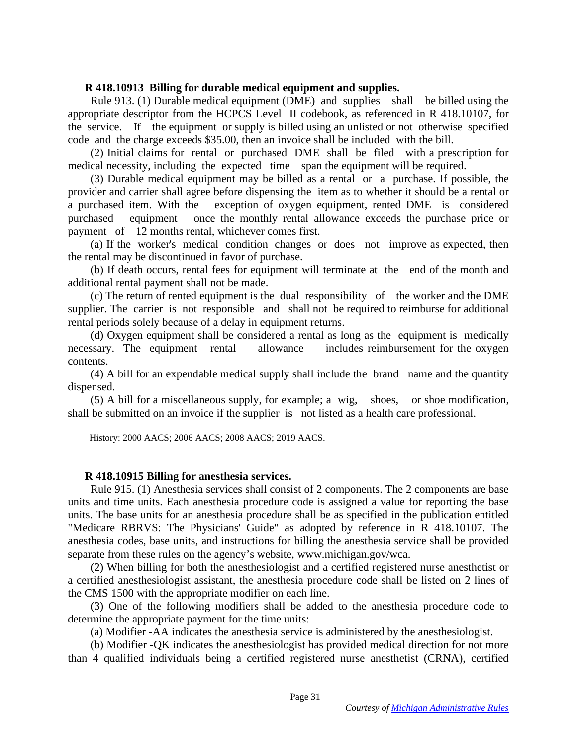## **R 418.10913 Billing for durable medical equipment and supplies.**

 Rule 913. (1) Durable medical equipment (DME) and supplies shall be billed using the appropriate descriptor from the HCPCS Level II codebook, as referenced in R 418.10107, for the service. If the equipment or supply is billed using an unlisted or not otherwise specified code and the charge exceeds \$35.00, then an invoice shall be included with the bill.

 (2) Initial claims for rental or purchased DME shall be filed with a prescription for medical necessity, including the expected time span the equipment will be required.

 (3) Durable medical equipment may be billed as a rental or a purchase. If possible, the provider and carrier shall agree before dispensing the item as to whether it should be a rental or a purchased item. With the exception of oxygen equipment, rented DME is considered purchased equipment once the monthly rental allowance exceeds the purchase price or payment of 12 months rental, whichever comes first.

 (a) If the worker's medical condition changes or does not improve as expected, then the rental may be discontinued in favor of purchase.

 (b) If death occurs, rental fees for equipment will terminate at the end of the month and additional rental payment shall not be made.

 (c) The return of rented equipment is the dual responsibility of the worker and the DME supplier. The carrier is not responsible and shall not be required to reimburse for additional rental periods solely because of a delay in equipment returns.

 (d) Oxygen equipment shall be considered a rental as long as the equipment is medically necessary. The equipment rental allowance includes reimbursement for the oxygen contents.

 (4) A bill for an expendable medical supply shall include the brand name and the quantity dispensed.

 (5) A bill for a miscellaneous supply, for example; a wig, shoes, or shoe modification, shall be submitted on an invoice if the supplier is not listed as a health care professional.

History: 2000 AACS; 2006 AACS; 2008 AACS; 2019 AACS.

## **R 418.10915 Billing for anesthesia services.**

 Rule 915. (1) Anesthesia services shall consist of 2 components. The 2 components are base units and time units. Each anesthesia procedure code is assigned a value for reporting the base units. The base units for an anesthesia procedure shall be as specified in the publication entitled "Medicare RBRVS: The Physicians' Guide" as adopted by reference in R 418.10107. The anesthesia codes, base units, and instructions for billing the anesthesia service shall be provided separate from these rules on the agency's website, www.michigan.gov/wca.

 (2) When billing for both the anesthesiologist and a certified registered nurse anesthetist or a certified anesthesiologist assistant, the anesthesia procedure code shall be listed on 2 lines of the CMS 1500 with the appropriate modifier on each line.

 (3) One of the following modifiers shall be added to the anesthesia procedure code to determine the appropriate payment for the time units:

(a) Modifier -AA indicates the anesthesia service is administered by the anesthesiologist.

 (b) Modifier -QK indicates the anesthesiologist has provided medical direction for not more than 4 qualified individuals being a certified registered nurse anesthetist (CRNA), certified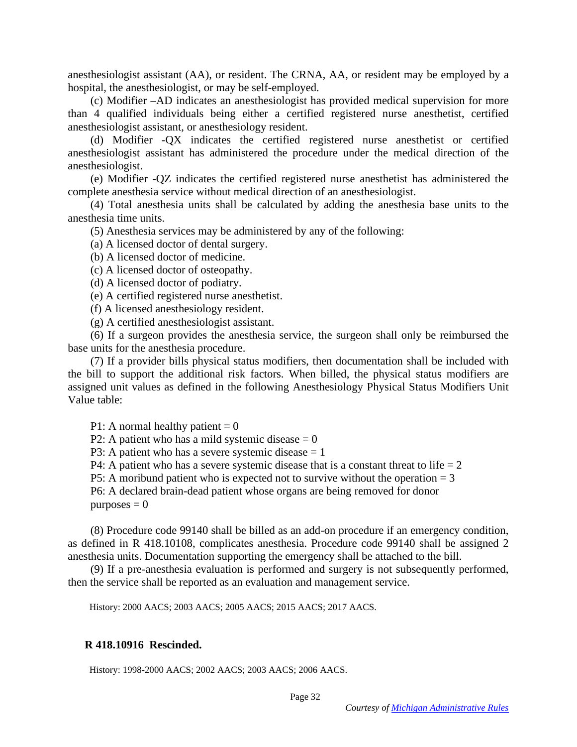anesthesiologist assistant (AA), or resident. The CRNA, AA, or resident may be employed by a hospital, the anesthesiologist, or may be self-employed.

 (c) Modifier –AD indicates an anesthesiologist has provided medical supervision for more than 4 qualified individuals being either a certified registered nurse anesthetist, certified anesthesiologist assistant, or anesthesiology resident.

 (d) Modifier -QX indicates the certified registered nurse anesthetist or certified anesthesiologist assistant has administered the procedure under the medical direction of the anesthesiologist.

 (e) Modifier -QZ indicates the certified registered nurse anesthetist has administered the complete anesthesia service without medical direction of an anesthesiologist.

 (4) Total anesthesia units shall be calculated by adding the anesthesia base units to the anesthesia time units.

(5) Anesthesia services may be administered by any of the following:

(a) A licensed doctor of dental surgery.

(b) A licensed doctor of medicine.

(c) A licensed doctor of osteopathy.

(d) A licensed doctor of podiatry.

(e) A certified registered nurse anesthetist.

(f) A licensed anesthesiology resident.

(g) A certified anesthesiologist assistant.

 (6) If a surgeon provides the anesthesia service, the surgeon shall only be reimbursed the base units for the anesthesia procedure.

 (7) If a provider bills physical status modifiers, then documentation shall be included with the bill to support the additional risk factors. When billed, the physical status modifiers are assigned unit values as defined in the following Anesthesiology Physical Status Modifiers Unit Value table:

P1: A normal healthy patient  $= 0$ 

P2: A patient who has a mild systemic disease  $= 0$ 

P3: A patient who has a severe systemic disease  $= 1$ 

P4: A patient who has a severe systemic disease that is a constant threat to life  $= 2$ 

P5: A moribund patient who is expected not to survive without the operation  $= 3$ 

 P6: A declared brain-dead patient whose organs are being removed for donor  $p$ urposes  $= 0$ 

 (8) Procedure code 99140 shall be billed as an add-on procedure if an emergency condition, as defined in R 418.10108, complicates anesthesia. Procedure code 99140 shall be assigned 2 anesthesia units. Documentation supporting the emergency shall be attached to the bill.

 (9) If a pre-anesthesia evaluation is performed and surgery is not subsequently performed, then the service shall be reported as an evaluation and management service.

History: 2000 AACS; 2003 AACS; 2005 AACS; 2015 AACS; 2017 AACS.

#### **R 418.10916 Rescinded.**

History: 1998-2000 AACS; 2002 AACS; 2003 AACS; 2006 AACS.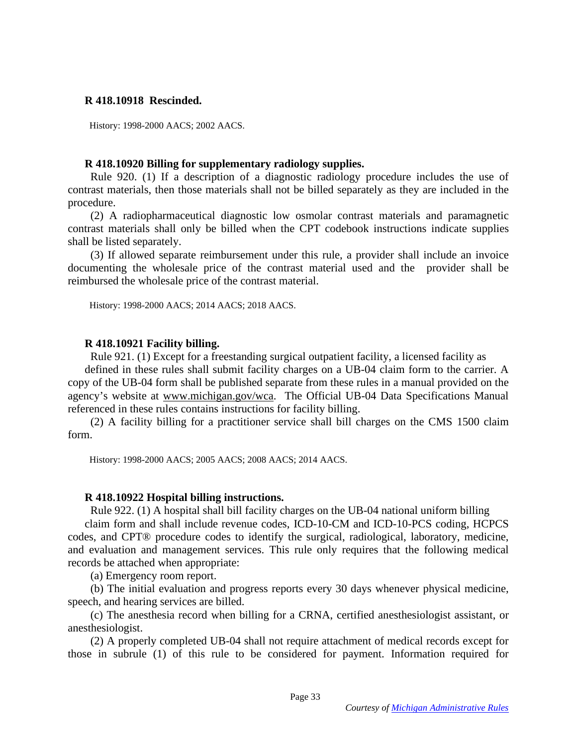### **R 418.10918 Rescinded.**

History: 1998-2000 AACS; 2002 AACS.

### **R 418.10920 Billing for supplementary radiology supplies.**

 Rule 920. (1) If a description of a diagnostic radiology procedure includes the use of contrast materials, then those materials shall not be billed separately as they are included in the procedure.

 (2) A radiopharmaceutical diagnostic low osmolar contrast materials and paramagnetic contrast materials shall only be billed when the CPT codebook instructions indicate supplies shall be listed separately.

 (3) If allowed separate reimbursement under this rule, a provider shall include an invoice documenting the wholesale price of the contrast material used and the provider shall be reimbursed the wholesale price of the contrast material.

History: 1998-2000 AACS; 2014 AACS; 2018 AACS.

### **R 418.10921 Facility billing.**

Rule 921. (1) Except for a freestanding surgical outpatient facility, a licensed facility as

defined in these rules shall submit facility charges on a UB-04 claim form to the carrier. A copy of the UB-04 form shall be published separate from these rules in a manual provided on the agency's website at [www.michigan.gov/wca.](http://www.michigan.gov/wca) The Official UB-04 Data Specifications Manual referenced in these rules contains instructions for facility billing.

 (2) A facility billing for a practitioner service shall bill charges on the CMS 1500 claim form.

History: 1998-2000 AACS; 2005 AACS; 2008 AACS; 2014 AACS.

### **R 418.10922 Hospital billing instructions.**

Rule 922. (1) A hospital shall bill facility charges on the UB-04 national uniform billing

claim form and shall include revenue codes, ICD-10-CM and ICD-10-PCS coding, HCPCS codes, and CPT® procedure codes to identify the surgical, radiological, laboratory, medicine, and evaluation and management services. This rule only requires that the following medical records be attached when appropriate:

(a) Emergency room report.

 (b) The initial evaluation and progress reports every 30 days whenever physical medicine, speech, and hearing services are billed.

 (c) The anesthesia record when billing for a CRNA, certified anesthesiologist assistant, or anesthesiologist.

 (2) A properly completed UB-04 shall not require attachment of medical records except for those in subrule (1) of this rule to be considered for payment. Information required for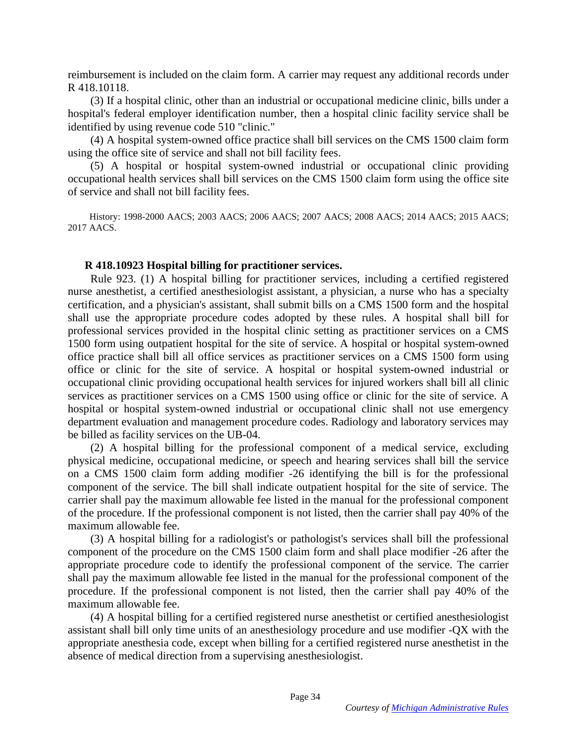reimbursement is included on the claim form. A carrier may request any additional records under R 418.10118.

 (3) If a hospital clinic, other than an industrial or occupational medicine clinic, bills under a hospital's federal employer identification number, then a hospital clinic facility service shall be identified by using revenue code 510 "clinic."

 (4) A hospital system-owned office practice shall bill services on the CMS 1500 claim form using the office site of service and shall not bill facility fees.

 (5) A hospital or hospital system-owned industrial or occupational clinic providing occupational health services shall bill services on the CMS 1500 claim form using the office site of service and shall not bill facility fees.

 History: 1998-2000 AACS; 2003 AACS; 2006 AACS; 2007 AACS; 2008 AACS; 2014 AACS; 2015 AACS; 2017 AACS.

#### **R 418.10923 Hospital billing for practitioner services.**

 Rule 923. (1) A hospital billing for practitioner services, including a certified registered nurse anesthetist, a certified anesthesiologist assistant, a physician, a nurse who has a specialty certification, and a physician's assistant, shall submit bills on a CMS 1500 form and the hospital shall use the appropriate procedure codes adopted by these rules. A hospital shall bill for professional services provided in the hospital clinic setting as practitioner services on a CMS 1500 form using outpatient hospital for the site of service. A hospital or hospital system-owned office practice shall bill all office services as practitioner services on a CMS 1500 form using office or clinic for the site of service. A hospital or hospital system-owned industrial or occupational clinic providing occupational health services for injured workers shall bill all clinic services as practitioner services on a CMS 1500 using office or clinic for the site of service. A hospital or hospital system-owned industrial or occupational clinic shall not use emergency department evaluation and management procedure codes. Radiology and laboratory services may be billed as facility services on the UB-04.

 (2) A hospital billing for the professional component of a medical service, excluding physical medicine, occupational medicine, or speech and hearing services shall bill the service on a CMS 1500 claim form adding modifier -26 identifying the bill is for the professional component of the service. The bill shall indicate outpatient hospital for the site of service. The carrier shall pay the maximum allowable fee listed in the manual for the professional component of the procedure. If the professional component is not listed, then the carrier shall pay 40% of the maximum allowable fee.

 (3) A hospital billing for a radiologist's or pathologist's services shall bill the professional component of the procedure on the CMS 1500 claim form and shall place modifier -26 after the appropriate procedure code to identify the professional component of the service. The carrier shall pay the maximum allowable fee listed in the manual for the professional component of the procedure. If the professional component is not listed, then the carrier shall pay 40% of the maximum allowable fee.

 (4) A hospital billing for a certified registered nurse anesthetist or certified anesthesiologist assistant shall bill only time units of an anesthesiology procedure and use modifier -QX with the appropriate anesthesia code, except when billing for a certified registered nurse anesthetist in the absence of medical direction from a supervising anesthesiologist.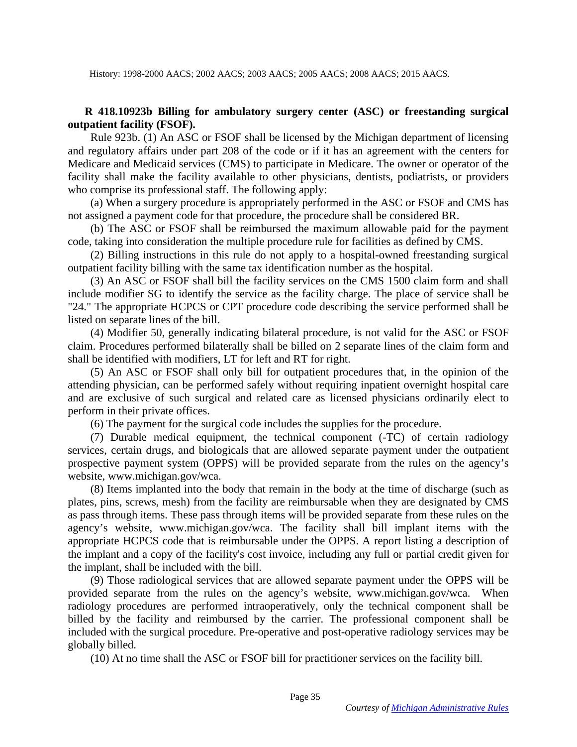## **R 418.10923b Billing for ambulatory surgery center (ASC) or freestanding surgical outpatient facility (FSOF).**

 Rule 923b. (1) An ASC or FSOF shall be licensed by the Michigan department of licensing and regulatory affairs under part 208 of the code or if it has an agreement with the centers for Medicare and Medicaid services (CMS) to participate in Medicare. The owner or operator of the facility shall make the facility available to other physicians, dentists, podiatrists, or providers who comprise its professional staff. The following apply:

 (a) When a surgery procedure is appropriately performed in the ASC or FSOF and CMS has not assigned a payment code for that procedure, the procedure shall be considered BR.

 (b) The ASC or FSOF shall be reimbursed the maximum allowable paid for the payment code, taking into consideration the multiple procedure rule for facilities as defined by CMS.

 (2) Billing instructions in this rule do not apply to a hospital-owned freestanding surgical outpatient facility billing with the same tax identification number as the hospital.

 (3) An ASC or FSOF shall bill the facility services on the CMS 1500 claim form and shall include modifier SG to identify the service as the facility charge. The place of service shall be "24." The appropriate HCPCS or CPT procedure code describing the service performed shall be listed on separate lines of the bill.

 (4) Modifier 50, generally indicating bilateral procedure, is not valid for the ASC or FSOF claim. Procedures performed bilaterally shall be billed on 2 separate lines of the claim form and shall be identified with modifiers, LT for left and RT for right.

 (5) An ASC or FSOF shall only bill for outpatient procedures that, in the opinion of the attending physician, can be performed safely without requiring inpatient overnight hospital care and are exclusive of such surgical and related care as licensed physicians ordinarily elect to perform in their private offices.

(6) The payment for the surgical code includes the supplies for the procedure.

 (7) Durable medical equipment, the technical component (-TC) of certain radiology services, certain drugs, and biologicals that are allowed separate payment under the outpatient prospective payment system (OPPS) will be provided separate from the rules on the agency's website, www.michigan.gov/wca.

 (8) Items implanted into the body that remain in the body at the time of discharge (such as plates, pins, screws, mesh) from the facility are reimbursable when they are designated by CMS as pass through items. These pass through items will be provided separate from these rules on the agency's website, www.michigan.gov/wca. The facility shall bill implant items with the appropriate HCPCS code that is reimbursable under the OPPS. A report listing a description of the implant and a copy of the facility's cost invoice, including any full or partial credit given for the implant, shall be included with the bill.

 (9) Those radiological services that are allowed separate payment under the OPPS will be provided separate from the rules on the agency's website, www.michigan.gov/wca. When radiology procedures are performed intraoperatively, only the technical component shall be billed by the facility and reimbursed by the carrier. The professional component shall be included with the surgical procedure. Pre-operative and post-operative radiology services may be globally billed.

(10) At no time shall the ASC or FSOF bill for practitioner services on the facility bill.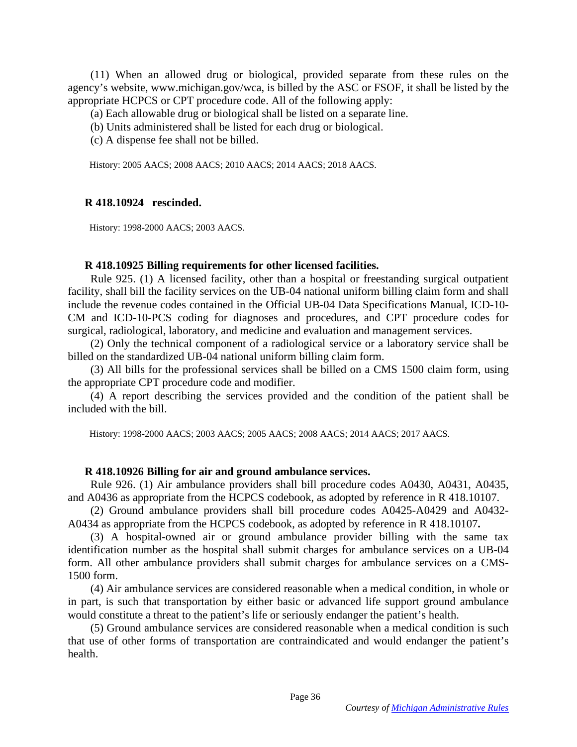(11) When an allowed drug or biological, provided separate from these rules on the agency's website, www.michigan.gov/wca, is billed by the ASC or FSOF, it shall be listed by the appropriate HCPCS or CPT procedure code. All of the following apply:

(a) Each allowable drug or biological shall be listed on a separate line.

(b) Units administered shall be listed for each drug or biological.

(c) A dispense fee shall not be billed.

History: 2005 AACS; 2008 AACS; 2010 AACS; 2014 AACS; 2018 AACS.

## **R 418.10924 rescinded.**

History: 1998-2000 AACS; 2003 AACS.

### **R 418.10925 Billing requirements for other licensed facilities.**

 Rule 925. (1) A licensed facility, other than a hospital or freestanding surgical outpatient facility, shall bill the facility services on the UB-04 national uniform billing claim form and shall include the revenue codes contained in the Official UB-04 Data Specifications Manual, ICD-10- CM and ICD-10-PCS coding for diagnoses and procedures, and CPT procedure codes for surgical, radiological, laboratory, and medicine and evaluation and management services.

 (2) Only the technical component of a radiological service or a laboratory service shall be billed on the standardized UB-04 national uniform billing claim form.

 (3) All bills for the professional services shall be billed on a CMS 1500 claim form, using the appropriate CPT procedure code and modifier.

 (4) A report describing the services provided and the condition of the patient shall be included with the bill.

History: 1998-2000 AACS; 2003 AACS; 2005 AACS; 2008 AACS; 2014 AACS; 2017 AACS.

## **R 418.10926 Billing for air and ground ambulance services.**

 Rule 926. (1) Air ambulance providers shall bill procedure codes A0430, A0431, A0435, and A0436 as appropriate from the HCPCS codebook, as adopted by reference in R 418.10107.

 (2) Ground ambulance providers shall bill procedure codes A0425-A0429 and A0432- A0434 as appropriate from the HCPCS codebook, as adopted by reference in R 418.10107**.** 

 (3) A hospital-owned air or ground ambulance provider billing with the same tax identification number as the hospital shall submit charges for ambulance services on a UB-04 form. All other ambulance providers shall submit charges for ambulance services on a CMS-1500 form.

 (4) Air ambulance services are considered reasonable when a medical condition, in whole or in part, is such that transportation by either basic or advanced life support ground ambulance would constitute a threat to the patient's life or seriously endanger the patient's health.

 (5) Ground ambulance services are considered reasonable when a medical condition is such that use of other forms of transportation are contraindicated and would endanger the patient's health.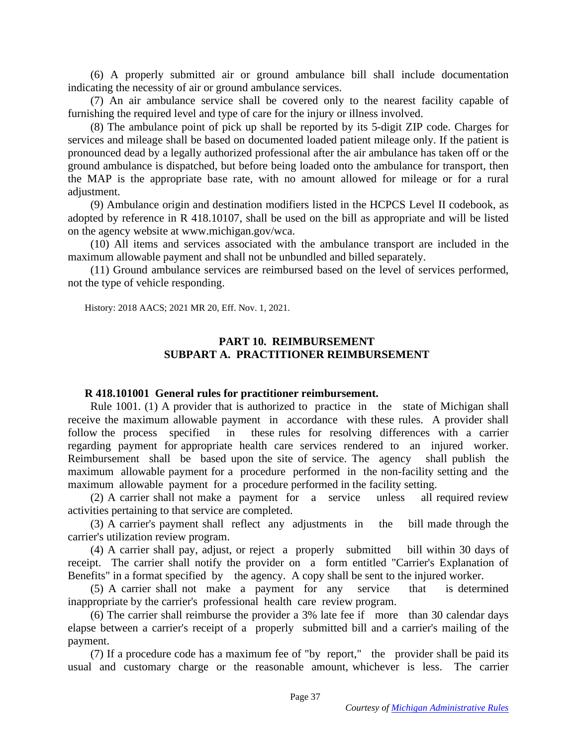(6) A properly submitted air or ground ambulance bill shall include documentation indicating the necessity of air or ground ambulance services.

 (7) An air ambulance service shall be covered only to the nearest facility capable of furnishing the required level and type of care for the injury or illness involved.

 (8) The ambulance point of pick up shall be reported by its 5-digit ZIP code. Charges for services and mileage shall be based on documented loaded patient mileage only. If the patient is pronounced dead by a legally authorized professional after the air ambulance has taken off or the ground ambulance is dispatched, but before being loaded onto the ambulance for transport, then the MAP is the appropriate base rate, with no amount allowed for mileage or for a rural adjustment.

 (9) Ambulance origin and destination modifiers listed in the HCPCS Level II codebook, as adopted by reference in R 418.10107, shall be used on the bill as appropriate and will be listed on the agency website at www.michigan.gov/wca.

 (10) All items and services associated with the ambulance transport are included in the maximum allowable payment and shall not be unbundled and billed separately.

(11) Ground ambulance services are reimbursed based on the level of services performed, not the type of vehicle responding.

History: 2018 AACS; 2021 MR 20, Eff. Nov. 1, 2021.

## **PART 10. REIMBURSEMENT SUBPART A. PRACTITIONER REIMBURSEMENT**

### **R 418.101001 General rules for practitioner reimbursement.**

 Rule 1001. (1) A provider that is authorized to practice in the state of Michigan shall receive the maximum allowable payment in accordance with these rules. A provider shall follow the process specified in these rules for resolving differences with a carrier regarding payment for appropriate health care services rendered to an injured worker. Reimbursement shall be based upon the site of service. The agency shall publish the maximum allowable payment for a procedure performed in the non-facility setting and the maximum allowable payment for a procedure performed in the facility setting.

 (2) A carrier shall not make a payment for a service unless all required review activities pertaining to that service are completed.

 (3) A carrier's payment shall reflect any adjustments in the bill made through the carrier's utilization review program.

 (4) A carrier shall pay, adjust, or reject a properly submitted bill within 30 days of receipt. The carrier shall notify the provider on a form entitled "Carrier's Explanation of Benefits" in a format specified by the agency. A copy shall be sent to the injured worker.

 (5) A carrier shall not make a payment for any service that is determined inappropriate by the carrier's professional health care review program.

 (6) The carrier shall reimburse the provider a 3% late fee if more than 30 calendar days elapse between a carrier's receipt of a properly submitted bill and a carrier's mailing of the payment.

 (7) If a procedure code has a maximum fee of "by report," the provider shall be paid its usual and customary charge or the reasonable amount, whichever is less. The carrier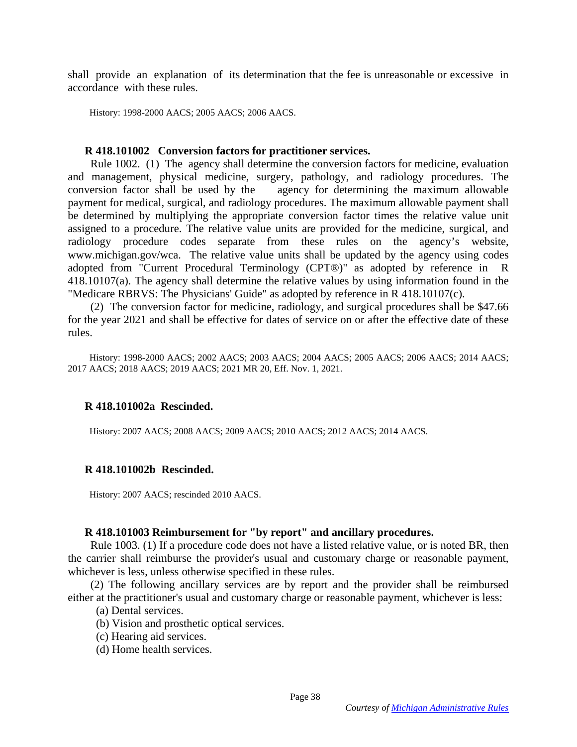shall provide an explanation of its determination that the fee is unreasonable or excessive in accordance with these rules.

History: 1998-2000 AACS; 2005 AACS; 2006 AACS.

#### **R 418.101002 Conversion factors for practitioner services.**

 Rule 1002. (1) The agency shall determine the conversion factors for medicine, evaluation and management, physical medicine, surgery, pathology, and radiology procedures. The conversion factor shall be used by the agency for determining the maximum allowable payment for medical, surgical, and radiology procedures. The maximum allowable payment shall be determined by multiplying the appropriate conversion factor times the relative value unit assigned to a procedure. The relative value units are provided for the medicine, surgical, and radiology procedure codes separate from these rules on the agency's website, www.michigan.gov/wca. The relative value units shall be updated by the agency using codes adopted from "Current Procedural Terminology (CPT®)" as adopted by reference in R 418.10107(a). The agency shall determine the relative values by using information found in the "Medicare RBRVS: The Physicians' Guide" as adopted by reference in R 418.10107(c).

 (2) The conversion factor for medicine, radiology, and surgical procedures shall be \$47.66 for the year 2021 and shall be effective for dates of service on or after the effective date of these rules.

 History: 1998-2000 AACS; 2002 AACS; 2003 AACS; 2004 AACS; 2005 AACS; 2006 AACS; 2014 AACS; 2017 AACS; 2018 AACS; 2019 AACS; 2021 MR 20, Eff. Nov. 1, 2021.

#### **R 418.101002a Rescinded.**

History: 2007 AACS; 2008 AACS; 2009 AACS; 2010 AACS; 2012 AACS; 2014 AACS.

#### **R 418.101002b Rescinded.**

History: 2007 AACS; rescinded 2010 AACS.

#### **R 418.101003 Reimbursement for "by report" and ancillary procedures.**

 Rule 1003. (1) If a procedure code does not have a listed relative value, or is noted BR, then the carrier shall reimburse the provider's usual and customary charge or reasonable payment, whichever is less, unless otherwise specified in these rules.

 (2) The following ancillary services are by report and the provider shall be reimbursed either at the practitioner's usual and customary charge or reasonable payment, whichever is less:

(a) Dental services.

- (b) Vision and prosthetic optical services.
- (c) Hearing aid services.
- (d) Home health services.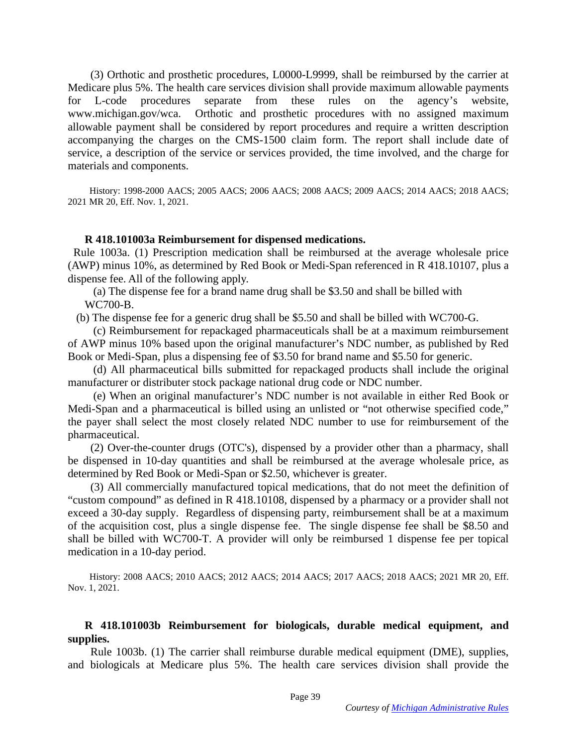(3) Orthotic and prosthetic procedures, L0000-L9999, shall be reimbursed by the carrier at Medicare plus 5%. The health care services division shall provide maximum allowable payments for L-code procedures separate from these rules on the agency's website, www.michigan.gov/wca. Orthotic and prosthetic procedures with no assigned maximum allowable payment shall be considered by report procedures and require a written description accompanying the charges on the CMS-1500 claim form. The report shall include date of service, a description of the service or services provided, the time involved, and the charge for materials and components.

 History: 1998-2000 AACS; 2005 AACS; 2006 AACS; 2008 AACS; 2009 AACS; 2014 AACS; 2018 AACS; 2021 MR 20, Eff. Nov. 1, 2021.

#### **R 418.101003a Reimbursement for dispensed medications.**

 Rule 1003a. (1) Prescription medication shall be reimbursed at the average wholesale price (AWP) minus 10%, as determined by Red Book or Medi-Span referenced in R 418.10107, plus a dispense fee. All of the following apply.

 (a) The dispense fee for a brand name drug shall be \$3.50 and shall be billed with WC700-B.

(b) The dispense fee for a generic drug shall be \$5.50 and shall be billed with WC700-G.

 (c) Reimbursement for repackaged pharmaceuticals shall be at a maximum reimbursement of AWP minus 10% based upon the original manufacturer's NDC number, as published by Red Book or Medi-Span, plus a dispensing fee of \$3.50 for brand name and \$5.50 for generic.

 (d) All pharmaceutical bills submitted for repackaged products shall include the original manufacturer or distributer stock package national drug code or NDC number.

 (e) When an original manufacturer's NDC number is not available in either Red Book or Medi-Span and a pharmaceutical is billed using an unlisted or "not otherwise specified code," the payer shall select the most closely related NDC number to use for reimbursement of the pharmaceutical.

 (2) Over-the-counter drugs (OTC's), dispensed by a provider other than a pharmacy, shall be dispensed in 10-day quantities and shall be reimbursed at the average wholesale price, as determined by Red Book or Medi-Span or \$2.50, whichever is greater.

 (3) All commercially manufactured topical medications, that do not meet the definition of "custom compound" as defined in R 418.10108, dispensed by a pharmacy or a provider shall not exceed a 30-day supply. Regardless of dispensing party, reimbursement shall be at a maximum of the acquisition cost, plus a single dispense fee. The single dispense fee shall be \$8.50 and shall be billed with WC700-T. A provider will only be reimbursed 1 dispense fee per topical medication in a 10-day period.

 History: 2008 AACS; 2010 AACS; 2012 AACS; 2014 AACS; 2017 AACS; 2018 AACS; 2021 MR 20, Eff. Nov. 1, 2021.

## **R 418.101003b Reimbursement for biologicals, durable medical equipment, and supplies.**

 Rule 1003b. (1) The carrier shall reimburse durable medical equipment (DME), supplies, and biologicals at Medicare plus 5%. The health care services division shall provide the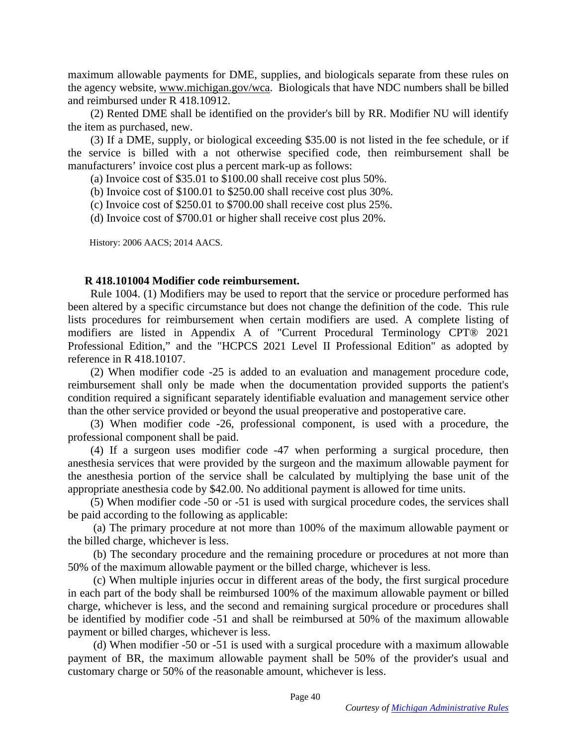maximum allowable payments for DME, supplies, and biologicals separate from these rules on the agency website, [www.michigan.gov/wca.](http://www.michigan.gov/wca) Biologicals that have NDC numbers shall be billed and reimbursed under R 418.10912.

 (2) Rented DME shall be identified on the provider's bill by RR. Modifier NU will identify the item as purchased, new.

 (3) If a DME, supply, or biological exceeding \$35.00 is not listed in the fee schedule, or if the service is billed with a not otherwise specified code, then reimbursement shall be manufacturers' invoice cost plus a percent mark-up as follows:

(a) Invoice cost of \$35.01 to \$100.00 shall receive cost plus 50%.

(b) Invoice cost of \$100.01 to \$250.00 shall receive cost plus 30%.

(c) Invoice cost of \$250.01 to \$700.00 shall receive cost plus 25%.

(d) Invoice cost of \$700.01 or higher shall receive cost plus 20%.

History: 2006 AACS; 2014 AACS.

#### **R 418.101004 Modifier code reimbursement.**

 Rule 1004. (1) Modifiers may be used to report that the service or procedure performed has been altered by a specific circumstance but does not change the definition of the code. This rule lists procedures for reimbursement when certain modifiers are used. A complete listing of modifiers are listed in Appendix A of "Current Procedural Terminology CPT® 2021 Professional Edition," and the "HCPCS 2021 Level II Professional Edition" as adopted by reference in R 418.10107.

 (2) When modifier code -25 is added to an evaluation and management procedure code, reimbursement shall only be made when the documentation provided supports the patient's condition required a significant separately identifiable evaluation and management service other than the other service provided or beyond the usual preoperative and postoperative care.

 (3) When modifier code -26, professional component, is used with a procedure, the professional component shall be paid.

 (4) If a surgeon uses modifier code -47 when performing a surgical procedure, then anesthesia services that were provided by the surgeon and the maximum allowable payment for the anesthesia portion of the service shall be calculated by multiplying the base unit of the appropriate anesthesia code by \$42.00. No additional payment is allowed for time units.

 (5) When modifier code -50 or -51 is used with surgical procedure codes, the services shall be paid according to the following as applicable:

 (a) The primary procedure at not more than 100% of the maximum allowable payment or the billed charge, whichever is less.

 (b) The secondary procedure and the remaining procedure or procedures at not more than 50% of the maximum allowable payment or the billed charge, whichever is less.

 (c) When multiple injuries occur in different areas of the body, the first surgical procedure in each part of the body shall be reimbursed 100% of the maximum allowable payment or billed charge, whichever is less, and the second and remaining surgical procedure or procedures shall be identified by modifier code -51 and shall be reimbursed at 50% of the maximum allowable payment or billed charges, whichever is less.

 (d) When modifier -50 or -51 is used with a surgical procedure with a maximum allowable payment of BR, the maximum allowable payment shall be 50% of the provider's usual and customary charge or 50% of the reasonable amount, whichever is less.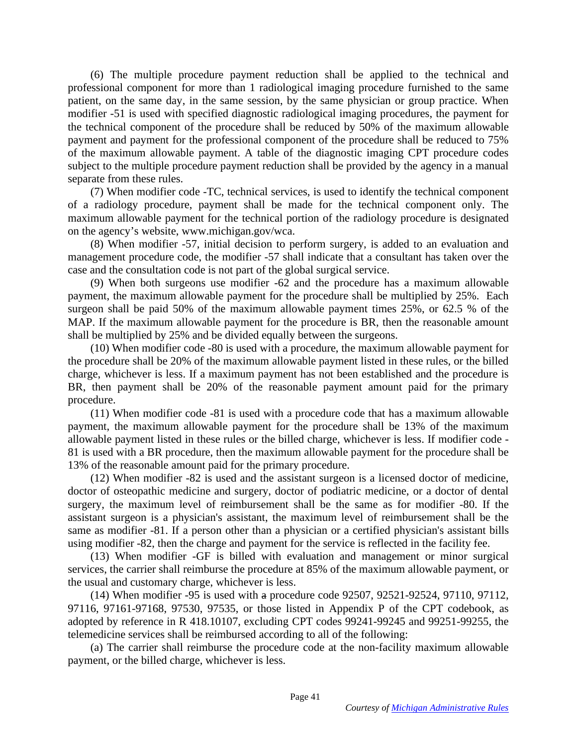(6) The multiple procedure payment reduction shall be applied to the technical and professional component for more than 1 radiological imaging procedure furnished to the same patient, on the same day, in the same session, by the same physician or group practice. When modifier -51 is used with specified diagnostic radiological imaging procedures, the payment for the technical component of the procedure shall be reduced by 50% of the maximum allowable payment and payment for the professional component of the procedure shall be reduced to 75% of the maximum allowable payment. A table of the diagnostic imaging CPT procedure codes subject to the multiple procedure payment reduction shall be provided by the agency in a manual separate from these rules.

 (7) When modifier code -TC, technical services, is used to identify the technical component of a radiology procedure, payment shall be made for the technical component only. The maximum allowable payment for the technical portion of the radiology procedure is designated on the agency's website, www.michigan.gov/wca.

 (8) When modifier -57, initial decision to perform surgery, is added to an evaluation and management procedure code, the modifier -57 shall indicate that a consultant has taken over the case and the consultation code is not part of the global surgical service.

 (9) When both surgeons use modifier -62 and the procedure has a maximum allowable payment, the maximum allowable payment for the procedure shall be multiplied by 25%. Each surgeon shall be paid 50% of the maximum allowable payment times 25%, or 62.5 % of the MAP. If the maximum allowable payment for the procedure is BR, then the reasonable amount shall be multiplied by 25% and be divided equally between the surgeons.

 (10) When modifier code -80 is used with a procedure, the maximum allowable payment for the procedure shall be 20% of the maximum allowable payment listed in these rules, or the billed charge, whichever is less. If a maximum payment has not been established and the procedure is BR, then payment shall be 20% of the reasonable payment amount paid for the primary procedure.

 (11) When modifier code -81 is used with a procedure code that has a maximum allowable payment, the maximum allowable payment for the procedure shall be 13% of the maximum allowable payment listed in these rules or the billed charge, whichever is less. If modifier code - 81 is used with a BR procedure, then the maximum allowable payment for the procedure shall be 13% of the reasonable amount paid for the primary procedure.

 (12) When modifier -82 is used and the assistant surgeon is a licensed doctor of medicine, doctor of osteopathic medicine and surgery, doctor of podiatric medicine, or a doctor of dental surgery, the maximum level of reimbursement shall be the same as for modifier -80. If the assistant surgeon is a physician's assistant, the maximum level of reimbursement shall be the same as modifier -81. If a person other than a physician or a certified physician's assistant bills using modifier -82, then the charge and payment for the service is reflected in the facility fee.

 (13) When modifier -GF is billed with evaluation and management or minor surgical services, the carrier shall reimburse the procedure at 85% of the maximum allowable payment, or the usual and customary charge, whichever is less.

 (14) When modifier -95 is used with a procedure code 92507, 92521-92524, 97110, 97112, 97116, 97161-97168, 97530, 97535, or those listed in Appendix P of the CPT codebook, as adopted by reference in R 418.10107, excluding CPT codes 99241-99245 and 99251-99255, the telemedicine services shall be reimbursed according to all of the following:

 (a) The carrier shall reimburse the procedure code at the non-facility maximum allowable payment, or the billed charge, whichever is less.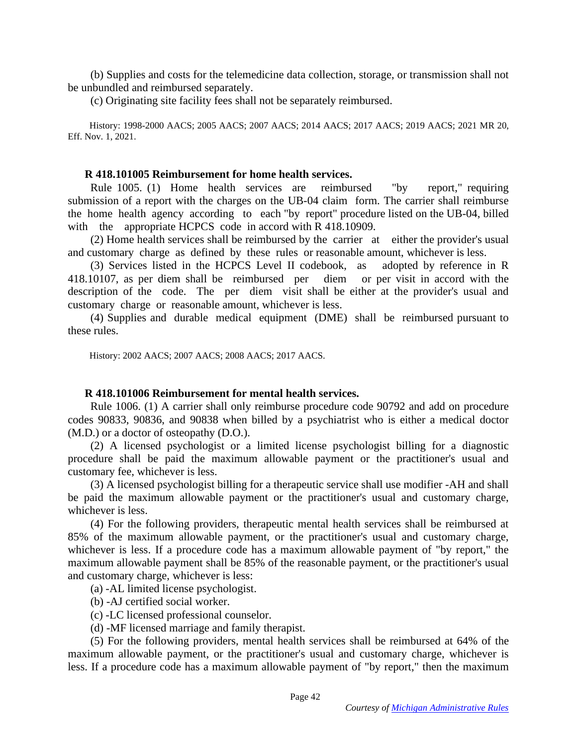(b) Supplies and costs for the telemedicine data collection, storage, or transmission shall not be unbundled and reimbursed separately.

(c) Originating site facility fees shall not be separately reimbursed.

 History: 1998-2000 AACS; 2005 AACS; 2007 AACS; 2014 AACS; 2017 AACS; 2019 AACS; 2021 MR 20, Eff. Nov. 1, 2021.

#### **R 418.101005 Reimbursement for home health services.**

 Rule 1005. (1) Home health services are reimbursed "by report," requiring submission of a report with the charges on the UB-04 claim form. The carrier shall reimburse the home health agency according to each "by report" procedure listed on the UB-04, billed with the appropriate HCPCS code in accord with R 418.10909.

 (2) Home health services shall be reimbursed by the carrier at either the provider's usual and customary charge as defined by these rules or reasonable amount, whichever is less.

 (3) Services listed in the HCPCS Level II codebook, as adopted by reference in R 418.10107, as per diem shall be reimbursed per diem or per visit in accord with the description of the code. The per diem visit shall be either at the provider's usual and customary charge or reasonable amount, whichever is less.

 (4) Supplies and durable medical equipment (DME) shall be reimbursed pursuant to these rules.

History: 2002 AACS; 2007 AACS; 2008 AACS; 2017 AACS.

#### **R 418.101006 Reimbursement for mental health services.**

 Rule 1006. (1) A carrier shall only reimburse procedure code 90792 and add on procedure codes 90833, 90836, and 90838 when billed by a psychiatrist who is either a medical doctor (M.D.) or a doctor of osteopathy (D.O.).

 (2) A licensed psychologist or a limited license psychologist billing for a diagnostic procedure shall be paid the maximum allowable payment or the practitioner's usual and customary fee, whichever is less.

 (3) A licensed psychologist billing for a therapeutic service shall use modifier -AH and shall be paid the maximum allowable payment or the practitioner's usual and customary charge, whichever is less.

 (4) For the following providers, therapeutic mental health services shall be reimbursed at 85% of the maximum allowable payment, or the practitioner's usual and customary charge, whichever is less. If a procedure code has a maximum allowable payment of "by report," the maximum allowable payment shall be 85% of the reasonable payment, or the practitioner's usual and customary charge, whichever is less:

(a) -AL limited license psychologist.

(b) -AJ certified social worker.

(c) -LC licensed professional counselor.

(d) -MF licensed marriage and family therapist.

 (5) For the following providers, mental health services shall be reimbursed at 64% of the maximum allowable payment, or the practitioner's usual and customary charge, whichever is less. If a procedure code has a maximum allowable payment of "by report," then the maximum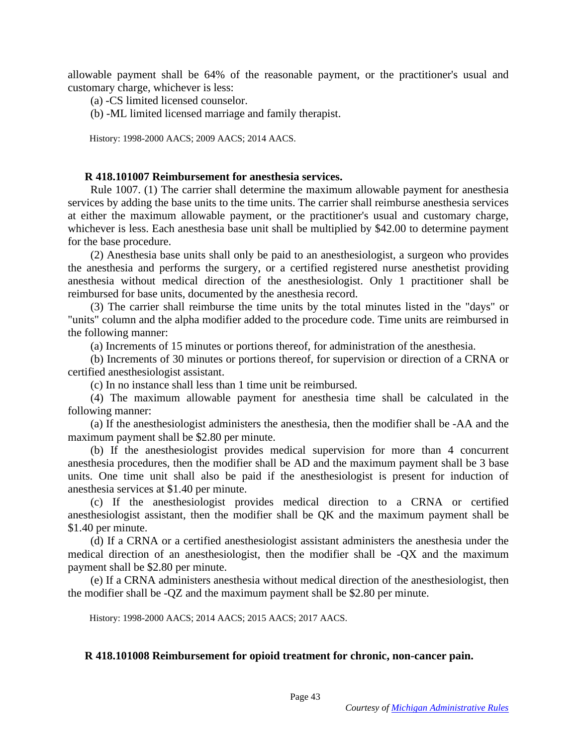allowable payment shall be 64% of the reasonable payment, or the practitioner's usual and customary charge, whichever is less:

(a) -CS limited licensed counselor.

(b) -ML limited licensed marriage and family therapist.

History: 1998-2000 AACS; 2009 AACS; 2014 AACS.

#### **R 418.101007 Reimbursement for anesthesia services.**

 Rule 1007. (1) The carrier shall determine the maximum allowable payment for anesthesia services by adding the base units to the time units. The carrier shall reimburse anesthesia services at either the maximum allowable payment, or the practitioner's usual and customary charge, whichever is less. Each anesthesia base unit shall be multiplied by \$42.00 to determine payment for the base procedure.

 (2) Anesthesia base units shall only be paid to an anesthesiologist, a surgeon who provides the anesthesia and performs the surgery, or a certified registered nurse anesthetist providing anesthesia without medical direction of the anesthesiologist. Only 1 practitioner shall be reimbursed for base units, documented by the anesthesia record.

 (3) The carrier shall reimburse the time units by the total minutes listed in the "days" or "units" column and the alpha modifier added to the procedure code. Time units are reimbursed in the following manner:

(a) Increments of 15 minutes or portions thereof, for administration of the anesthesia.

 (b) Increments of 30 minutes or portions thereof, for supervision or direction of a CRNA or certified anesthesiologist assistant.

(c) In no instance shall less than 1 time unit be reimbursed.

 (4) The maximum allowable payment for anesthesia time shall be calculated in the following manner:

 (a) If the anesthesiologist administers the anesthesia, then the modifier shall be -AA and the maximum payment shall be \$2.80 per minute.

 (b) If the anesthesiologist provides medical supervision for more than 4 concurrent anesthesia procedures, then the modifier shall be AD and the maximum payment shall be 3 base units. One time unit shall also be paid if the anesthesiologist is present for induction of anesthesia services at \$1.40 per minute.

 (c) If the anesthesiologist provides medical direction to a CRNA or certified anesthesiologist assistant, then the modifier shall be QK and the maximum payment shall be \$1.40 per minute.

 (d) If a CRNA or a certified anesthesiologist assistant administers the anesthesia under the medical direction of an anesthesiologist, then the modifier shall be -QX and the maximum payment shall be \$2.80 per minute.

 (e) If a CRNA administers anesthesia without medical direction of the anesthesiologist, then the modifier shall be -QZ and the maximum payment shall be \$2.80 per minute.

History: 1998-2000 AACS; 2014 AACS; 2015 AACS; 2017 AACS.

### **R 418.101008 Reimbursement for opioid treatment for chronic, non-cancer pain.**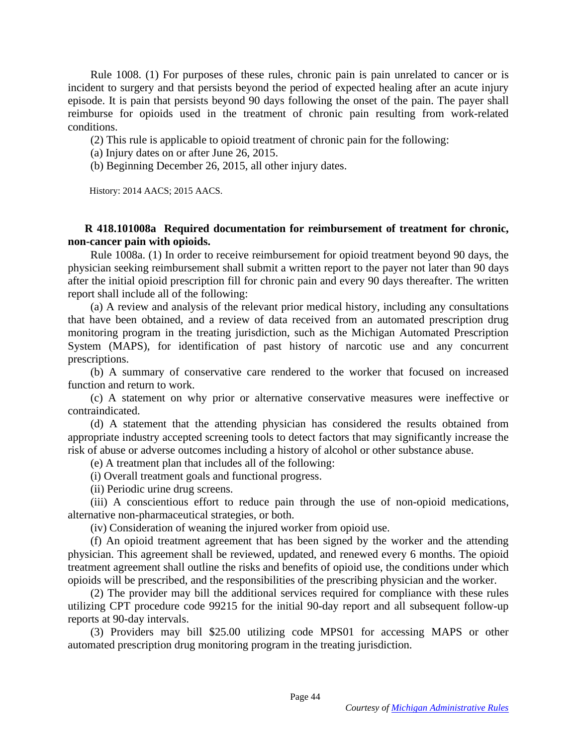Rule 1008. (1) For purposes of these rules, chronic pain is pain unrelated to cancer or is incident to surgery and that persists beyond the period of expected healing after an acute injury episode. It is pain that persists beyond 90 days following the onset of the pain. The payer shall reimburse for opioids used in the treatment of chronic pain resulting from work-related conditions.

(2) This rule is applicable to opioid treatment of chronic pain for the following:

(a) Injury dates on or after June 26, 2015.

(b) Beginning December 26, 2015, all other injury dates.

History: 2014 AACS; 2015 AACS.

## **R 418.101008a Required documentation for reimbursement of treatment for chronic, non-cancer pain with opioids.**

 Rule 1008a. (1) In order to receive reimbursement for opioid treatment beyond 90 days, the physician seeking reimbursement shall submit a written report to the payer not later than 90 days after the initial opioid prescription fill for chronic pain and every 90 days thereafter. The written report shall include all of the following:

 (a) A review and analysis of the relevant prior medical history, including any consultations that have been obtained, and a review of data received from an automated prescription drug monitoring program in the treating jurisdiction, such as the Michigan Automated Prescription System (MAPS), for identification of past history of narcotic use and any concurrent prescriptions.

 (b) A summary of conservative care rendered to the worker that focused on increased function and return to work.

 (c) A statement on why prior or alternative conservative measures were ineffective or contraindicated.

 (d) A statement that the attending physician has considered the results obtained from appropriate industry accepted screening tools to detect factors that may significantly increase the risk of abuse or adverse outcomes including a history of alcohol or other substance abuse.

(e) A treatment plan that includes all of the following:

(i) Overall treatment goals and functional progress.

(ii) Periodic urine drug screens.

 (iii) A conscientious effort to reduce pain through the use of non-opioid medications, alternative non-pharmaceutical strategies, or both.

(iv) Consideration of weaning the injured worker from opioid use.

 (f) An opioid treatment agreement that has been signed by the worker and the attending physician. This agreement shall be reviewed, updated, and renewed every 6 months. The opioid treatment agreement shall outline the risks and benefits of opioid use, the conditions under which opioids will be prescribed, and the responsibilities of the prescribing physician and the worker.

 (2) The provider may bill the additional services required for compliance with these rules utilizing CPT procedure code 99215 for the initial 90-day report and all subsequent follow-up reports at 90-day intervals.

 (3) Providers may bill \$25.00 utilizing code MPS01 for accessing MAPS or other automated prescription drug monitoring program in the treating jurisdiction.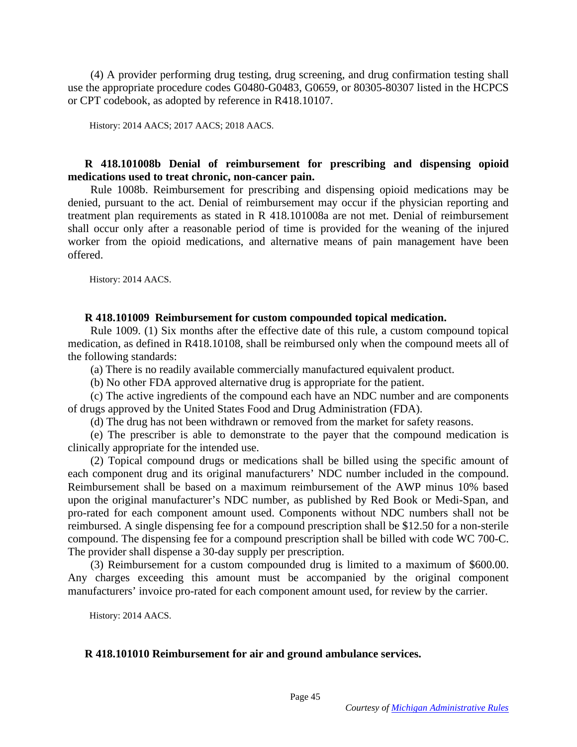(4) A provider performing drug testing, drug screening, and drug confirmation testing shall use the appropriate procedure codes G0480-G0483, G0659, or 80305-80307 listed in the HCPCS or CPT codebook, as adopted by reference in R418.10107.

History: 2014 AACS; 2017 AACS; 2018 AACS.

## **R 418.101008b Denial of reimbursement for prescribing and dispensing opioid medications used to treat chronic, non-cancer pain.**

 Rule 1008b. Reimbursement for prescribing and dispensing opioid medications may be denied, pursuant to the act. Denial of reimbursement may occur if the physician reporting and treatment plan requirements as stated in R 418.101008a are not met. Denial of reimbursement shall occur only after a reasonable period of time is provided for the weaning of the injured worker from the opioid medications, and alternative means of pain management have been offered.

History: 2014 AACS.

#### **R 418.101009 Reimbursement for custom compounded topical medication.**

 Rule 1009. (1) Six months after the effective date of this rule, a custom compound topical medication, as defined in R418.10108, shall be reimbursed only when the compound meets all of the following standards:

(a) There is no readily available commercially manufactured equivalent product.

(b) No other FDA approved alternative drug is appropriate for the patient.

 (c) The active ingredients of the compound each have an NDC number and are components of drugs approved by the United States Food and Drug Administration (FDA).

(d) The drug has not been withdrawn or removed from the market for safety reasons.

 (e) The prescriber is able to demonstrate to the payer that the compound medication is clinically appropriate for the intended use.

 (2) Topical compound drugs or medications shall be billed using the specific amount of each component drug and its original manufacturers' NDC number included in the compound. Reimbursement shall be based on a maximum reimbursement of the AWP minus 10% based upon the original manufacturer's NDC number, as published by Red Book or Medi-Span, and pro-rated for each component amount used. Components without NDC numbers shall not be reimbursed. A single dispensing fee for a compound prescription shall be \$12.50 for a non-sterile compound. The dispensing fee for a compound prescription shall be billed with code WC 700-C. The provider shall dispense a 30-day supply per prescription.

 (3) Reimbursement for a custom compounded drug is limited to a maximum of \$600.00. Any charges exceeding this amount must be accompanied by the original component manufacturers' invoice pro-rated for each component amount used, for review by the carrier.

History: 2014 AACS.

### **R 418.101010 Reimbursement for air and ground ambulance services.**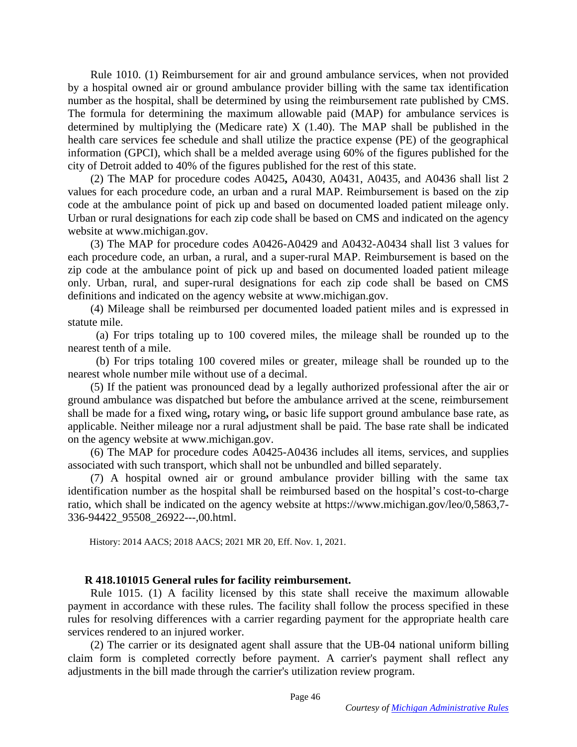Rule 1010. (1) Reimbursement for air and ground ambulance services, when not provided by a hospital owned air or ground ambulance provider billing with the same tax identification number as the hospital, shall be determined by using the reimbursement rate published by CMS. The formula for determining the maximum allowable paid (MAP) for ambulance services is determined by multiplying the (Medicare rate)  $X$  (1.40). The MAP shall be published in the health care services fee schedule and shall utilize the practice expense (PE) of the geographical information (GPCI), which shall be a melded average using 60% of the figures published for the city of Detroit added to 40% of the figures published for the rest of this state.

 (2) The MAP for procedure codes A0425**,** A0430, A0431, A0435, and A0436 shall list 2 values for each procedure code, an urban and a rural MAP. Reimbursement is based on the zip code at the ambulance point of pick up and based on documented loaded patient mileage only. Urban or rural designations for each zip code shall be based on CMS and indicated on the agency website at www.michigan.gov.

 (3) The MAP for procedure codes A0426-A0429 and A0432-A0434 shall list 3 values for each procedure code, an urban, a rural, and a super-rural MAP. Reimbursement is based on the zip code at the ambulance point of pick up and based on documented loaded patient mileage only. Urban, rural, and super-rural designations for each zip code shall be based on CMS definitions and indicated on the agency website at www.michigan.gov.

 (4) Mileage shall be reimbursed per documented loaded patient miles and is expressed in statute mile.

 (a) For trips totaling up to 100 covered miles, the mileage shall be rounded up to the nearest tenth of a mile.

 (b) For trips totaling 100 covered miles or greater, mileage shall be rounded up to the nearest whole number mile without use of a decimal.

 (5) If the patient was pronounced dead by a legally authorized professional after the air or ground ambulance was dispatched but before the ambulance arrived at the scene, reimbursement shall be made for a fixed wing**,** rotary wing**,** or basic life support ground ambulance base rate, as applicable. Neither mileage nor a rural adjustment shall be paid. The base rate shall be indicated on the agency website at www.michigan.gov.

 (6) The MAP for procedure codes A0425-A0436 includes all items, services, and supplies associated with such transport, which shall not be unbundled and billed separately.

 (7) A hospital owned air or ground ambulance provider billing with the same tax identification number as the hospital shall be reimbursed based on the hospital's cost-to-charge ratio, which shall be indicated on the agency website at https://www.michigan.gov/leo/0,5863,7- 336-94422\_95508\_26922---,00.html.

History: 2014 AACS; 2018 AACS; 2021 MR 20, Eff. Nov. 1, 2021.

#### **R 418.101015 General rules for facility reimbursement.**

 Rule 1015. (1) A facility licensed by this state shall receive the maximum allowable payment in accordance with these rules. The facility shall follow the process specified in these rules for resolving differences with a carrier regarding payment for the appropriate health care services rendered to an injured worker.

 (2) The carrier or its designated agent shall assure that the UB-04 national uniform billing claim form is completed correctly before payment. A carrier's payment shall reflect any adjustments in the bill made through the carrier's utilization review program.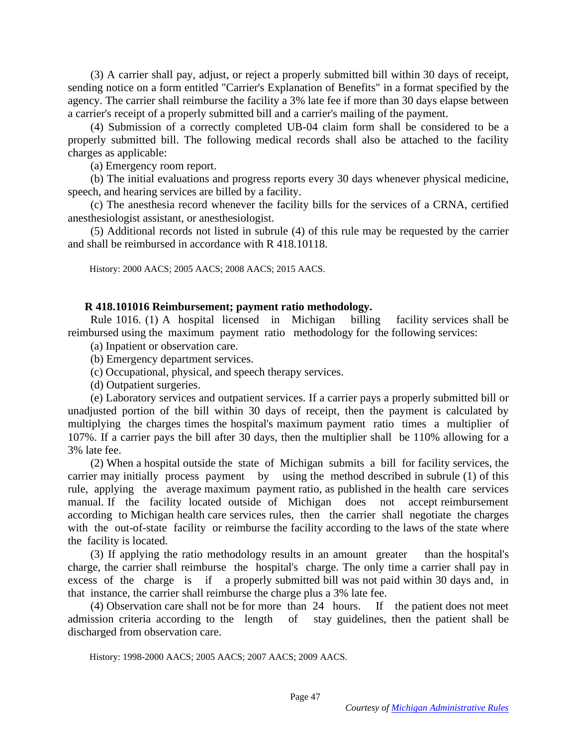(3) A carrier shall pay, adjust, or reject a properly submitted bill within 30 days of receipt, sending notice on a form entitled "Carrier's Explanation of Benefits" in a format specified by the agency. The carrier shall reimburse the facility a 3% late fee if more than 30 days elapse between a carrier's receipt of a properly submitted bill and a carrier's mailing of the payment.

 (4) Submission of a correctly completed UB-04 claim form shall be considered to be a properly submitted bill. The following medical records shall also be attached to the facility charges as applicable:

(a) Emergency room report.

 (b) The initial evaluations and progress reports every 30 days whenever physical medicine, speech, and hearing services are billed by a facility.

 (c) The anesthesia record whenever the facility bills for the services of a CRNA, certified anesthesiologist assistant, or anesthesiologist.

 (5) Additional records not listed in subrule (4) of this rule may be requested by the carrier and shall be reimbursed in accordance with R 418.10118.

History: 2000 AACS; 2005 AACS; 2008 AACS; 2015 AACS.

### **R 418.101016 Reimbursement; payment ratio methodology.**

 Rule 1016. (1) A hospital licensed in Michigan billing facility services shall be reimbursed using the maximum payment ratio methodology for the following services:

(a) Inpatient or observation care.

- (b) Emergency department services.
- (c) Occupational, physical, and speech therapy services.

(d) Outpatient surgeries.

 (e) Laboratory services and outpatient services. If a carrier pays a properly submitted bill or unadjusted portion of the bill within 30 days of receipt, then the payment is calculated by multiplying the charges times the hospital's maximum payment ratio times a multiplier of 107%. If a carrier pays the bill after 30 days, then the multiplier shall be 110% allowing for a 3% late fee.

 (2) When a hospital outside the state of Michigan submits a bill for facility services, the carrier may initially process payment by using the method described in subrule (1) of this rule, applying the average maximum payment ratio, as published in the health care services manual. If the facility located outside of Michigan does not accept reimbursement according to Michigan health care services rules, then the carrier shall negotiate the charges with the out-of-state facility or reimburse the facility according to the laws of the state where the facility is located.

 (3) If applying the ratio methodology results in an amount greater than the hospital's charge, the carrier shall reimburse the hospital's charge. The only time a carrier shall pay in excess of the charge is if a properly submitted bill was not paid within 30 days and, in that instance, the carrier shall reimburse the charge plus a 3% late fee.

 (4) Observation care shall not be for more than 24 hours. If the patient does not meet admission criteria according to the length of stay guidelines, then the patient shall be discharged from observation care.

History: 1998-2000 AACS; 2005 AACS; 2007 AACS; 2009 AACS.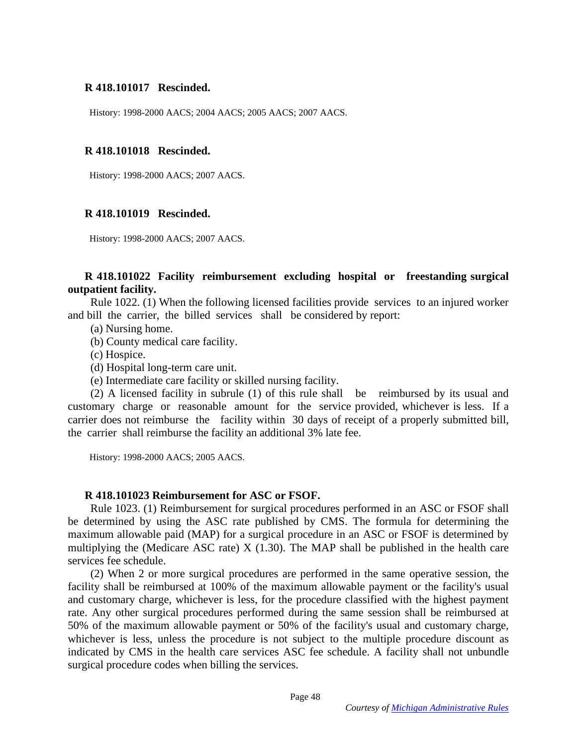## **R 418.101017 Rescinded.**

History: 1998-2000 AACS; 2004 AACS; 2005 AACS; 2007 AACS.

## **R 418.101018 Rescinded.**

History: 1998-2000 AACS; 2007 AACS.

## **R 418.101019 Rescinded.**

History: 1998-2000 AACS; 2007 AACS.

## **R 418.101022 Facility reimbursement excluding hospital or freestanding surgical outpatient facility.**

 Rule 1022. (1) When the following licensed facilities provide services to an injured worker and bill the carrier, the billed services shall be considered by report:

- (a) Nursing home.
- (b) County medical care facility.
- (c) Hospice.
- (d) Hospital long-term care unit.
- (e) Intermediate care facility or skilled nursing facility.

 (2) A licensed facility in subrule (1) of this rule shall be reimbursed by its usual and customary charge or reasonable amount for the service provided, whichever is less. If a carrier does not reimburse the facility within 30 days of receipt of a properly submitted bill, the carrier shall reimburse the facility an additional 3% late fee.

History: 1998-2000 AACS; 2005 AACS.

## **R 418.101023 Reimbursement for ASC or FSOF.**

 Rule 1023. (1) Reimbursement for surgical procedures performed in an ASC or FSOF shall be determined by using the ASC rate published by CMS. The formula for determining the maximum allowable paid (MAP) for a surgical procedure in an ASC or FSOF is determined by multiplying the (Medicare ASC rate) X (1.30). The MAP shall be published in the health care services fee schedule.

 (2) When 2 or more surgical procedures are performed in the same operative session, the facility shall be reimbursed at 100% of the maximum allowable payment or the facility's usual and customary charge, whichever is less, for the procedure classified with the highest payment rate. Any other surgical procedures performed during the same session shall be reimbursed at 50% of the maximum allowable payment or 50% of the facility's usual and customary charge, whichever is less, unless the procedure is not subject to the multiple procedure discount as indicated by CMS in the health care services ASC fee schedule. A facility shall not unbundle surgical procedure codes when billing the services.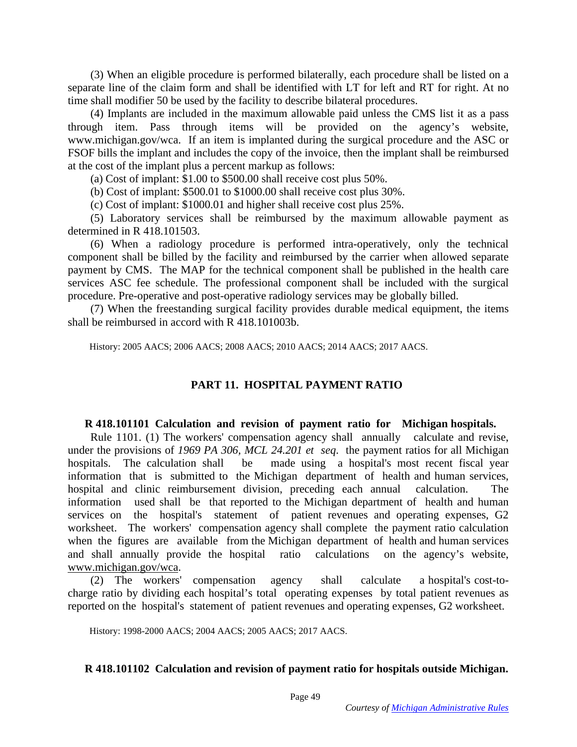(3) When an eligible procedure is performed bilaterally, each procedure shall be listed on a separate line of the claim form and shall be identified with LT for left and RT for right. At no time shall modifier 50 be used by the facility to describe bilateral procedures.

 (4) Implants are included in the maximum allowable paid unless the CMS list it as a pass through item. Pass through items will be provided on the agency's website, www.michigan.gov/wca. If an item is implanted during the surgical procedure and the ASC or FSOF bills the implant and includes the copy of the invoice, then the implant shall be reimbursed at the cost of the implant plus a percent markup as follows:

(a) Cost of implant: \$1.00 to \$500.00 shall receive cost plus 50%.

(b) Cost of implant: \$500.01 to \$1000.00 shall receive cost plus 30%.

(c) Cost of implant: \$1000.01 and higher shall receive cost plus 25%.

 (5) Laboratory services shall be reimbursed by the maximum allowable payment as determined in R 418.101503.

 (6) When a radiology procedure is performed intra-operatively, only the technical component shall be billed by the facility and reimbursed by the carrier when allowed separate payment by CMS. The MAP for the technical component shall be published in the health care services ASC fee schedule. The professional component shall be included with the surgical procedure. Pre-operative and post-operative radiology services may be globally billed.

 (7) When the freestanding surgical facility provides durable medical equipment, the items shall be reimbursed in accord with R 418.101003b.

History: 2005 AACS; 2006 AACS; 2008 AACS; 2010 AACS; 2014 AACS; 2017 AACS.

# **PART 11. HOSPITAL PAYMENT RATIO**

#### **R 418.101101 Calculation and revision of payment ratio for Michigan hospitals.**

 Rule 1101. (1) The workers' compensation agency shall annually calculate and revise, under the provisions of *1969 PA 306, MCL 24.201 et seq*. the payment ratios for all Michigan hospitals. The calculation shall be made using a hospital's most recent fiscal year information that is submitted to the Michigan department of health and human services, hospital and clinic reimbursement division, preceding each annual calculation. The information used shall be that reported to the Michigan department of health and human services on the hospital's statement of patient revenues and operating expenses, G2 worksheet. The workers' compensation agency shall complete the payment ratio calculation when the figures are available from the Michigan department of health and human services and shall annually provide the hospital ratio calculations on the agency's website, www.michigan.gov/wca.

 (2) The workers' compensation agency shall calculate a hospital's cost-tocharge ratio by dividing each hospital's total operating expenses by total patient revenues as reported on the hospital's statement of patient revenues and operating expenses, G2 worksheet.

History: 1998-2000 AACS; 2004 AACS; 2005 AACS; 2017 AACS.

### **R 418.101102 Calculation and revision of payment ratio for hospitals outside Michigan.**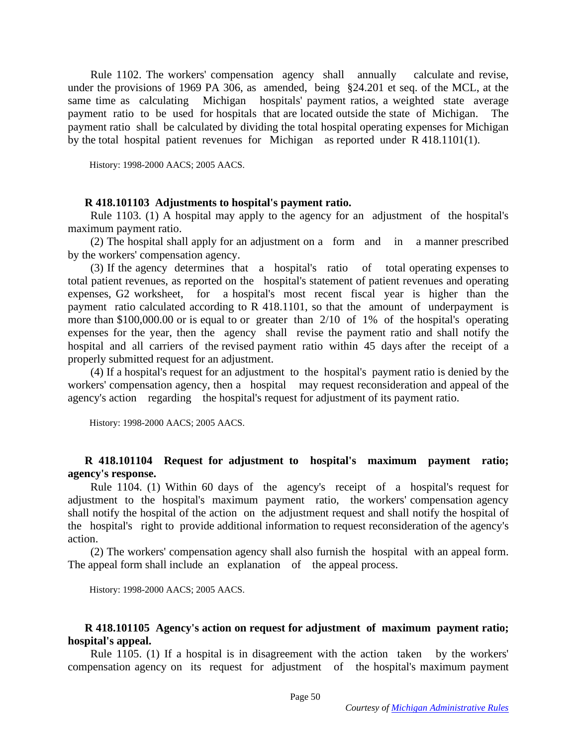Rule 1102. The workers' compensation agency shall annually calculate and revise, under the provisions of 1969 PA 306, as amended, being §24.201 et seq. of the MCL, at the same time as calculating Michigan hospitals' payment ratios, a weighted state average payment ratio to be used for hospitals that are located outside the state of Michigan. The payment ratio shall be calculated by dividing the total hospital operating expenses for Michigan by the total hospital patient revenues for Michigan as reported under R 418.1101(1).

History: 1998-2000 AACS; 2005 AACS.

#### **R 418.101103 Adjustments to hospital's payment ratio.**

 Rule 1103. (1) A hospital may apply to the agency for an adjustment of the hospital's maximum payment ratio.

 (2) The hospital shall apply for an adjustment on a form and in a manner prescribed by the workers' compensation agency.

 (3) If the agency determines that a hospital's ratio of total operating expenses to total patient revenues, as reported on the hospital's statement of patient revenues and operating expenses, G2 worksheet, for a hospital's most recent fiscal year is higher than the payment ratio calculated according to R 418.1101, so that the amount of underpayment is more than \$100,000.00 or is equal to or greater than 2/10 of 1% of the hospital's operating expenses for the year, then the agency shall revise the payment ratio and shall notify the hospital and all carriers of the revised payment ratio within 45 days after the receipt of a properly submitted request for an adjustment.

 (4) If a hospital's request for an adjustment to the hospital's payment ratio is denied by the workers' compensation agency, then a hospital may request reconsideration and appeal of the agency's action regarding the hospital's request for adjustment of its payment ratio.

History: 1998-2000 AACS; 2005 AACS.

## **R 418.101104 Request for adjustment to hospital's maximum payment ratio; agency's response.**

 Rule 1104. (1) Within 60 days of the agency's receipt of a hospital's request for adjustment to the hospital's maximum payment ratio, the workers' compensation agency shall notify the hospital of the action on the adjustment request and shall notify the hospital of the hospital's right to provide additional information to request reconsideration of the agency's action.

 (2) The workers' compensation agency shall also furnish the hospital with an appeal form. The appeal form shall include an explanation of the appeal process.

History: 1998-2000 AACS; 2005 AACS.

## **R 418.101105 Agency's action on request for adjustment of maximum payment ratio; hospital's appeal.**

 Rule 1105. (1) If a hospital is in disagreement with the action taken by the workers' compensation agency on its request for adjustment of the hospital's maximum payment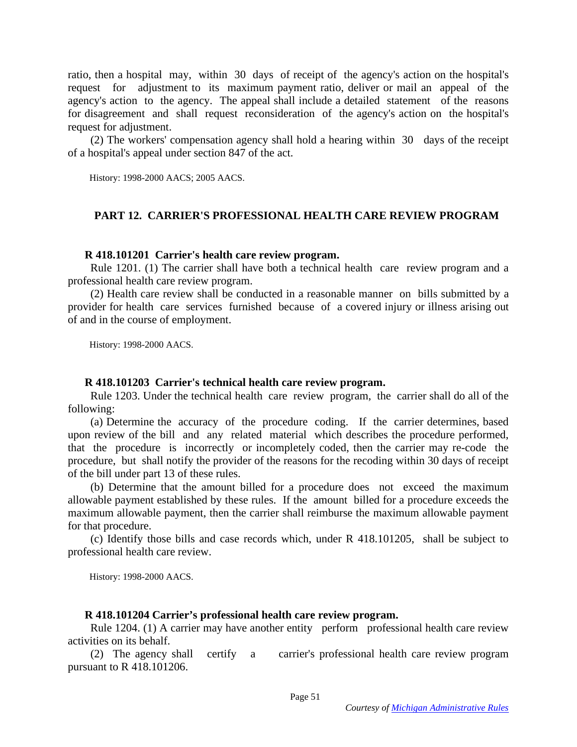ratio, then a hospital may, within 30 days of receipt of the agency's action on the hospital's request for adjustment to its maximum payment ratio, deliver or mail an appeal of the agency's action to the agency. The appeal shall include a detailed statement of the reasons for disagreement and shall request reconsideration of the agency's action on the hospital's request for adjustment.

 (2) The workers' compensation agency shall hold a hearing within 30 days of the receipt of a hospital's appeal under section 847 of the act.

History: 1998-2000 AACS; 2005 AACS.

## **PART 12. CARRIER'S PROFESSIONAL HEALTH CARE REVIEW PROGRAM**

#### **R 418.101201 Carrier's health care review program.**

 Rule 1201. (1) The carrier shall have both a technical health care review program and a professional health care review program.

 (2) Health care review shall be conducted in a reasonable manner on bills submitted by a provider for health care services furnished because of a covered injury or illness arising out of and in the course of employment.

History: 1998-2000 AACS.

### **R 418.101203 Carrier's technical health care review program.**

 Rule 1203. Under the technical health care review program, the carrier shall do all of the following:

 (a) Determine the accuracy of the procedure coding. If the carrier determines, based upon review of the bill and any related material which describes the procedure performed, that the procedure is incorrectly or incompletely coded, then the carrier may re-code the procedure, but shall notify the provider of the reasons for the recoding within 30 days of receipt of the bill under part 13 of these rules.

 (b) Determine that the amount billed for a procedure does not exceed the maximum allowable payment established by these rules. If the amount billed for a procedure exceeds the maximum allowable payment, then the carrier shall reimburse the maximum allowable payment for that procedure.

 (c) Identify those bills and case records which, under R 418.101205, shall be subject to professional health care review.

History: 1998-2000 AACS.

### **R 418.101204 Carrier's professional health care review program.**

 Rule 1204. (1) A carrier may have another entity perform professional health care review activities on its behalf.

 (2) The agency shall certify a carrier's professional health care review program pursuant to R 418.101206.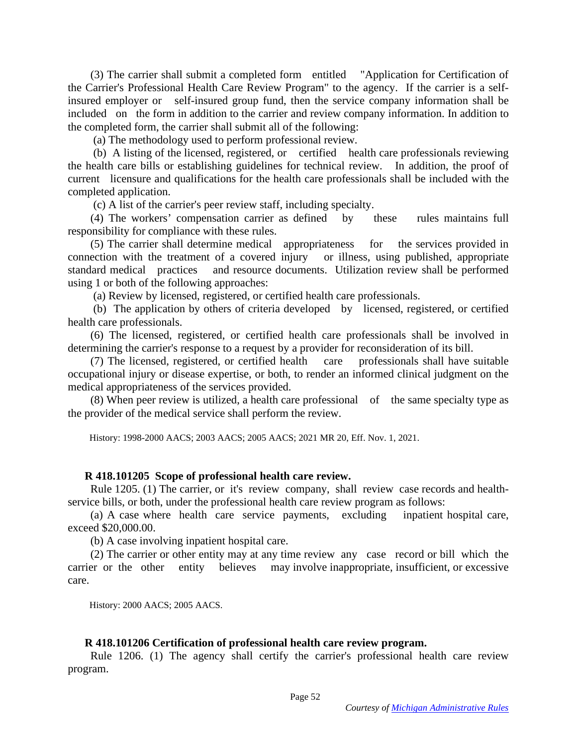(3) The carrier shall submit a completed form entitled "Application for Certification of the Carrier's Professional Health Care Review Program" to the agency. If the carrier is a selfinsured employer or self-insured group fund, then the service company information shall be included on the form in addition to the carrier and review company information. In addition to the completed form, the carrier shall submit all of the following:

(a) The methodology used to perform professional review.

 (b) A listing of the licensed, registered, or certified health care professionals reviewing the health care bills or establishing guidelines for technical review. In addition, the proof of current licensure and qualifications for the health care professionals shall be included with the completed application.

(c) A list of the carrier's peer review staff, including specialty.

 (4) The workers' compensation carrier as defined by these rules maintains full responsibility for compliance with these rules.

 (5) The carrier shall determine medical appropriateness for the services provided in connection with the treatment of a covered injury or illness, using published, appropriate standard medical practices and resource documents. Utilization review shall be performed using 1 or both of the following approaches:

(a) Review by licensed, registered, or certified health care professionals.

 (b) The application by others of criteria developed by licensed, registered, or certified health care professionals.

 (6) The licensed, registered, or certified health care professionals shall be involved in determining the carrier's response to a request by a provider for reconsideration of its bill.

 (7) The licensed, registered, or certified health care professionals shall have suitable occupational injury or disease expertise, or both, to render an informed clinical judgment on the medical appropriateness of the services provided.

 (8) When peer review is utilized, a health care professional of the same specialty type as the provider of the medical service shall perform the review.

History: 1998-2000 AACS; 2003 AACS; 2005 AACS; 2021 MR 20, Eff. Nov. 1, 2021.

### **R 418.101205 Scope of professional health care review.**

 Rule 1205. (1) The carrier, or it's review company, shall review case records and healthservice bills, or both, under the professional health care review program as follows:

 (a) A case where health care service payments, excluding inpatient hospital care, exceed \$20,000.00.

(b) A case involving inpatient hospital care.

 (2) The carrier or other entity may at any time review any case record or bill which the carrier or the other entity believes may involve inappropriate, insufficient, or excessive care.

History: 2000 AACS; 2005 AACS.

## **R 418.101206 Certification of professional health care review program.**

 Rule 1206. (1) The agency shall certify the carrier's professional health care review program.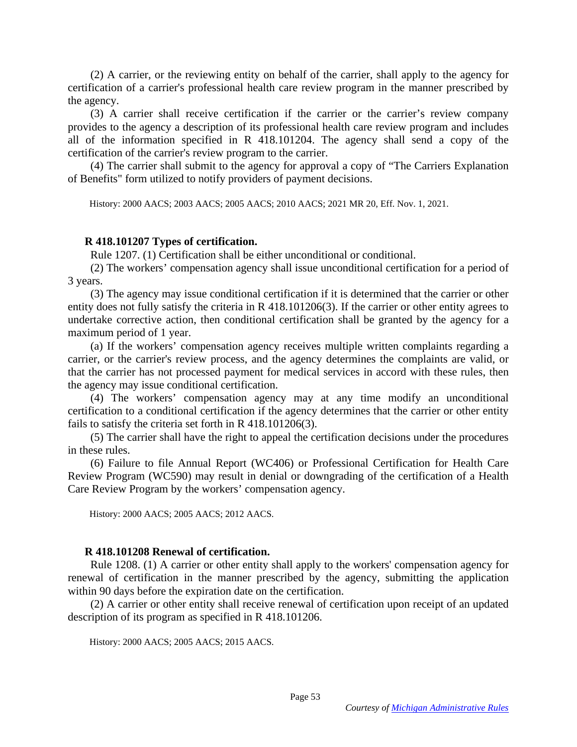(2) A carrier, or the reviewing entity on behalf of the carrier, shall apply to the agency for certification of a carrier's professional health care review program in the manner prescribed by the agency.

 (3) A carrier shall receive certification if the carrier or the carrier's review company provides to the agency a description of its professional health care review program and includes all of the information specified in R 418.101204. The agency shall send a copy of the certification of the carrier's review program to the carrier.

 (4) The carrier shall submit to the agency for approval a copy of "The Carriers Explanation of Benefits" form utilized to notify providers of payment decisions.

History: 2000 AACS; 2003 AACS; 2005 AACS; 2010 AACS; 2021 MR 20, Eff. Nov. 1, 2021.

#### **R 418.101207 Types of certification.**

Rule 1207. (1) Certification shall be either unconditional or conditional.

 (2) The workers' compensation agency shall issue unconditional certification for a period of 3 years.

 (3) The agency may issue conditional certification if it is determined that the carrier or other entity does not fully satisfy the criteria in R 418.101206(3). If the carrier or other entity agrees to undertake corrective action, then conditional certification shall be granted by the agency for a maximum period of 1 year.

 (a) If the workers' compensation agency receives multiple written complaints regarding a carrier, or the carrier's review process, and the agency determines the complaints are valid, or that the carrier has not processed payment for medical services in accord with these rules, then the agency may issue conditional certification.

 (4) The workers' compensation agency may at any time modify an unconditional certification to a conditional certification if the agency determines that the carrier or other entity fails to satisfy the criteria set forth in R 418.101206(3).

 (5) The carrier shall have the right to appeal the certification decisions under the procedures in these rules.

 (6) Failure to file Annual Report (WC406) or Professional Certification for Health Care Review Program (WC590) may result in denial or downgrading of the certification of a Health Care Review Program by the workers' compensation agency.

History: 2000 AACS; 2005 AACS; 2012 AACS.

### **R 418.101208 Renewal of certification.**

 Rule 1208. (1) A carrier or other entity shall apply to the workers' compensation agency for renewal of certification in the manner prescribed by the agency, submitting the application within 90 days before the expiration date on the certification.

 (2) A carrier or other entity shall receive renewal of certification upon receipt of an updated description of its program as specified in R 418.101206.

History: 2000 AACS; 2005 AACS; 2015 AACS.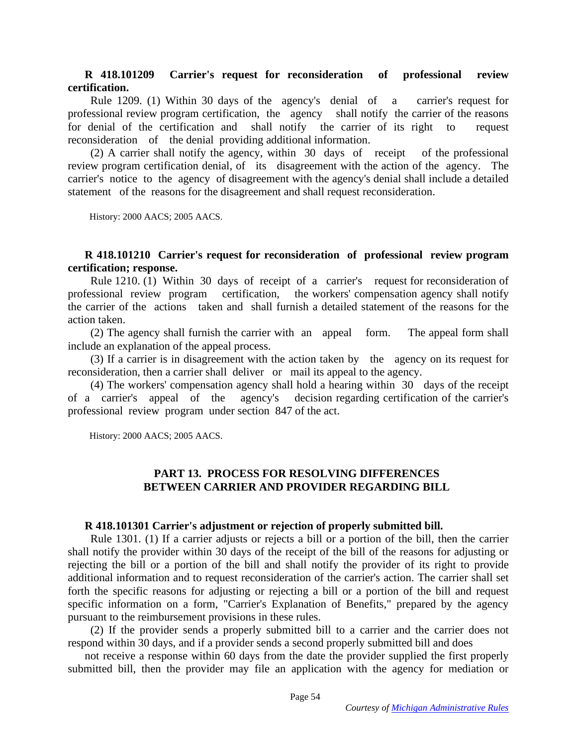### **R 418.101209 Carrier's request for reconsideration of professional review certification.**

 Rule 1209. (1) Within 30 days of the agency's denial of a carrier's request for professional review program certification, the agency shall notify the carrier of the reasons for denial of the certification and shall notify the carrier of its right to request reconsideration of the denial providing additional information.

 (2) A carrier shall notify the agency, within 30 days of receipt of the professional review program certification denial, of its disagreement with the action of the agency. The carrier's notice to the agency of disagreement with the agency's denial shall include a detailed statement of the reasons for the disagreement and shall request reconsideration.

History: 2000 AACS; 2005 AACS.

## **R 418.101210 Carrier's request for reconsideration of professional review program certification; response.**

 Rule 1210. (1) Within 30 days of receipt of a carrier's request for reconsideration of professional review program certification, the workers' compensation agency shall notify the carrier of the actions taken and shall furnish a detailed statement of the reasons for the action taken.

 (2) The agency shall furnish the carrier with an appeal form. The appeal form shall include an explanation of the appeal process.

 (3) If a carrier is in disagreement with the action taken by the agency on its request for reconsideration, then a carrier shall deliver or mail its appeal to the agency.

 (4) The workers' compensation agency shall hold a hearing within 30 days of the receipt of a carrier's appeal of the agency's decision regarding certification of the carrier's professional review program under section 847 of the act.

History: 2000 AACS; 2005 AACS.

## **PART 13. PROCESS FOR RESOLVING DIFFERENCES BETWEEN CARRIER AND PROVIDER REGARDING BILL**

### **R 418.101301 Carrier's adjustment or rejection of properly submitted bill.**

 Rule 1301. (1) If a carrier adjusts or rejects a bill or a portion of the bill, then the carrier shall notify the provider within 30 days of the receipt of the bill of the reasons for adjusting or rejecting the bill or a portion of the bill and shall notify the provider of its right to provide additional information and to request reconsideration of the carrier's action. The carrier shall set forth the specific reasons for adjusting or rejecting a bill or a portion of the bill and request specific information on a form, "Carrier's Explanation of Benefits," prepared by the agency pursuant to the reimbursement provisions in these rules.

 (2) If the provider sends a properly submitted bill to a carrier and the carrier does not respond within 30 days, and if a provider sends a second properly submitted bill and does

not receive a response within 60 days from the date the provider supplied the first properly submitted bill, then the provider may file an application with the agency for mediation or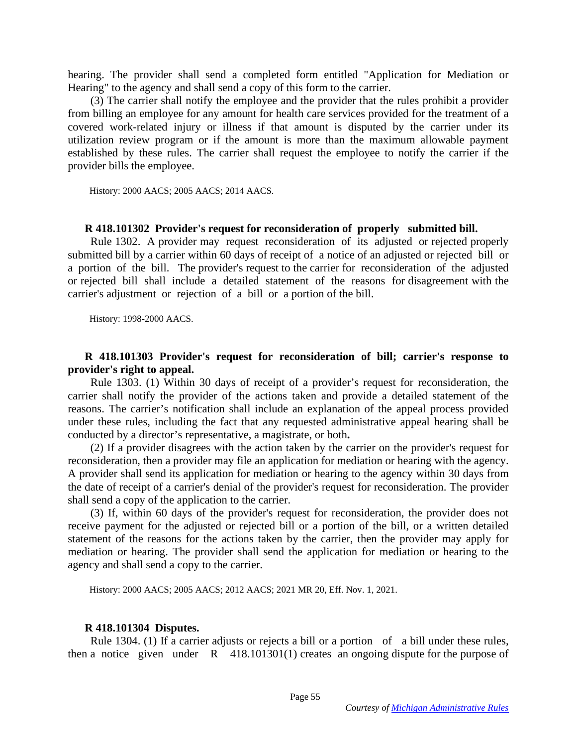hearing. The provider shall send a completed form entitled "Application for Mediation or Hearing" to the agency and shall send a copy of this form to the carrier.

 (3) The carrier shall notify the employee and the provider that the rules prohibit a provider from billing an employee for any amount for health care services provided for the treatment of a covered work-related injury or illness if that amount is disputed by the carrier under its utilization review program or if the amount is more than the maximum allowable payment established by these rules. The carrier shall request the employee to notify the carrier if the provider bills the employee.

History: 2000 AACS; 2005 AACS; 2014 AACS.

#### **R 418.101302 Provider's request for reconsideration of properly submitted bill.**

 Rule 1302. A provider may request reconsideration of its adjusted or rejected properly submitted bill by a carrier within 60 days of receipt of a notice of an adjusted or rejected bill or a portion of the bill. The provider's request to the carrier for reconsideration of the adjusted or rejected bill shall include a detailed statement of the reasons for disagreement with the carrier's adjustment or rejection of a bill or a portion of the bill.

History: 1998-2000 AACS.

### **R 418.101303 Provider's request for reconsideration of bill; carrier's response to provider's right to appeal.**

 Rule 1303. (1) Within 30 days of receipt of a provider's request for reconsideration, the carrier shall notify the provider of the actions taken and provide a detailed statement of the reasons. The carrier's notification shall include an explanation of the appeal process provided under these rules, including the fact that any requested administrative appeal hearing shall be conducted by a director's representative, a magistrate, or both**.**

 (2) If a provider disagrees with the action taken by the carrier on the provider's request for reconsideration, then a provider may file an application for mediation or hearing with the agency. A provider shall send its application for mediation or hearing to the agency within 30 days from the date of receipt of a carrier's denial of the provider's request for reconsideration. The provider shall send a copy of the application to the carrier.

 (3) If, within 60 days of the provider's request for reconsideration, the provider does not receive payment for the adjusted or rejected bill or a portion of the bill, or a written detailed statement of the reasons for the actions taken by the carrier, then the provider may apply for mediation or hearing. The provider shall send the application for mediation or hearing to the agency and shall send a copy to the carrier.

History: 2000 AACS; 2005 AACS; 2012 AACS; 2021 MR 20, Eff. Nov. 1, 2021.

#### **R 418.101304 Disputes.**

 Rule 1304. (1) If a carrier adjusts or rejects a bill or a portion of a bill under these rules, then a notice given under R 418.101301(1) creates an ongoing dispute for the purpose of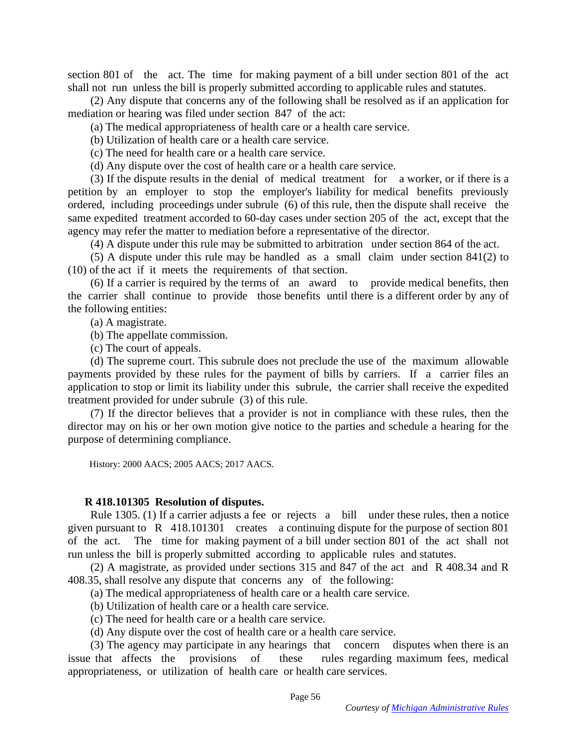section 801 of the act. The time for making payment of a bill under section 801 of the act shall not run unless the bill is properly submitted according to applicable rules and statutes.

 (2) Any dispute that concerns any of the following shall be resolved as if an application for mediation or hearing was filed under section 847 of the act:

(a) The medical appropriateness of health care or a health care service.

(b) Utilization of health care or a health care service.

(c) The need for health care or a health care service.

(d) Any dispute over the cost of health care or a health care service.

 (3) If the dispute results in the denial of medical treatment for a worker, or if there is a petition by an employer to stop the employer's liability for medical benefits previously ordered, including proceedings under subrule (6) of this rule, then the dispute shall receive the same expedited treatment accorded to 60-day cases under section 205 of the act, except that the agency may refer the matter to mediation before a representative of the director.

(4) A dispute under this rule may be submitted to arbitration under section 864 of the act.

 (5) A dispute under this rule may be handled as a small claim under section 841(2) to (10) of the act if it meets the requirements of that section.

 (6) If a carrier is required by the terms of an award to provide medical benefits, then the carrier shall continue to provide those benefits until there is a different order by any of the following entities:

(a) A magistrate.

(b) The appellate commission.

(c) The court of appeals.

 (d) The supreme court. This subrule does not preclude the use of the maximum allowable payments provided by these rules for the payment of bills by carriers. If a carrier files an application to stop or limit its liability under this subrule, the carrier shall receive the expedited treatment provided for under subrule (3) of this rule.

 (7) If the director believes that a provider is not in compliance with these rules, then the director may on his or her own motion give notice to the parties and schedule a hearing for the purpose of determining compliance.

History: 2000 AACS; 2005 AACS; 2017 AACS.

#### **R 418.101305 Resolution of disputes.**

 Rule 1305. (1) If a carrier adjusts a fee or rejects a bill under these rules, then a notice given pursuant to R 418.101301 creates a continuing dispute for the purpose of section 801 of the act. The time for making payment of a bill under section 801 of the act shall not run unless the bill is properly submitted according to applicable rules and statutes.

 (2) A magistrate, as provided under sections 315 and 847 of the act and R 408.34 and R 408.35, shall resolve any dispute that concerns any of the following:

(a) The medical appropriateness of health care or a health care service.

(b) Utilization of health care or a health care service.

(c) The need for health care or a health care service.

(d) Any dispute over the cost of health care or a health care service.

 (3) The agency may participate in any hearings that concern disputes when there is an issue that affects the provisions of these rules regarding maximum fees, medical appropriateness, or utilization of health care or health care services.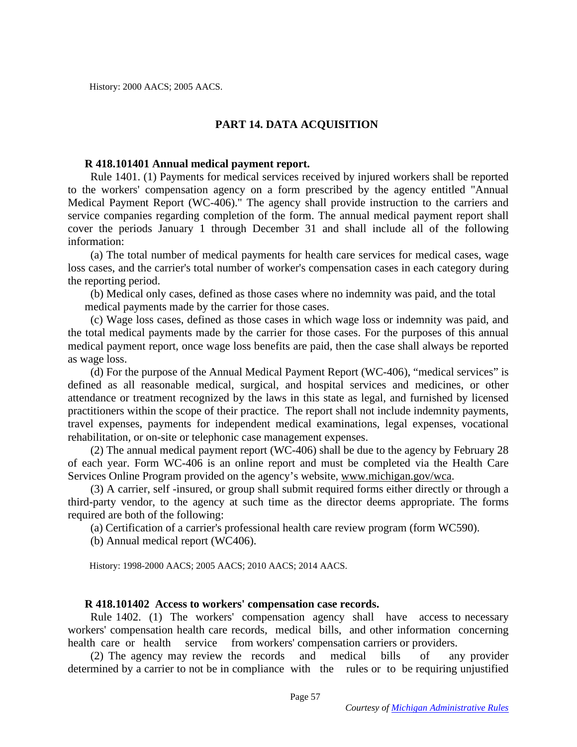# **PART 14. DATA ACQUISITION**

## **R 418.101401 Annual medical payment report.**

 Rule 1401. (1) Payments for medical services received by injured workers shall be reported to the workers' compensation agency on a form prescribed by the agency entitled "Annual Medical Payment Report (WC-406)." The agency shall provide instruction to the carriers and service companies regarding completion of the form. The annual medical payment report shall cover the periods January 1 through December 31 and shall include all of the following information:

 (a) The total number of medical payments for health care services for medical cases, wage loss cases, and the carrier's total number of worker's compensation cases in each category during the reporting period.

 (b) Medical only cases, defined as those cases where no indemnity was paid, and the total medical payments made by the carrier for those cases.

 (c) Wage loss cases, defined as those cases in which wage loss or indemnity was paid, and the total medical payments made by the carrier for those cases. For the purposes of this annual medical payment report, once wage loss benefits are paid, then the case shall always be reported as wage loss.

 (d) For the purpose of the Annual Medical Payment Report (WC-406), "medical services" is defined as all reasonable medical, surgical, and hospital services and medicines, or other attendance or treatment recognized by the laws in this state as legal, and furnished by licensed practitioners within the scope of their practice. The report shall not include indemnity payments, travel expenses, payments for independent medical examinations, legal expenses, vocational rehabilitation, or on-site or telephonic case management expenses.

 (2) The annual medical payment report (WC-406) shall be due to the agency by February 28 of each year. Form WC-406 is an online report and must be completed via the Health Care Services Online Program provided on the agency's website, [www.michigan.gov/wca.](http://www.michigan.gov/wca)

 (3) A carrier, self -insured, or group shall submit required forms either directly or through a third-party vendor, to the agency at such time as the director deems appropriate. The forms required are both of the following:

(a) Certification of a carrier's professional health care review program (form WC590).

(b) Annual medical report (WC406).

History: 1998-2000 AACS; 2005 AACS; 2010 AACS; 2014 AACS.

## **R 418.101402 Access to workers' compensation case records.**

 Rule 1402. (1) The workers' compensation agency shall have access to necessary workers' compensation health care records, medical bills, and other information concerning health care or health service from workers' compensation carriers or providers.

 (2) The agency may review the records and medical bills of any provider determined by a carrier to not be in compliance with the rules or to be requiring unjustified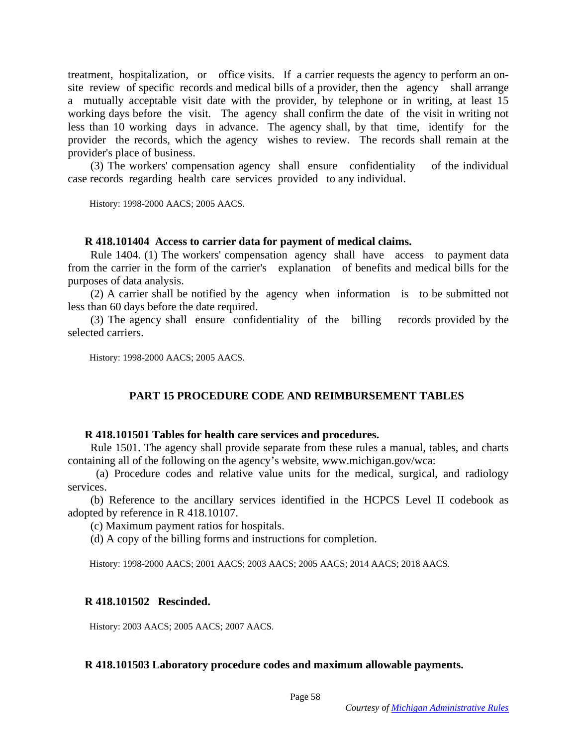treatment, hospitalization, or office visits. If a carrier requests the agency to perform an onsite review of specific records and medical bills of a provider, then the agency shall arrange a mutually acceptable visit date with the provider, by telephone or in writing, at least 15 working days before the visit. The agency shall confirm the date of the visit in writing not less than 10 working days in advance. The agency shall, by that time, identify for the provider the records, which the agency wishes to review. The records shall remain at the provider's place of business.

 (3) The workers' compensation agency shall ensure confidentiality of the individual case records regarding health care services provided to any individual.

History: 1998-2000 AACS; 2005 AACS.

### **R 418.101404 Access to carrier data for payment of medical claims.**

 Rule 1404. (1) The workers' compensation agency shall have access to payment data from the carrier in the form of the carrier's explanation of benefits and medical bills for the purposes of data analysis.

 (2) A carrier shall be notified by the agency when information is to be submitted not less than 60 days before the date required.

 (3) The agency shall ensure confidentiality of the billing records provided by the selected carriers.

History: 1998-2000 AACS; 2005 AACS.

## **PART 15 PROCEDURE CODE AND REIMBURSEMENT TABLES**

### **R 418.101501 Tables for health care services and procedures.**

 Rule 1501. The agency shall provide separate from these rules a manual, tables, and charts containing all of the following on the agency's website, www.michigan.gov/wca:

 (a) Procedure codes and relative value units for the medical, surgical, and radiology services.

 (b) Reference to the ancillary services identified in the HCPCS Level II codebook as adopted by reference in R 418.10107.

(c) Maximum payment ratios for hospitals.

(d) A copy of the billing forms and instructions for completion.

History: 1998-2000 AACS; 2001 AACS; 2003 AACS; 2005 AACS; 2014 AACS; 2018 AACS.

## **R 418.101502 Rescinded.**

History: 2003 AACS; 2005 AACS; 2007 AACS.

### **R 418.101503 Laboratory procedure codes and maximum allowable payments.**